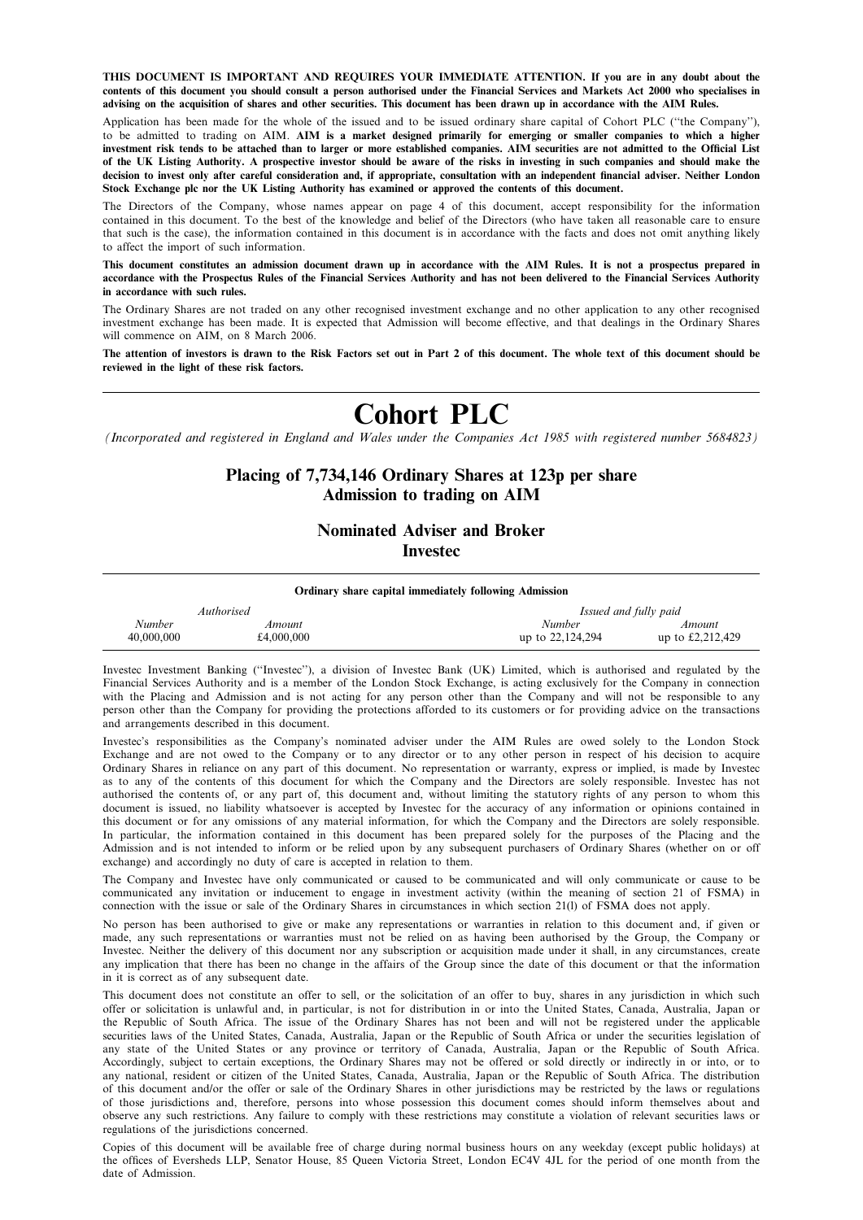THIS DOCUMENT IS IMPORTANT AND REQUIRES YOUR IMMEDIATE ATTENTION. If you are in any doubt about the contents of this document you should consult a person authorised under the Financial Services and Markets Act 2000 who specialises in advising on the acquisition of shares and other securities. This document has been drawn up in accordance with the AIM Rules.

Application has been made for the whole of the issued and to be issued ordinary share capital of Cohort PLC (''the Company''), to be admitted to trading on AIM. AIM is a market designed primarily for emerging or smaller companies to which a higher investment risk tends to be attached than to larger or more established companies. AIM securities are not admitted to the Official List of the UK Listing Authority. A prospective investor should be aware of the risks in investing in such companies and should make the decision to invest only after careful consideration and, if appropriate, consultation with an independent financial adviser. Neither London Stock Exchange plc nor the UK Listing Authority has examined or approved the contents of this document.

The Directors of the Company, whose names appear on page 4 of this document, accept responsibility for the information contained in this document. To the best of the knowledge and belief of the Directors (who have taken all reasonable care to ensure that such is the case), the information contained in this document is in accordance with the facts and does not omit anything likely to affect the import of such information.

This document constitutes an admission document drawn up in accordance with the AIM Rules. It is not a prospectus prepared in accordance with the Prospectus Rules of the Financial Services Authority and has not been delivered to the Financial Services Authority in accordance with such rules.

The Ordinary Shares are not traded on any other recognised investment exchange and no other application to any other recognised investment exchange has been made. It is expected that Admission will become effective, and that dealings in the Ordinary Shares will commence on AIM, on 8 March 2006.

The attention of investors is drawn to the Risk Factors set out in Part 2 of this document. The whole text of this document should be reviewed in the light of these risk factors.

# Cohort PLC

(Incorporated and registered in England and Wales under the Companies Act 1985 with registered number 5684823)

## Placing of 7,734,146 Ordinary Shares at 123p per share Admission to trading on AIM

## Nominated Adviser and Broker Investec

#### Ordinary share capital immediately following Admission

| Authorised |            | Issued and fully paid |                  |
|------------|------------|-----------------------|------------------|
| Number     | Amount     | Number                | Amount           |
| 40,000,000 | £4,000,000 | up to 22,124,294      | up to £2,212,429 |

Investec Investment Banking (''Investec''), a division of Investec Bank (UK) Limited, which is authorised and regulated by the Financial Services Authority and is a member of the London Stock Exchange, is acting exclusively for the Company in connection with the Placing and Admission and is not acting for any person other than the Company and will not be responsible to any person other than the Company for providing the protections afforded to its customers or for providing advice on the transactions and arrangements described in this document.

Investec's responsibilities as the Company's nominated adviser under the AIM Rules are owed solely to the London Stock Exchange and are not owed to the Company or to any director or to any other person in respect of his decision to acquire Ordinary Shares in reliance on any part of this document. No representation or warranty, express or implied, is made by Investec as to any of the contents of this document for which the Company and the Directors are solely responsible. Investec has not authorised the contents of, or any part of, this document and, without limiting the statutory rights of any person to whom this document is issued, no liability whatsoever is accepted by Investec for the accuracy of any information or opinions contained in this document or for any omissions of any material information, for which the Company and the Directors are solely responsible. In particular, the information contained in this document has been prepared solely for the purposes of the Placing and the Admission and is not intended to inform or be relied upon by any subsequent purchasers of Ordinary Shares (whether on or off exchange) and accordingly no duty of care is accepted in relation to them.

The Company and Investec have only communicated or caused to be communicated and will only communicate or cause to be communicated any invitation or inducement to engage in investment activity (within the meaning of section 21 of FSMA) in connection with the issue or sale of the Ordinary Shares in circumstances in which section 21(l) of FSMA does not apply.

No person has been authorised to give or make any representations or warranties in relation to this document and, if given or made, any such representations or warranties must not be relied on as having been authorised by the Group, the Company or Investec. Neither the delivery of this document nor any subscription or acquisition made under it shall, in any circumstances, create any implication that there has been no change in the affairs of the Group since the date of this document or that the information in it is correct as of any subsequent date.

This document does not constitute an offer to sell, or the solicitation of an offer to buy, shares in any jurisdiction in which such offer or solicitation is unlawful and, in particular, is not for distribution in or into the United States, Canada, Australia, Japan or the Republic of South Africa. The issue of the Ordinary Shares has not been and will not be registered under the applicable securities laws of the United States, Canada, Australia, Japan or the Republic of South Africa or under the securities legislation of any state of the United States or any province or territory of Canada, Australia, Japan or the Republic of South Africa. Accordingly, subject to certain exceptions, the Ordinary Shares may not be offered or sold directly or indirectly in or into, or to any national, resident or citizen of the United States, Canada, Australia, Japan or the Republic of South Africa. The distribution of this document and/or the offer or sale of the Ordinary Shares in other jurisdictions may be restricted by the laws or regulations of those jurisdictions and, therefore, persons into whose possession this document comes should inform themselves about and observe any such restrictions. Any failure to comply with these restrictions may constitute a violation of relevant securities laws or regulations of the jurisdictions concerned.

Copies of this document will be available free of charge during normal business hours on any weekday (except public holidays) at the offices of Eversheds LLP, Senator House, 85 Queen Victoria Street, London EC4V 4JL for the period of one month from the date of Admission.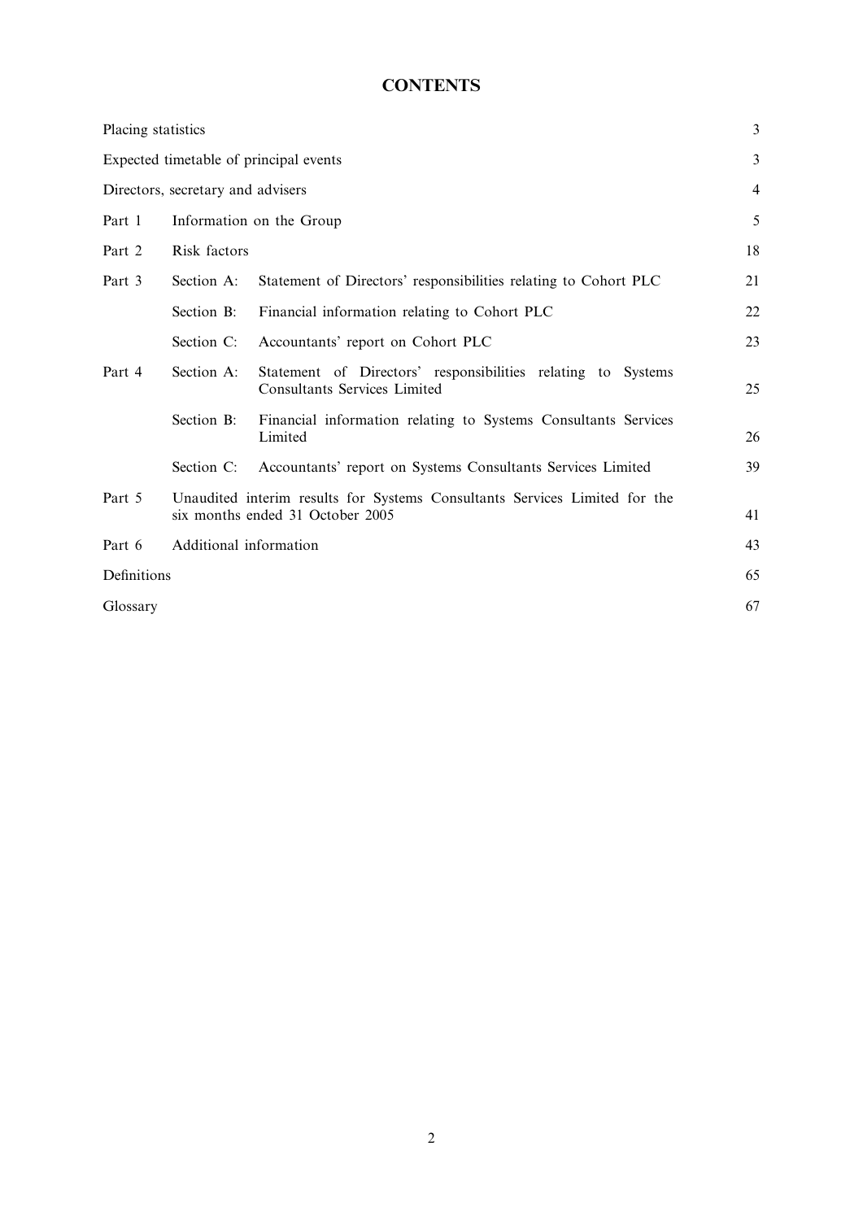# **CONTENTS**

| Placing statistics |                                   |                                                                                                                | 3              |
|--------------------|-----------------------------------|----------------------------------------------------------------------------------------------------------------|----------------|
|                    |                                   | Expected timetable of principal events                                                                         | 3              |
|                    | Directors, secretary and advisers |                                                                                                                | $\overline{4}$ |
| Part 1             |                                   | Information on the Group                                                                                       | 5              |
| Part 2             | Risk factors                      |                                                                                                                | 18             |
| Part 3             | Section A:                        | Statement of Directors' responsibilities relating to Cohort PLC                                                | 21             |
|                    | Section B:                        | Financial information relating to Cohort PLC                                                                   | 22             |
|                    | Section C:                        | Accountants' report on Cohort PLC                                                                              | 23             |
| Part 4             | Section A:                        | Statement of Directors' responsibilities relating to Systems<br>Consultants Services Limited                   | 25             |
|                    | Section B:                        | Financial information relating to Systems Consultants Services<br>Limited                                      | 26             |
|                    | Section C:                        | Accountants' report on Systems Consultants Services Limited                                                    | 39             |
| Part 5             |                                   | Unaudited interim results for Systems Consultants Services Limited for the<br>six months ended 31 October 2005 | 41             |
| Part 6             | Additional information            |                                                                                                                | 43             |
| Definitions        |                                   |                                                                                                                | 65             |
| Glossary           |                                   |                                                                                                                | 67             |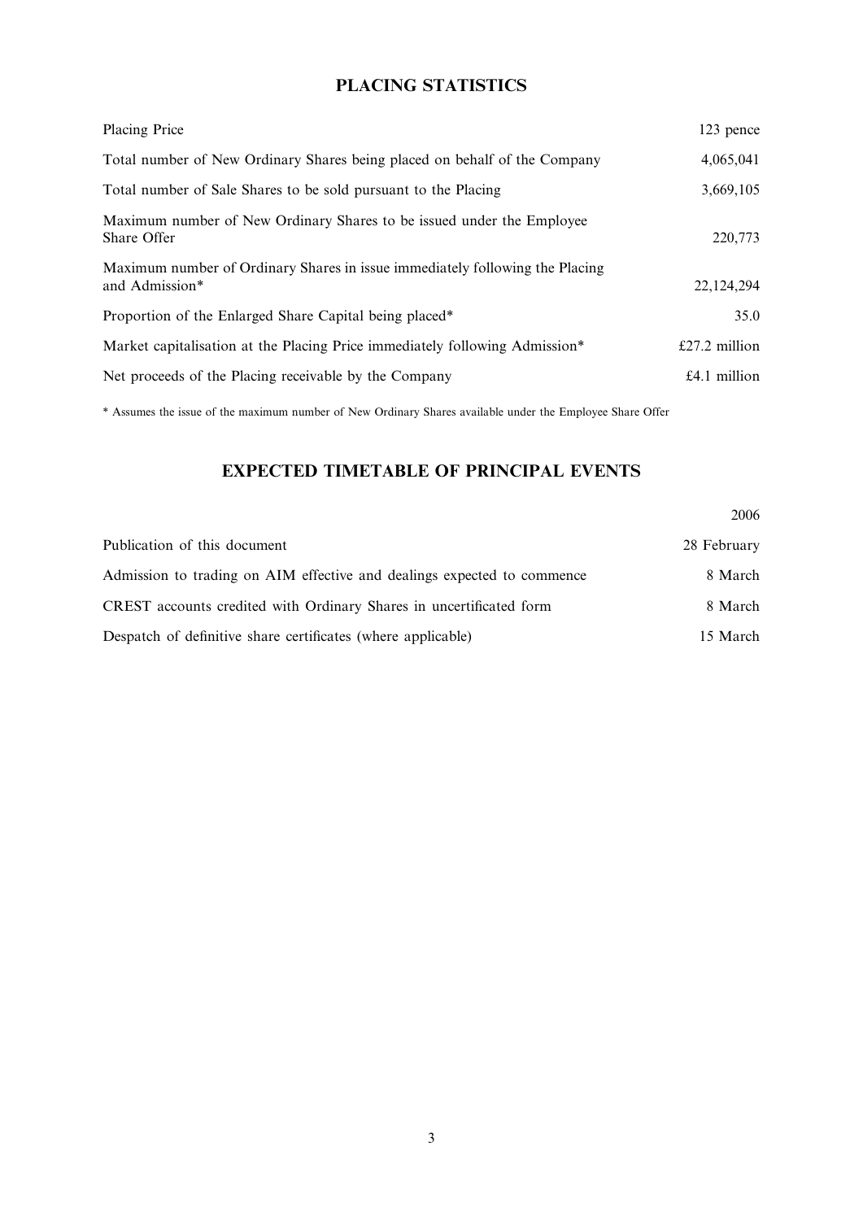# PLACING STATISTICS

| Placing Price                                                                                  | 123 pence      |
|------------------------------------------------------------------------------------------------|----------------|
| Total number of New Ordinary Shares being placed on behalf of the Company                      | 4,065,041      |
| Total number of Sale Shares to be sold pursuant to the Placing                                 | 3,669,105      |
| Maximum number of New Ordinary Shares to be issued under the Employee<br>Share Offer           | 220,773        |
| Maximum number of Ordinary Shares in issue immediately following the Placing<br>and Admission* | 22,124,294     |
| Proportion of the Enlarged Share Capital being placed*                                         | 35.0           |
| Market capitalisation at the Placing Price immediately following Admission*                    | £27.2 million  |
| Net proceeds of the Placing receivable by the Company                                          | $£4.1$ million |

\* Assumes the issue of the maximum number of New Ordinary Shares available under the Employee Share Offer

# EXPECTED TIMETABLE OF PRINCIPAL EVENTS

|                                                                         | 2006        |
|-------------------------------------------------------------------------|-------------|
| Publication of this document                                            | 28 February |
| Admission to trading on AIM effective and dealings expected to commence | 8 March     |
| CREST accounts credited with Ordinary Shares in uncertificated form     | 8 March     |
| Despatch of definitive share certificates (where applicable)            | 15 March    |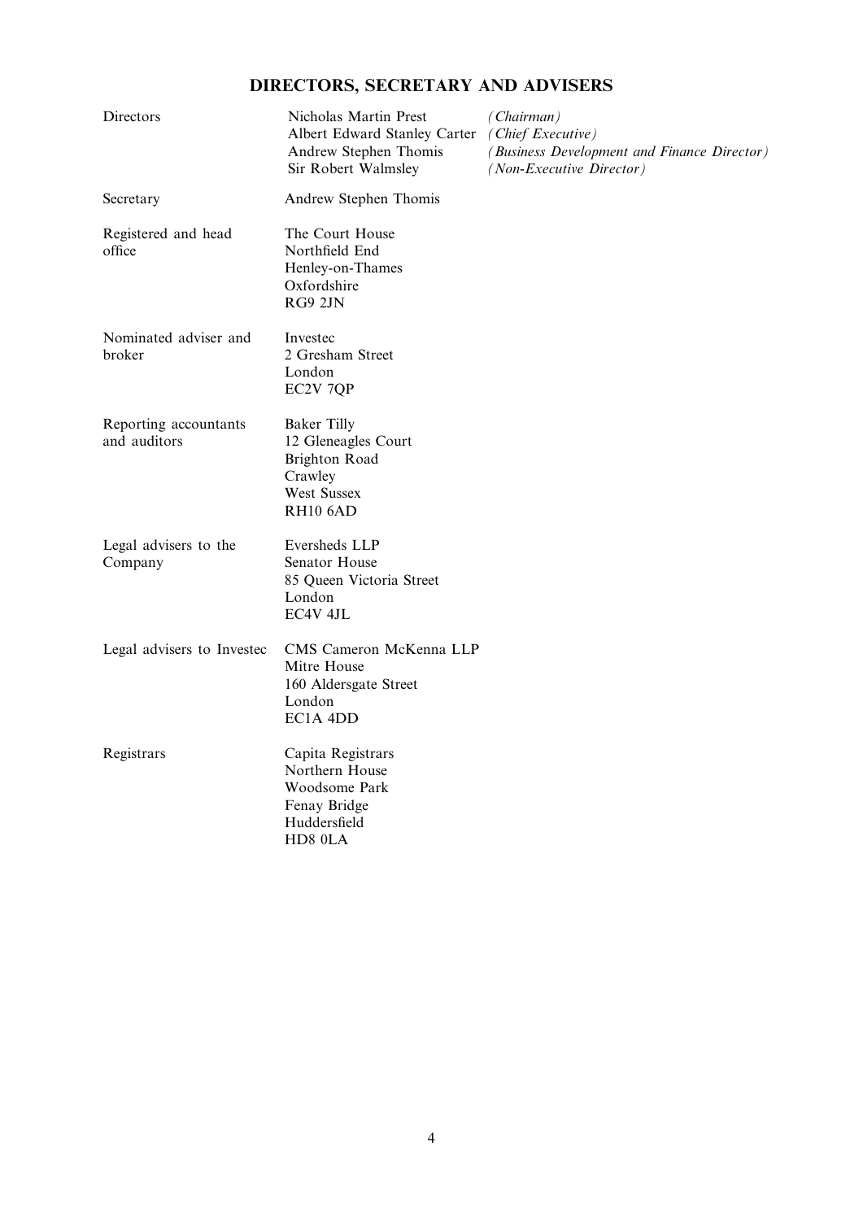# DIRECTORS, SECRETARY AND ADVISERS

| Directors                             | Nicholas Martin Prest<br>Albert Edward Stanley Carter (Chief Executive)<br>Andrew Stephen Thomis<br>Sir Robert Walmsley | (Chairman)<br>(Business Development and Finance Director)<br>(Non-Executive Director) |
|---------------------------------------|-------------------------------------------------------------------------------------------------------------------------|---------------------------------------------------------------------------------------|
| Secretary                             | Andrew Stephen Thomis                                                                                                   |                                                                                       |
| Registered and head<br>office         | The Court House<br>Northfield End<br>Henley-on-Thames<br>Oxfordshire<br>RG9 2JN                                         |                                                                                       |
| Nominated adviser and<br>broker       | Investec<br>2 Gresham Street<br>London<br>EC2V 7QP                                                                      |                                                                                       |
| Reporting accountants<br>and auditors | <b>Baker Tilly</b><br>12 Gleneagles Court<br>Brighton Road<br>Crawley<br>West Sussex<br>RH10 6AD                        |                                                                                       |
| Legal advisers to the<br>Company      | Eversheds LLP<br>Senator House<br>85 Queen Victoria Street<br>London<br>EC4V 4JL                                        |                                                                                       |
| Legal advisers to Investec            | CMS Cameron McKenna LLP<br>Mitre House<br>160 Aldersgate Street<br>London<br>EC1A 4DD                                   |                                                                                       |
| Registrars                            | Capita Registrars<br>Northern House<br>Woodsome Park<br>Fenay Bridge<br>Huddersfield<br>HD8 0LA                         |                                                                                       |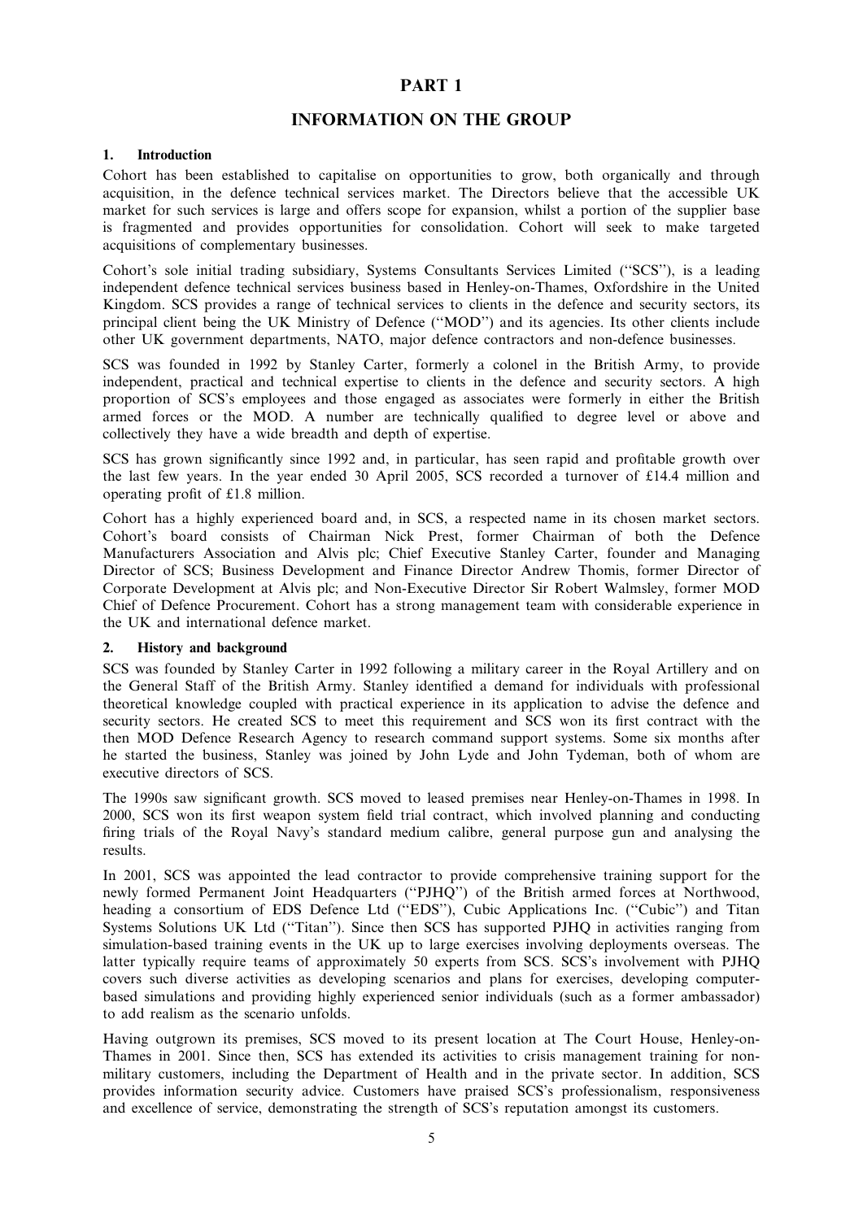## PART 1

## INFORMATION ON THE GROUP

## 1. Introduction

Cohort has been established to capitalise on opportunities to grow, both organically and through acquisition, in the defence technical services market. The Directors believe that the accessible UK market for such services is large and offers scope for expansion, whilst a portion of the supplier base is fragmented and provides opportunities for consolidation. Cohort will seek to make targeted acquisitions of complementary businesses.

Cohort's sole initial trading subsidiary, Systems Consultants Services Limited (''SCS''), is a leading independent defence technical services business based in Henley-on-Thames, Oxfordshire in the United Kingdom. SCS provides a range of technical services to clients in the defence and security sectors, its principal client being the UK Ministry of Defence (''MOD'') and its agencies. Its other clients include other UK government departments, NATO, major defence contractors and non-defence businesses.

SCS was founded in 1992 by Stanley Carter, formerly a colonel in the British Army, to provide independent, practical and technical expertise to clients in the defence and security sectors. A high proportion of SCS's employees and those engaged as associates were formerly in either the British armed forces or the MOD. A number are technically qualified to degree level or above and collectively they have a wide breadth and depth of expertise.

SCS has grown significantly since 1992 and, in particular, has seen rapid and profitable growth over the last few years. In the year ended 30 April 2005, SCS recorded a turnover of £14.4 million and operating profit of £1.8 million.

Cohort has a highly experienced board and, in SCS, a respected name in its chosen market sectors. Cohort's board consists of Chairman Nick Prest, former Chairman of both the Defence Manufacturers Association and Alvis plc; Chief Executive Stanley Carter, founder and Managing Director of SCS; Business Development and Finance Director Andrew Thomis, former Director of Corporate Development at Alvis plc; and Non-Executive Director Sir Robert Walmsley, former MOD Chief of Defence Procurement. Cohort has a strong management team with considerable experience in the UK and international defence market.

## 2. History and background

SCS was founded by Stanley Carter in 1992 following a military career in the Royal Artillery and on the General Staff of the British Army. Stanley identified a demand for individuals with professional theoretical knowledge coupled with practical experience in its application to advise the defence and security sectors. He created SCS to meet this requirement and SCS won its first contract with the then MOD Defence Research Agency to research command support systems. Some six months after he started the business, Stanley was joined by John Lyde and John Tydeman, both of whom are executive directors of SCS.

The 1990s saw significant growth. SCS moved to leased premises near Henley-on-Thames in 1998. In 2000, SCS won its first weapon system field trial contract, which involved planning and conducting firing trials of the Royal Navy's standard medium calibre, general purpose gun and analysing the results.

In 2001, SCS was appointed the lead contractor to provide comprehensive training support for the newly formed Permanent Joint Headquarters (''PJHQ'') of the British armed forces at Northwood, heading a consortium of EDS Defence Ltd ("EDS"), Cubic Applications Inc. ("Cubic") and Titan Systems Solutions UK Ltd ("Titan"). Since then SCS has supported PJHQ in activities ranging from simulation-based training events in the UK up to large exercises involving deployments overseas. The latter typically require teams of approximately 50 experts from SCS. SCS's involvement with PJHQ covers such diverse activities as developing scenarios and plans for exercises, developing computerbased simulations and providing highly experienced senior individuals (such as a former ambassador) to add realism as the scenario unfolds.

Having outgrown its premises, SCS moved to its present location at The Court House, Henley-on-Thames in 2001. Since then, SCS has extended its activities to crisis management training for nonmilitary customers, including the Department of Health and in the private sector. In addition, SCS provides information security advice. Customers have praised SCS's professionalism, responsiveness and excellence of service, demonstrating the strength of SCS's reputation amongst its customers.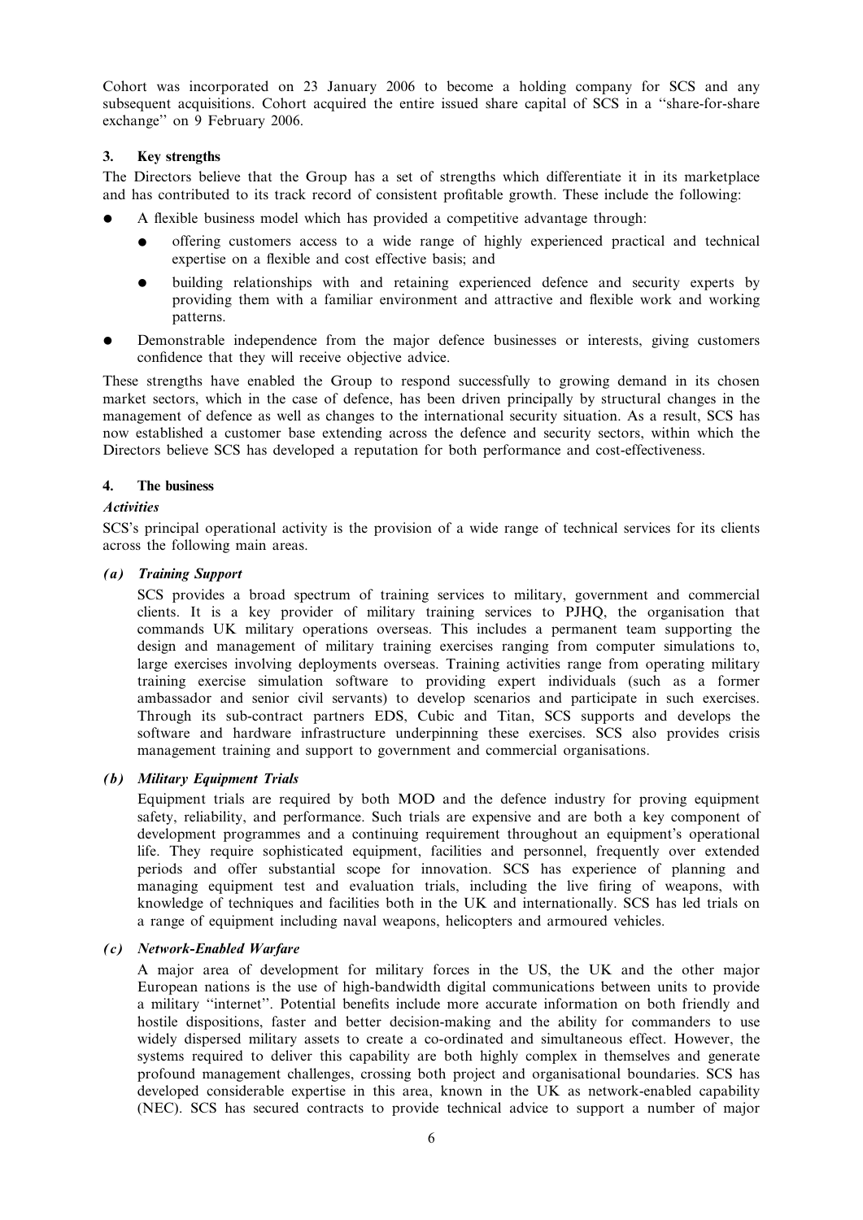Cohort was incorporated on 23 January 2006 to become a holding company for SCS and any subsequent acquisitions. Cohort acquired the entire issued share capital of SCS in a ''share-for-share exchange'' on 9 February 2006.

## 3. Key strengths

The Directors believe that the Group has a set of strengths which differentiate it in its marketplace and has contributed to its track record of consistent profitable growth. These include the following:

- A flexible business model which has provided a competitive advantage through:
	- \* offering customers access to a wide range of highly experienced practical and technical expertise on a flexible and cost effective basis; and
	- building relationships with and retaining experienced defence and security experts by providing them with a familiar environment and attractive and flexible work and working patterns.
- Demonstrable independence from the major defence businesses or interests, giving customers confidence that they will receive objective advice.

These strengths have enabled the Group to respond successfully to growing demand in its chosen market sectors, which in the case of defence, has been driven principally by structural changes in the management of defence as well as changes to the international security situation. As a result, SCS has now established a customer base extending across the defence and security sectors, within which the Directors believe SCS has developed a reputation for both performance and cost-effectiveness.

## 4. The business

## **Activities**

SCS's principal operational activity is the provision of a wide range of technical services for its clients across the following main areas.

## (a) Training Support

SCS provides a broad spectrum of training services to military, government and commercial clients. It is a key provider of military training services to PJHQ, the organisation that commands UK military operations overseas. This includes a permanent team supporting the design and management of military training exercises ranging from computer simulations to, large exercises involving deployments overseas. Training activities range from operating military training exercise simulation software to providing expert individuals (such as a former ambassador and senior civil servants) to develop scenarios and participate in such exercises. Through its sub-contract partners EDS, Cubic and Titan, SCS supports and develops the software and hardware infrastructure underpinning these exercises. SCS also provides crisis management training and support to government and commercial organisations.

## (b) Military Equipment Trials

Equipment trials are required by both MOD and the defence industry for proving equipment safety, reliability, and performance. Such trials are expensive and are both a key component of development programmes and a continuing requirement throughout an equipment's operational life. They require sophisticated equipment, facilities and personnel, frequently over extended periods and offer substantial scope for innovation. SCS has experience of planning and managing equipment test and evaluation trials, including the live firing of weapons, with knowledge of techniques and facilities both in the UK and internationally. SCS has led trials on a range of equipment including naval weapons, helicopters and armoured vehicles.

## (c) Network-Enabled Warfare

A major area of development for military forces in the US, the UK and the other major European nations is the use of high-bandwidth digital communications between units to provide a military ''internet''. Potential benefits include more accurate information on both friendly and hostile dispositions, faster and better decision-making and the ability for commanders to use widely dispersed military assets to create a co-ordinated and simultaneous effect. However, the systems required to deliver this capability are both highly complex in themselves and generate profound management challenges, crossing both project and organisational boundaries. SCS has developed considerable expertise in this area, known in the UK as network-enabled capability (NEC). SCS has secured contracts to provide technical advice to support a number of major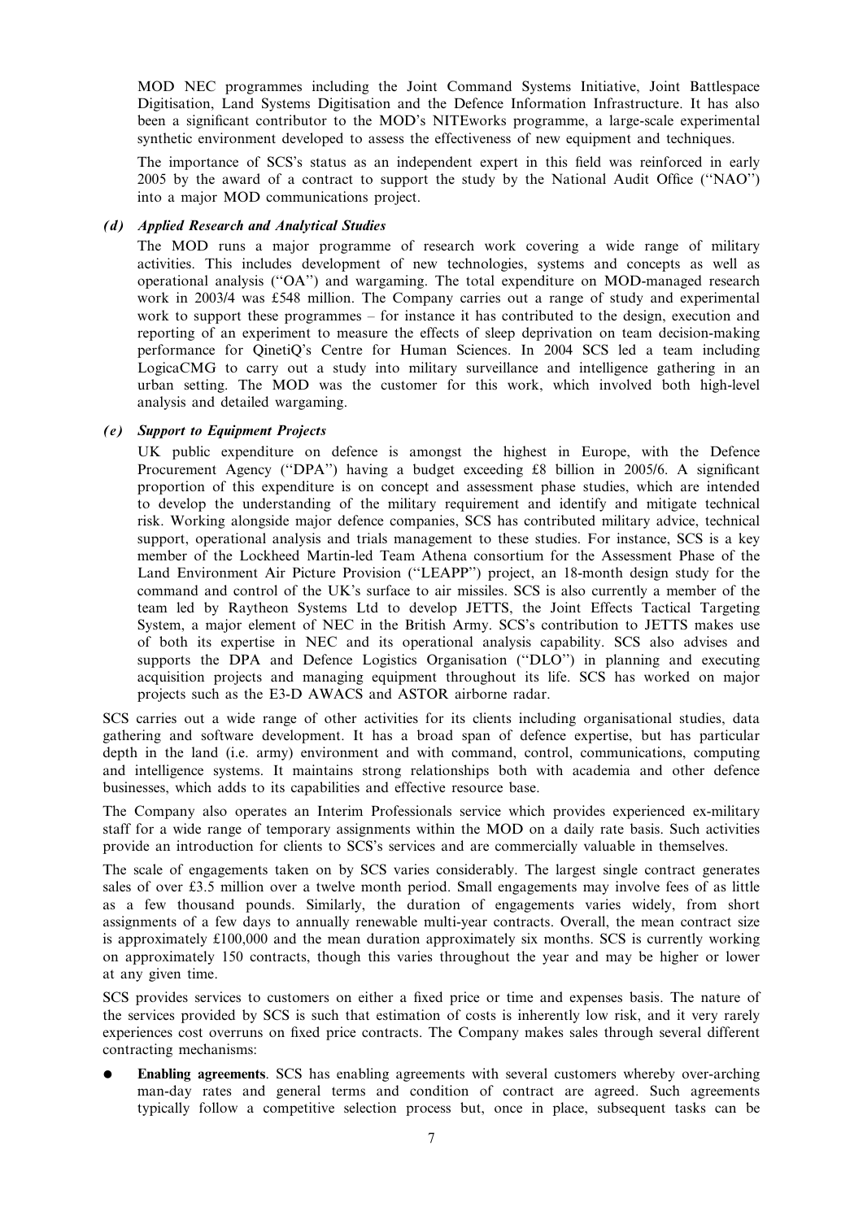MOD NEC programmes including the Joint Command Systems Initiative, Joint Battlespace Digitisation, Land Systems Digitisation and the Defence Information Infrastructure. It has also been a significant contributor to the MOD's NITEworks programme, a large-scale experimental synthetic environment developed to assess the effectiveness of new equipment and techniques.

The importance of SCS's status as an independent expert in this field was reinforced in early 2005 by the award of a contract to support the study by the National Audit Office (''NAO'') into a major MOD communications project.

## (d) Applied Research and Analytical Studies

The MOD runs a major programme of research work covering a wide range of military activities. This includes development of new technologies, systems and concepts as well as operational analysis (''OA'') and wargaming. The total expenditure on MOD-managed research work in 2003/4 was £548 million. The Company carries out a range of study and experimental work to support these programmes – for instance it has contributed to the design, execution and reporting of an experiment to measure the effects of sleep deprivation on team decision-making performance for QinetiQ's Centre for Human Sciences. In 2004 SCS led a team including LogicaCMG to carry out a study into military surveillance and intelligence gathering in an urban setting. The MOD was the customer for this work, which involved both high-level analysis and detailed wargaming.

## (e) Support to Equipment Projects

UK public expenditure on defence is amongst the highest in Europe, with the Defence Procurement Agency (''DPA'') having a budget exceeding £8 billion in 2005/6. A significant proportion of this expenditure is on concept and assessment phase studies, which are intended to develop the understanding of the military requirement and identify and mitigate technical risk. Working alongside major defence companies, SCS has contributed military advice, technical support, operational analysis and trials management to these studies. For instance, SCS is a key member of the Lockheed Martin-led Team Athena consortium for the Assessment Phase of the Land Environment Air Picture Provision (''LEAPP'') project, an 18-month design study for the command and control of the UK's surface to air missiles. SCS is also currently a member of the team led by Raytheon Systems Ltd to develop JETTS, the Joint Effects Tactical Targeting System, a major element of NEC in the British Army. SCS's contribution to JETTS makes use of both its expertise in NEC and its operational analysis capability. SCS also advises and supports the DPA and Defence Logistics Organisation ("DLO") in planning and executing acquisition projects and managing equipment throughout its life. SCS has worked on major projects such as the E3-D AWACS and ASTOR airborne radar.

SCS carries out a wide range of other activities for its clients including organisational studies, data gathering and software development. It has a broad span of defence expertise, but has particular depth in the land (i.e. army) environment and with command, control, communications, computing and intelligence systems. It maintains strong relationships both with academia and other defence businesses, which adds to its capabilities and effective resource base.

The Company also operates an Interim Professionals service which provides experienced ex-military staff for a wide range of temporary assignments within the MOD on a daily rate basis. Such activities provide an introduction for clients to SCS's services and are commercially valuable in themselves.

The scale of engagements taken on by SCS varies considerably. The largest single contract generates sales of over £3.5 million over a twelve month period. Small engagements may involve fees of as little as a few thousand pounds. Similarly, the duration of engagements varies widely, from short assignments of a few days to annually renewable multi-year contracts. Overall, the mean contract size is approximately £100,000 and the mean duration approximately six months. SCS is currently working on approximately 150 contracts, though this varies throughout the year and may be higher or lower at any given time.

SCS provides services to customers on either a fixed price or time and expenses basis. The nature of the services provided by SCS is such that estimation of costs is inherently low risk, and it very rarely experiences cost overruns on fixed price contracts. The Company makes sales through several different contracting mechanisms:

**Enabling agreements.** SCS has enabling agreements with several customers whereby over-arching man-day rates and general terms and condition of contract are agreed. Such agreements typically follow a competitive selection process but, once in place, subsequent tasks can be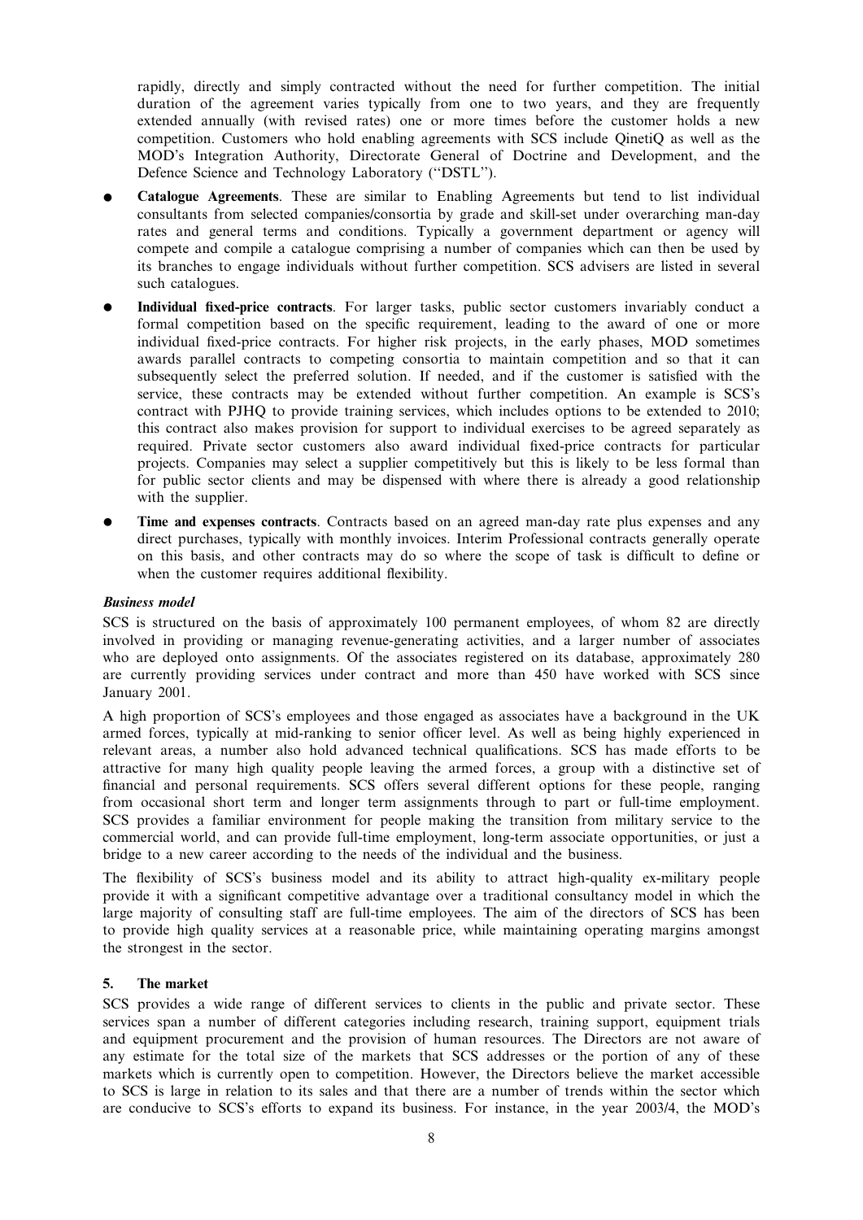rapidly, directly and simply contracted without the need for further competition. The initial duration of the agreement varies typically from one to two years, and they are frequently extended annually (with revised rates) one or more times before the customer holds a new competition. Customers who hold enabling agreements with SCS include QinetiQ as well as the MOD's Integration Authority, Directorate General of Doctrine and Development, and the Defence Science and Technology Laboratory (''DSTL'').

- Catalogue Agreements. These are similar to Enabling Agreements but tend to list individual consultants from selected companies/consortia by grade and skill-set under overarching man-day rates and general terms and conditions. Typically a government department or agency will compete and compile a catalogue comprising a number of companies which can then be used by its branches to engage individuals without further competition. SCS advisers are listed in several such catalogues.
- Individual fixed-price contracts. For larger tasks, public sector customers invariably conduct a formal competition based on the specific requirement, leading to the award of one or more individual fixed-price contracts. For higher risk projects, in the early phases, MOD sometimes awards parallel contracts to competing consortia to maintain competition and so that it can subsequently select the preferred solution. If needed, and if the customer is satisfied with the service, these contracts may be extended without further competition. An example is SCS's contract with PJHQ to provide training services, which includes options to be extended to 2010; this contract also makes provision for support to individual exercises to be agreed separately as required. Private sector customers also award individual fixed-price contracts for particular projects. Companies may select a supplier competitively but this is likely to be less formal than for public sector clients and may be dispensed with where there is already a good relationship with the supplier.
- Time and expenses contracts. Contracts based on an agreed man-day rate plus expenses and any direct purchases, typically with monthly invoices. Interim Professional contracts generally operate on this basis, and other contracts may do so where the scope of task is difficult to define or when the customer requires additional flexibility.

#### Business model

SCS is structured on the basis of approximately 100 permanent employees, of whom 82 are directly involved in providing or managing revenue-generating activities, and a larger number of associates who are deployed onto assignments. Of the associates registered on its database, approximately 280 are currently providing services under contract and more than 450 have worked with SCS since January 2001.

A high proportion of SCS's employees and those engaged as associates have a background in the UK armed forces, typically at mid-ranking to senior officer level. As well as being highly experienced in relevant areas, a number also hold advanced technical qualifications. SCS has made efforts to be attractive for many high quality people leaving the armed forces, a group with a distinctive set of financial and personal requirements. SCS offers several different options for these people, ranging from occasional short term and longer term assignments through to part or full-time employment. SCS provides a familiar environment for people making the transition from military service to the commercial world, and can provide full-time employment, long-term associate opportunities, or just a bridge to a new career according to the needs of the individual and the business.

The flexibility of SCS's business model and its ability to attract high-quality ex-military people provide it with a significant competitive advantage over a traditional consultancy model in which the large majority of consulting staff are full-time employees. The aim of the directors of SCS has been to provide high quality services at a reasonable price, while maintaining operating margins amongst the strongest in the sector.

#### 5. The market

SCS provides a wide range of different services to clients in the public and private sector. These services span a number of different categories including research, training support, equipment trials and equipment procurement and the provision of human resources. The Directors are not aware of any estimate for the total size of the markets that SCS addresses or the portion of any of these markets which is currently open to competition. However, the Directors believe the market accessible to SCS is large in relation to its sales and that there are a number of trends within the sector which are conducive to SCS's efforts to expand its business. For instance, in the year 2003/4, the MOD's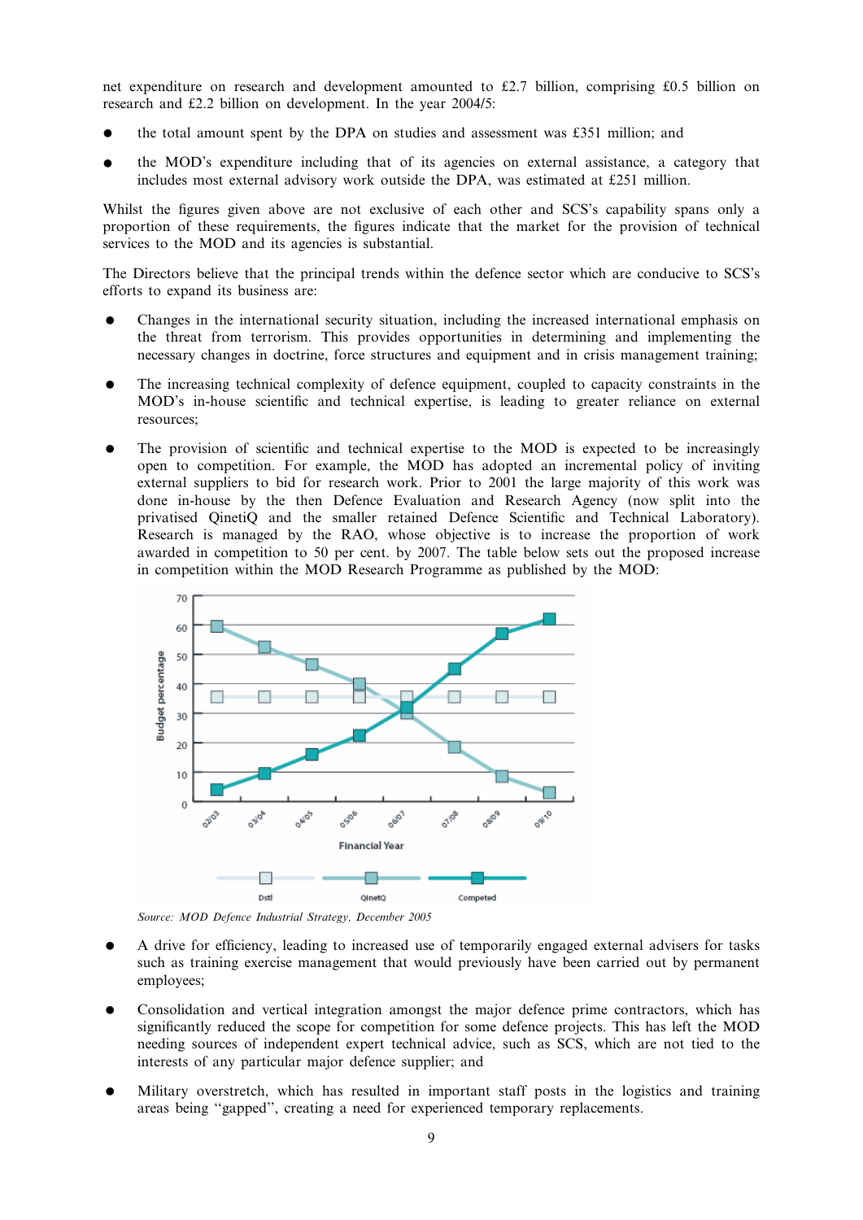net expenditure on research and development amounted to £2.7 billion, comprising £0.5 billion on research and £2.2 billion on development. In the year 2004/5:

- the total amount spent by the DPA on studies and assessment was £351 million; and
- the MOD's expenditure including that of its agencies on external assistance, a category that includes most external advisory work outside the DPA, was estimated at £251 million.

Whilst the figures given above are not exclusive of each other and SCS's capability spans only a proportion of these requirements, the figures indicate that the market for the provision of technical services to the MOD and its agencies is substantial.

The Directors believe that the principal trends within the defence sector which are conducive to SCS's efforts to expand its business are:

- Changes in the international security situation, including the increased international emphasis on the threat from terrorism. This provides opportunities in determining and implementing the necessary changes in doctrine, force structures and equipment and in crisis management training;
- The increasing technical complexity of defence equipment, coupled to capacity constraints in the MOD's in-house scientific and technical expertise, is leading to greater reliance on external resources;
- The provision of scientific and technical expertise to the MOD is expected to be increasingly open to competition. For example, the MOD has adopted an incremental policy of inviting external suppliers to bid for research work. Prior to 2001 the large majority of this work was done in-house by the then Defence Evaluation and Research Agency (now split into the privatised QinetiQ and the smaller retained Defence Scientific and Technical Laboratory). Research is managed by the RAO, whose objective is to increase the proportion of work awarded in competition to 50 per cent. by 2007. The table below sets out the proposed increase in competition within the MOD Research Programme as published by the MOD:



Source: MOD Defence Industrial Strategy, December 2005

- A drive for efficiency, leading to increased use of temporarily engaged external advisers for tasks such as training exercise management that would previously have been carried out by permanent employees;
- \* Consolidation and vertical integration amongst the major defence prime contractors, which has significantly reduced the scope for competition for some defence projects. This has left the MOD needing sources of independent expert technical advice, such as SCS, which are not tied to the interests of any particular major defence supplier; and
- Military overstretch, which has resulted in important staff posts in the logistics and training areas being ''gapped'', creating a need for experienced temporary replacements.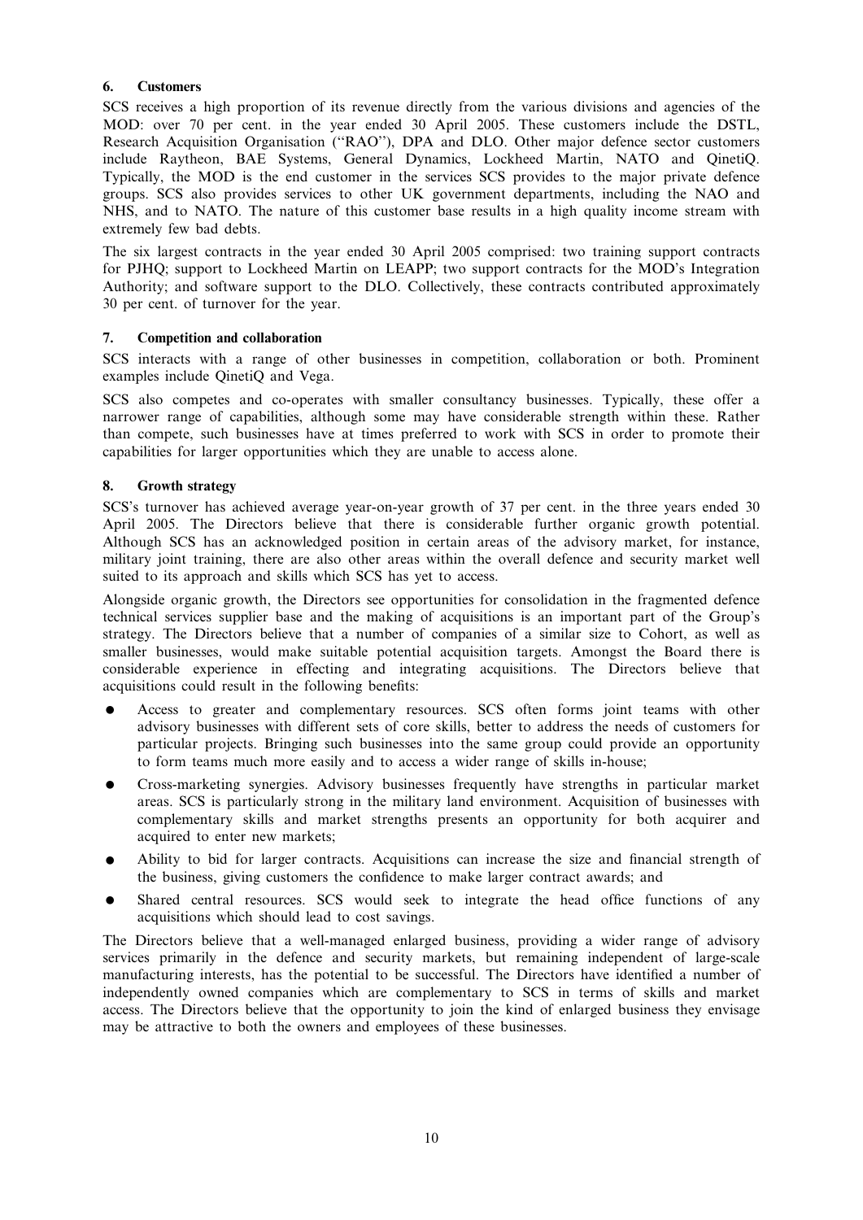## 6. Customers

SCS receives a high proportion of its revenue directly from the various divisions and agencies of the MOD: over 70 per cent. in the year ended 30 April 2005. These customers include the DSTL, Research Acquisition Organisation (''RAO''), DPA and DLO. Other major defence sector customers include Raytheon, BAE Systems, General Dynamics, Lockheed Martin, NATO and QinetiQ. Typically, the MOD is the end customer in the services SCS provides to the major private defence groups. SCS also provides services to other UK government departments, including the NAO and NHS, and to NATO. The nature of this customer base results in a high quality income stream with extremely few bad debts.

The six largest contracts in the year ended 30 April 2005 comprised: two training support contracts for PJHQ; support to Lockheed Martin on LEAPP; two support contracts for the MOD's Integration Authority; and software support to the DLO. Collectively, these contracts contributed approximately 30 per cent. of turnover for the year.

## 7. Competition and collaboration

SCS interacts with a range of other businesses in competition, collaboration or both. Prominent examples include QinetiQ and Vega.

SCS also competes and co-operates with smaller consultancy businesses. Typically, these offer a narrower range of capabilities, although some may have considerable strength within these. Rather than compete, such businesses have at times preferred to work with SCS in order to promote their capabilities for larger opportunities which they are unable to access alone.

## 8. Growth strategy

SCS's turnover has achieved average year-on-year growth of 37 per cent. in the three years ended 30 April 2005. The Directors believe that there is considerable further organic growth potential. Although SCS has an acknowledged position in certain areas of the advisory market, for instance, military joint training, there are also other areas within the overall defence and security market well suited to its approach and skills which SCS has yet to access.

Alongside organic growth, the Directors see opportunities for consolidation in the fragmented defence technical services supplier base and the making of acquisitions is an important part of the Group's strategy. The Directors believe that a number of companies of a similar size to Cohort, as well as smaller businesses, would make suitable potential acquisition targets. Amongst the Board there is considerable experience in effecting and integrating acquisitions. The Directors believe that acquisitions could result in the following benefits:

- Access to greater and complementary resources. SCS often forms joint teams with other advisory businesses with different sets of core skills, better to address the needs of customers for particular projects. Bringing such businesses into the same group could provide an opportunity to form teams much more easily and to access a wider range of skills in-house;
- \* Cross-marketing synergies. Advisory businesses frequently have strengths in particular market areas. SCS is particularly strong in the military land environment. Acquisition of businesses with complementary skills and market strengths presents an opportunity for both acquirer and acquired to enter new markets;
- Ability to bid for larger contracts. Acquisitions can increase the size and financial strength of the business, giving customers the confidence to make larger contract awards; and
- Shared central resources. SCS would seek to integrate the head office functions of any acquisitions which should lead to cost savings.

The Directors believe that a well-managed enlarged business, providing a wider range of advisory services primarily in the defence and security markets, but remaining independent of large-scale manufacturing interests, has the potential to be successful. The Directors have identified a number of independently owned companies which are complementary to SCS in terms of skills and market access. The Directors believe that the opportunity to join the kind of enlarged business they envisage may be attractive to both the owners and employees of these businesses.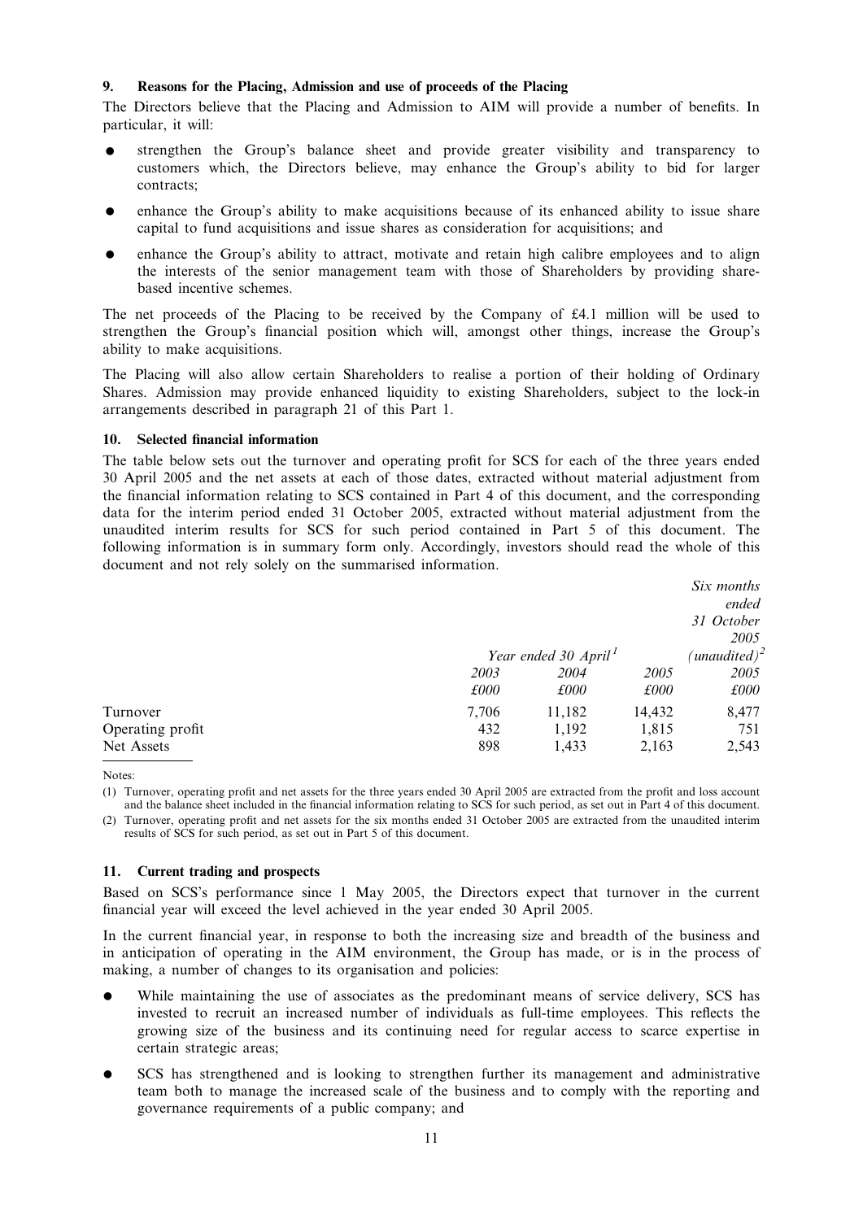## 9. Reasons for the Placing, Admission and use of proceeds of the Placing

The Directors believe that the Placing and Admission to AIM will provide a number of benefits. In particular, it will:

- strengthen the Group's balance sheet and provide greater visibility and transparency to customers which, the Directors believe, may enhance the Group's ability to bid for larger contracts;
- enhance the Group's ability to make acquisitions because of its enhanced ability to issue share capital to fund acquisitions and issue shares as consideration for acquisitions; and
- enhance the Group's ability to attract, motivate and retain high calibre employees and to align the interests of the senior management team with those of Shareholders by providing sharebased incentive schemes.

The net proceeds of the Placing to be received by the Company of £4.1 million will be used to strengthen the Group's financial position which will, amongst other things, increase the Group's ability to make acquisitions.

The Placing will also allow certain Shareholders to realise a portion of their holding of Ordinary Shares. Admission may provide enhanced liquidity to existing Shareholders, subject to the lock-in arrangements described in paragraph 21 of this Part 1.

## 10. Selected financial information

The table below sets out the turnover and operating profit for SCS for each of the three years ended 30 April 2005 and the net assets at each of those dates, extracted without material adjustment from the financial information relating to SCS contained in Part 4 of this document, and the corresponding data for the interim period ended 31 October 2005, extracted without material adjustment from the unaudited interim results for SCS for such period contained in Part 5 of this document. The following information is in summary form only. Accordingly, investors should read the whole of this document and not rely solely on the summarised information.

|                  |               |                                  |               | Six months                    |
|------------------|---------------|----------------------------------|---------------|-------------------------------|
|                  |               |                                  |               | ended                         |
|                  |               |                                  |               | 31 October                    |
|                  |               |                                  |               | 2005                          |
|                  |               | Year ended 30 April <sup>1</sup> |               | $\mu$ unaudited) <sup>2</sup> |
|                  | 2003          | 2004                             | 2005          | 2005                          |
|                  | $\pounds 000$ | $\pounds 000$                    | $\pounds 000$ | $\pounds 000$                 |
| Turnover         | 7,706         | 11,182                           | 14,432        | 8,477                         |
| Operating profit | 432           | 1,192                            | 1,815         | 751                           |
| Net Assets       | 898           | 1,433                            | 2,163         | 2,543                         |
|                  |               |                                  |               |                               |

Notes:

(1) Turnover, operating profit and net assets for the three years ended 30 April 2005 are extracted from the profit and loss account and the balance sheet included in the financial information relating to SCS for such period, as set out in Part 4 of this document.

(2) Turnover, operating profit and net assets for the six months ended 31 October 2005 are extracted from the unaudited interim results of SCS for such period, as set out in Part 5 of this document.

## 11. Current trading and prospects

Based on SCS's performance since 1 May 2005, the Directors expect that turnover in the current financial year will exceed the level achieved in the year ended 30 April 2005.

In the current financial year, in response to both the increasing size and breadth of the business and in anticipation of operating in the AIM environment, the Group has made, or is in the process of making, a number of changes to its organisation and policies:

- While maintaining the use of associates as the predominant means of service delivery, SCS has invested to recruit an increased number of individuals as full-time employees. This reflects the growing size of the business and its continuing need for regular access to scarce expertise in certain strategic areas;
- SCS has strengthened and is looking to strengthen further its management and administrative team both to manage the increased scale of the business and to comply with the reporting and governance requirements of a public company; and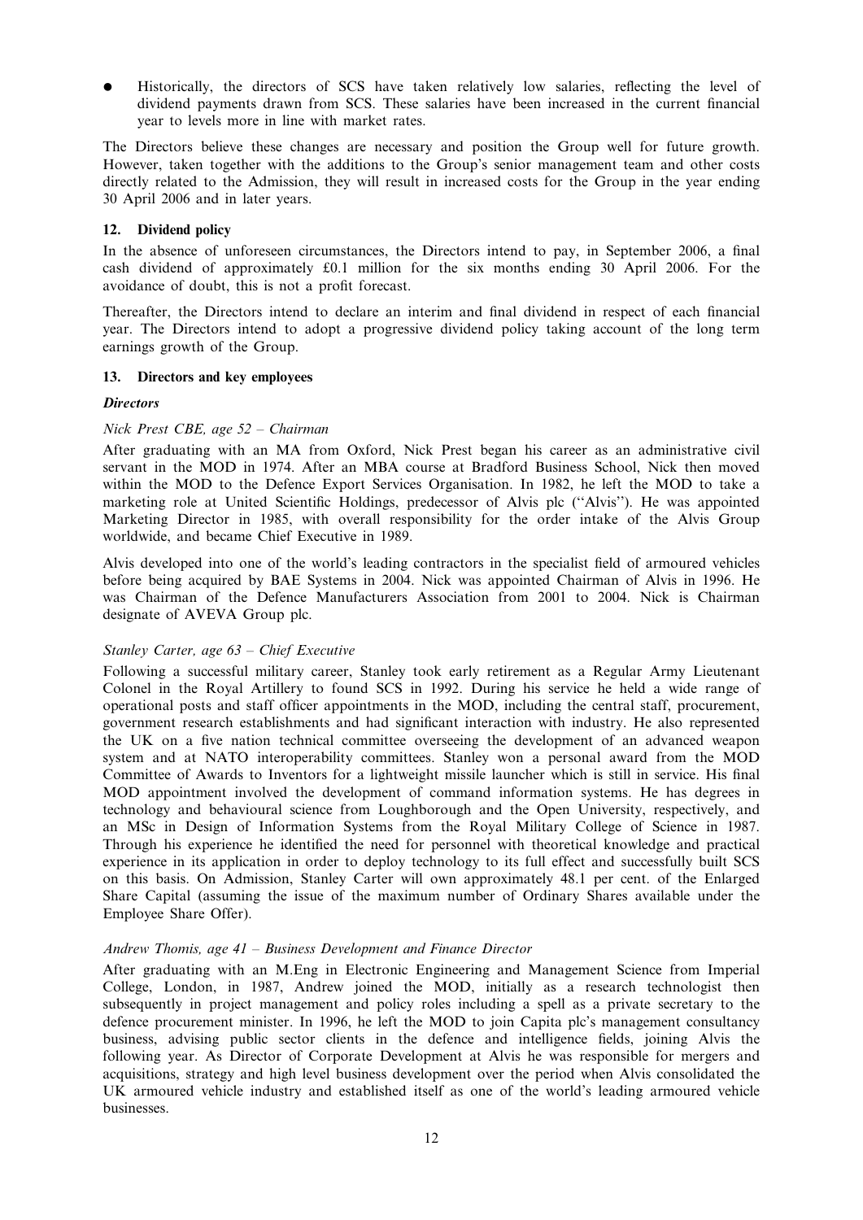Historically, the directors of SCS have taken relatively low salaries, reflecting the level of dividend payments drawn from SCS. These salaries have been increased in the current financial year to levels more in line with market rates.

The Directors believe these changes are necessary and position the Group well for future growth. However, taken together with the additions to the Group's senior management team and other costs directly related to the Admission, they will result in increased costs for the Group in the year ending 30 April 2006 and in later years.

## 12. Dividend policy

In the absence of unforeseen circumstances, the Directors intend to pay, in September 2006, a final cash dividend of approximately £0.1 million for the six months ending 30 April 2006. For the avoidance of doubt, this is not a profit forecast.

Thereafter, the Directors intend to declare an interim and final dividend in respect of each financial year. The Directors intend to adopt a progressive dividend policy taking account of the long term earnings growth of the Group.

## 13. Directors and key employees

## **Directors**

## Nick Prest CBE, age 52 – Chairman

After graduating with an MA from Oxford, Nick Prest began his career as an administrative civil servant in the MOD in 1974. After an MBA course at Bradford Business School, Nick then moved within the MOD to the Defence Export Services Organisation. In 1982, he left the MOD to take a marketing role at United Scientific Holdings, predecessor of Alvis plc (''Alvis''). He was appointed Marketing Director in 1985, with overall responsibility for the order intake of the Alvis Group worldwide, and became Chief Executive in 1989.

Alvis developed into one of the world's leading contractors in the specialist field of armoured vehicles before being acquired by BAE Systems in 2004. Nick was appointed Chairman of Alvis in 1996. He was Chairman of the Defence Manufacturers Association from 2001 to 2004. Nick is Chairman designate of AVEVA Group plc.

## Stanley Carter, age 63 – Chief Executive

Following a successful military career, Stanley took early retirement as a Regular Army Lieutenant Colonel in the Royal Artillery to found SCS in 1992. During his service he held a wide range of operational posts and staff officer appointments in the MOD, including the central staff, procurement, government research establishments and had significant interaction with industry. He also represented the UK on a five nation technical committee overseeing the development of an advanced weapon system and at NATO interoperability committees. Stanley won a personal award from the MOD Committee of Awards to Inventors for a lightweight missile launcher which is still in service. His final MOD appointment involved the development of command information systems. He has degrees in technology and behavioural science from Loughborough and the Open University, respectively, and an MSc in Design of Information Systems from the Royal Military College of Science in 1987. Through his experience he identified the need for personnel with theoretical knowledge and practical experience in its application in order to deploy technology to its full effect and successfully built SCS on this basis. On Admission, Stanley Carter will own approximately 48.1 per cent. of the Enlarged Share Capital (assuming the issue of the maximum number of Ordinary Shares available under the Employee Share Offer).

## Andrew Thomis, age 41 – Business Development and Finance Director

After graduating with an M.Eng in Electronic Engineering and Management Science from Imperial College, London, in 1987, Andrew joined the MOD, initially as a research technologist then subsequently in project management and policy roles including a spell as a private secretary to the defence procurement minister. In 1996, he left the MOD to join Capita plc's management consultancy business, advising public sector clients in the defence and intelligence fields, joining Alvis the following year. As Director of Corporate Development at Alvis he was responsible for mergers and acquisitions, strategy and high level business development over the period when Alvis consolidated the UK armoured vehicle industry and established itself as one of the world's leading armoured vehicle businesses.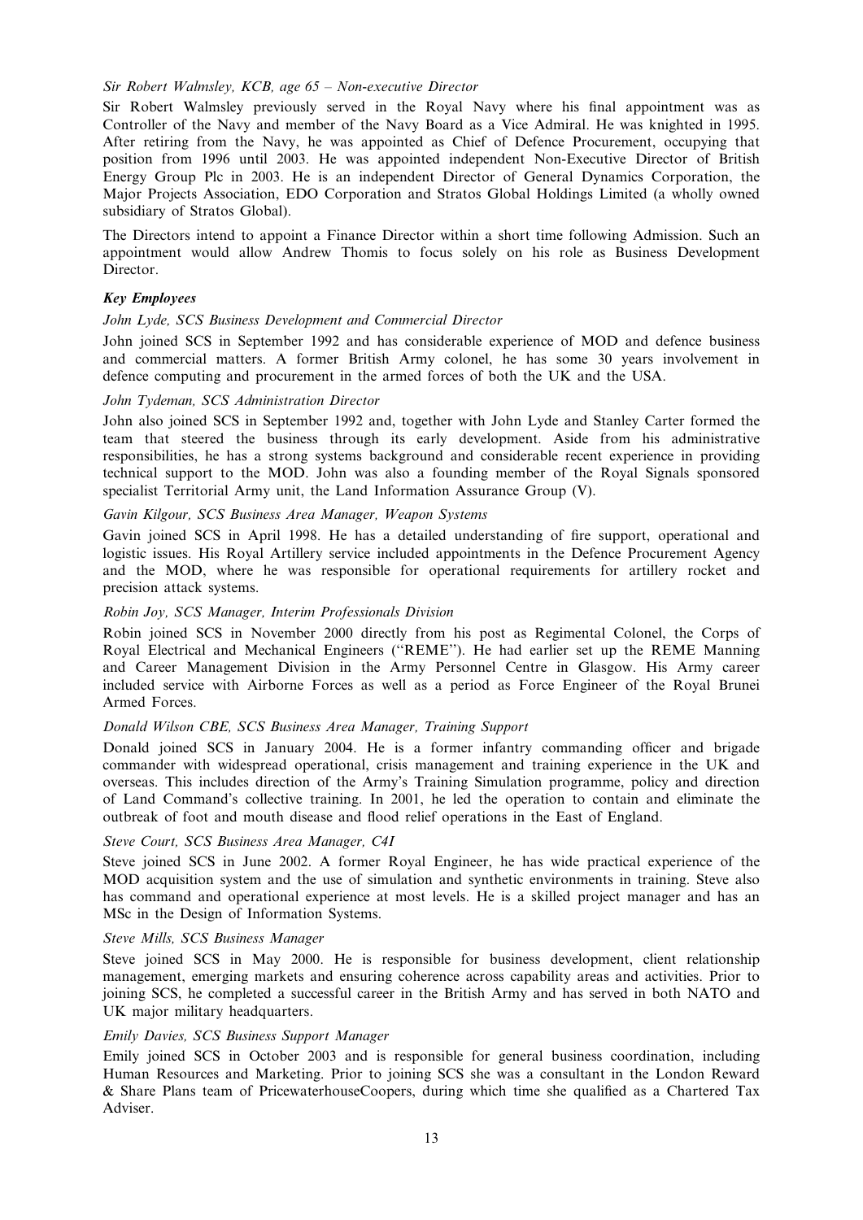## Sir Robert Walmsley, KCB, age 65 – Non-executive Director

Sir Robert Walmsley previously served in the Royal Navy where his final appointment was as Controller of the Navy and member of the Navy Board as a Vice Admiral. He was knighted in 1995. After retiring from the Navy, he was appointed as Chief of Defence Procurement, occupying that position from 1996 until 2003. He was appointed independent Non-Executive Director of British Energy Group Plc in 2003. He is an independent Director of General Dynamics Corporation, the Major Projects Association, EDO Corporation and Stratos Global Holdings Limited (a wholly owned subsidiary of Stratos Global).

The Directors intend to appoint a Finance Director within a short time following Admission. Such an appointment would allow Andrew Thomis to focus solely on his role as Business Development Director.

## Key Employees

## John Lyde, SCS Business Development and Commercial Director

John joined SCS in September 1992 and has considerable experience of MOD and defence business and commercial matters. A former British Army colonel, he has some 30 years involvement in defence computing and procurement in the armed forces of both the UK and the USA.

## John Tydeman, SCS Administration Director

John also joined SCS in September 1992 and, together with John Lyde and Stanley Carter formed the team that steered the business through its early development. Aside from his administrative responsibilities, he has a strong systems background and considerable recent experience in providing technical support to the MOD. John was also a founding member of the Royal Signals sponsored specialist Territorial Army unit, the Land Information Assurance Group (V).

## Gavin Kilgour, SCS Business Area Manager, Weapon Systems

Gavin joined SCS in April 1998. He has a detailed understanding of fire support, operational and logistic issues. His Royal Artillery service included appointments in the Defence Procurement Agency and the MOD, where he was responsible for operational requirements for artillery rocket and precision attack systems.

## Robin Joy, SCS Manager, Interim Professionals Division

Robin joined SCS in November 2000 directly from his post as Regimental Colonel, the Corps of Royal Electrical and Mechanical Engineers (''REME''). He had earlier set up the REME Manning and Career Management Division in the Army Personnel Centre in Glasgow. His Army career included service with Airborne Forces as well as a period as Force Engineer of the Royal Brunei Armed Forces.

## Donald Wilson CBE, SCS Business Area Manager, Training Support

Donald joined SCS in January 2004. He is a former infantry commanding officer and brigade commander with widespread operational, crisis management and training experience in the UK and overseas. This includes direction of the Army's Training Simulation programme, policy and direction of Land Command's collective training. In 2001, he led the operation to contain and eliminate the outbreak of foot and mouth disease and flood relief operations in the East of England.

## Steve Court, SCS Business Area Manager, C4I

Steve joined SCS in June 2002. A former Royal Engineer, he has wide practical experience of the MOD acquisition system and the use of simulation and synthetic environments in training. Steve also has command and operational experience at most levels. He is a skilled project manager and has an MSc in the Design of Information Systems.

## Steve Mills, SCS Business Manager

Steve joined SCS in May 2000. He is responsible for business development, client relationship management, emerging markets and ensuring coherence across capability areas and activities. Prior to joining SCS, he completed a successful career in the British Army and has served in both NATO and UK major military headquarters.

## Emily Davies, SCS Business Support Manager

Emily joined SCS in October 2003 and is responsible for general business coordination, including Human Resources and Marketing. Prior to joining SCS she was a consultant in the London Reward & Share Plans team of PricewaterhouseCoopers, during which time she qualified as a Chartered Tax Adviser.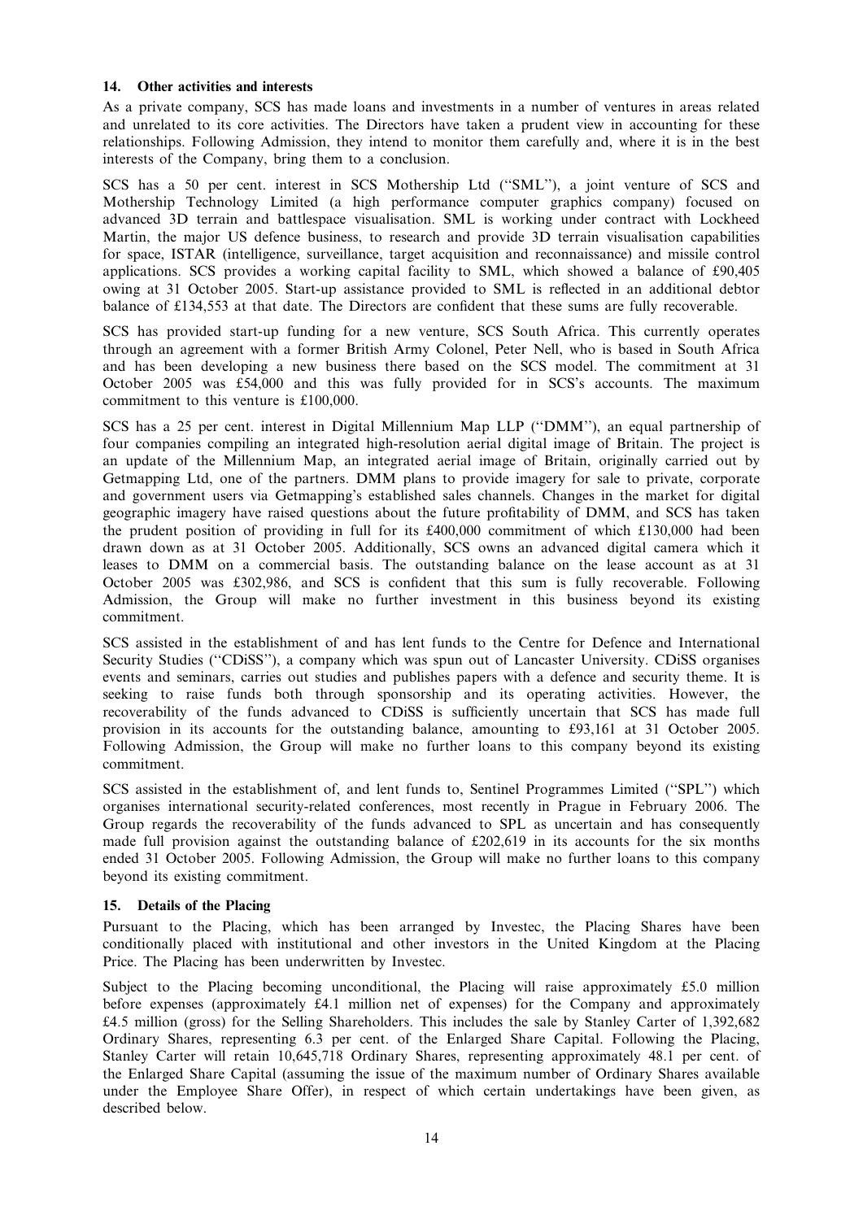## 14. Other activities and interests

As a private company, SCS has made loans and investments in a number of ventures in areas related and unrelated to its core activities. The Directors have taken a prudent view in accounting for these relationships. Following Admission, they intend to monitor them carefully and, where it is in the best interests of the Company, bring them to a conclusion.

SCS has a 50 per cent. interest in SCS Mothership Ltd (''SML''), a joint venture of SCS and Mothership Technology Limited (a high performance computer graphics company) focused on advanced 3D terrain and battlespace visualisation. SML is working under contract with Lockheed Martin, the major US defence business, to research and provide 3D terrain visualisation capabilities for space, ISTAR (intelligence, surveillance, target acquisition and reconnaissance) and missile control applications. SCS provides a working capital facility to SML, which showed a balance of £90,405 owing at 31 October 2005. Start-up assistance provided to SML is reflected in an additional debtor balance of £134,553 at that date. The Directors are confident that these sums are fully recoverable.

SCS has provided start-up funding for a new venture, SCS South Africa. This currently operates through an agreement with a former British Army Colonel, Peter Nell, who is based in South Africa and has been developing a new business there based on the SCS model. The commitment at 31 October 2005 was £54,000 and this was fully provided for in SCS's accounts. The maximum commitment to this venture is £100,000.

SCS has a 25 per cent. interest in Digital Millennium Map LLP (''DMM''), an equal partnership of four companies compiling an integrated high-resolution aerial digital image of Britain. The project is an update of the Millennium Map, an integrated aerial image of Britain, originally carried out by Getmapping Ltd, one of the partners. DMM plans to provide imagery for sale to private, corporate and government users via Getmapping's established sales channels. Changes in the market for digital geographic imagery have raised questions about the future profitability of DMM, and SCS has taken the prudent position of providing in full for its £400,000 commitment of which £130,000 had been drawn down as at 31 October 2005. Additionally, SCS owns an advanced digital camera which it leases to DMM on a commercial basis. The outstanding balance on the lease account as at 31 October 2005 was £302,986, and SCS is confident that this sum is fully recoverable. Following Admission, the Group will make no further investment in this business beyond its existing commitment.

SCS assisted in the establishment of and has lent funds to the Centre for Defence and International Security Studies ("CDiSS"), a company which was spun out of Lancaster University. CDiSS organises events and seminars, carries out studies and publishes papers with a defence and security theme. It is seeking to raise funds both through sponsorship and its operating activities. However, the recoverability of the funds advanced to CDiSS is sufficiently uncertain that SCS has made full provision in its accounts for the outstanding balance, amounting to £93,161 at 31 October 2005. Following Admission, the Group will make no further loans to this company beyond its existing commitment.

SCS assisted in the establishment of, and lent funds to, Sentinel Programmes Limited (''SPL'') which organises international security-related conferences, most recently in Prague in February 2006. The Group regards the recoverability of the funds advanced to SPL as uncertain and has consequently made full provision against the outstanding balance of £202,619 in its accounts for the six months ended 31 October 2005. Following Admission, the Group will make no further loans to this company beyond its existing commitment.

## 15. Details of the Placing

Pursuant to the Placing, which has been arranged by Investec, the Placing Shares have been conditionally placed with institutional and other investors in the United Kingdom at the Placing Price. The Placing has been underwritten by Investec.

Subject to the Placing becoming unconditional, the Placing will raise approximately  $£5.0$  million before expenses (approximately £4.1 million net of expenses) for the Company and approximately £4.5 million (gross) for the Selling Shareholders. This includes the sale by Stanley Carter of 1,392,682 Ordinary Shares, representing 6.3 per cent. of the Enlarged Share Capital. Following the Placing, Stanley Carter will retain 10,645,718 Ordinary Shares, representing approximately 48.1 per cent. of the Enlarged Share Capital (assuming the issue of the maximum number of Ordinary Shares available under the Employee Share Offer), in respect of which certain undertakings have been given, as described below.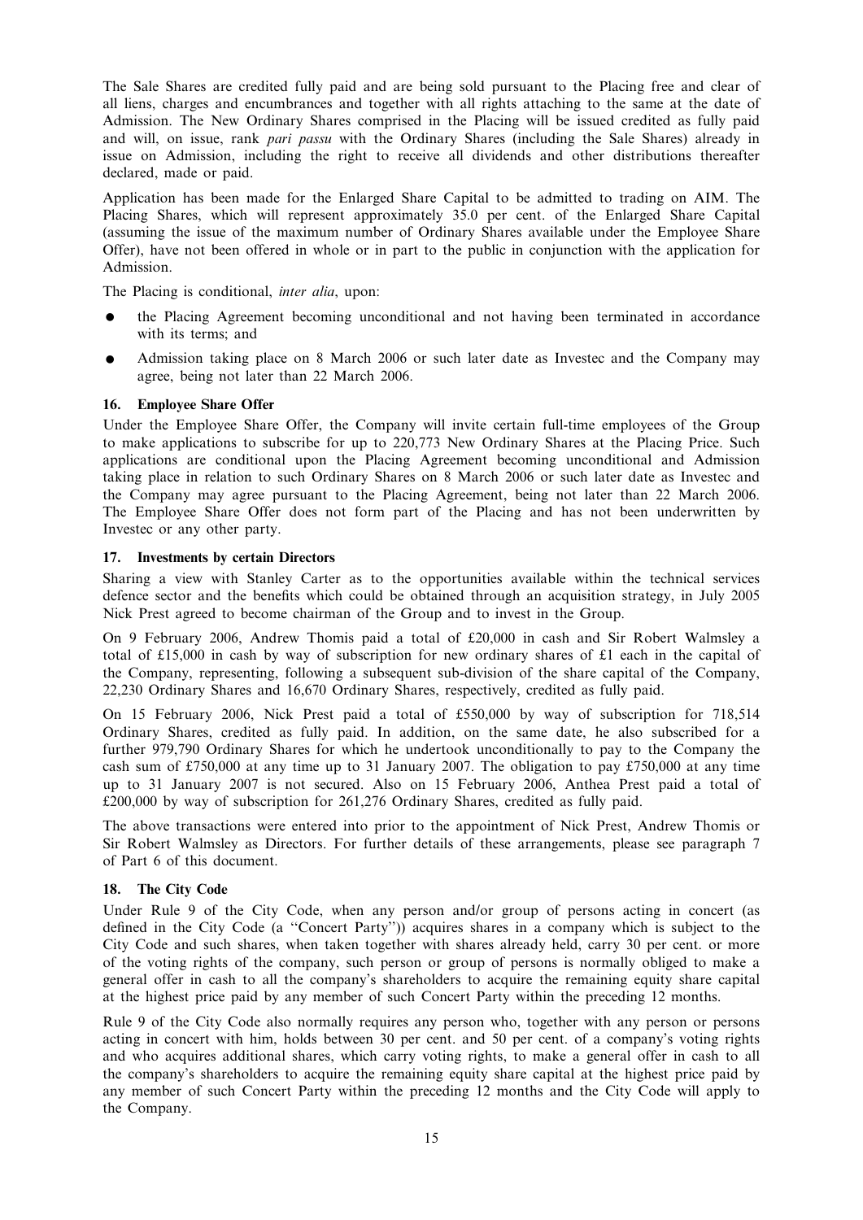The Sale Shares are credited fully paid and are being sold pursuant to the Placing free and clear of all liens, charges and encumbrances and together with all rights attaching to the same at the date of Admission. The New Ordinary Shares comprised in the Placing will be issued credited as fully paid and will, on issue, rank pari passu with the Ordinary Shares (including the Sale Shares) already in issue on Admission, including the right to receive all dividends and other distributions thereafter declared, made or paid.

Application has been made for the Enlarged Share Capital to be admitted to trading on AIM. The Placing Shares, which will represent approximately 35.0 per cent. of the Enlarged Share Capital (assuming the issue of the maximum number of Ordinary Shares available under the Employee Share Offer), have not been offered in whole or in part to the public in conjunction with the application for Admission.

The Placing is conditional, *inter alia*, upon:

- the Placing Agreement becoming unconditional and not having been terminated in accordance with its terms; and
- Admission taking place on 8 March 2006 or such later date as Investec and the Company may agree, being not later than 22 March 2006.

## 16. Employee Share Offer

Under the Employee Share Offer, the Company will invite certain full-time employees of the Group to make applications to subscribe for up to 220,773 New Ordinary Shares at the Placing Price. Such applications are conditional upon the Placing Agreement becoming unconditional and Admission taking place in relation to such Ordinary Shares on 8 March 2006 or such later date as Investec and the Company may agree pursuant to the Placing Agreement, being not later than 22 March 2006. The Employee Share Offer does not form part of the Placing and has not been underwritten by Investec or any other party.

## 17. Investments by certain Directors

Sharing a view with Stanley Carter as to the opportunities available within the technical services defence sector and the benefits which could be obtained through an acquisition strategy, in July 2005 Nick Prest agreed to become chairman of the Group and to invest in the Group.

On 9 February 2006, Andrew Thomis paid a total of £20,000 in cash and Sir Robert Walmsley a total of £15,000 in cash by way of subscription for new ordinary shares of £1 each in the capital of the Company, representing, following a subsequent sub-division of the share capital of the Company, 22,230 Ordinary Shares and 16,670 Ordinary Shares, respectively, credited as fully paid.

On 15 February 2006, Nick Prest paid a total of £550,000 by way of subscription for 718,514 Ordinary Shares, credited as fully paid. In addition, on the same date, he also subscribed for a further 979,790 Ordinary Shares for which he undertook unconditionally to pay to the Company the cash sum of £750,000 at any time up to 31 January 2007. The obligation to pay £750,000 at any time up to 31 January 2007 is not secured. Also on 15 February 2006, Anthea Prest paid a total of £200,000 by way of subscription for 261,276 Ordinary Shares, credited as fully paid.

The above transactions were entered into prior to the appointment of Nick Prest, Andrew Thomis or Sir Robert Walmsley as Directors. For further details of these arrangements, please see paragraph 7 of Part 6 of this document.

## 18. The City Code

Under Rule 9 of the City Code, when any person and/or group of persons acting in concert (as defined in the City Code (a ''Concert Party'')) acquires shares in a company which is subject to the City Code and such shares, when taken together with shares already held, carry 30 per cent. or more of the voting rights of the company, such person or group of persons is normally obliged to make a general offer in cash to all the company's shareholders to acquire the remaining equity share capital at the highest price paid by any member of such Concert Party within the preceding 12 months.

Rule 9 of the City Code also normally requires any person who, together with any person or persons acting in concert with him, holds between 30 per cent. and 50 per cent. of a company's voting rights and who acquires additional shares, which carry voting rights, to make a general offer in cash to all the company's shareholders to acquire the remaining equity share capital at the highest price paid by any member of such Concert Party within the preceding 12 months and the City Code will apply to the Company.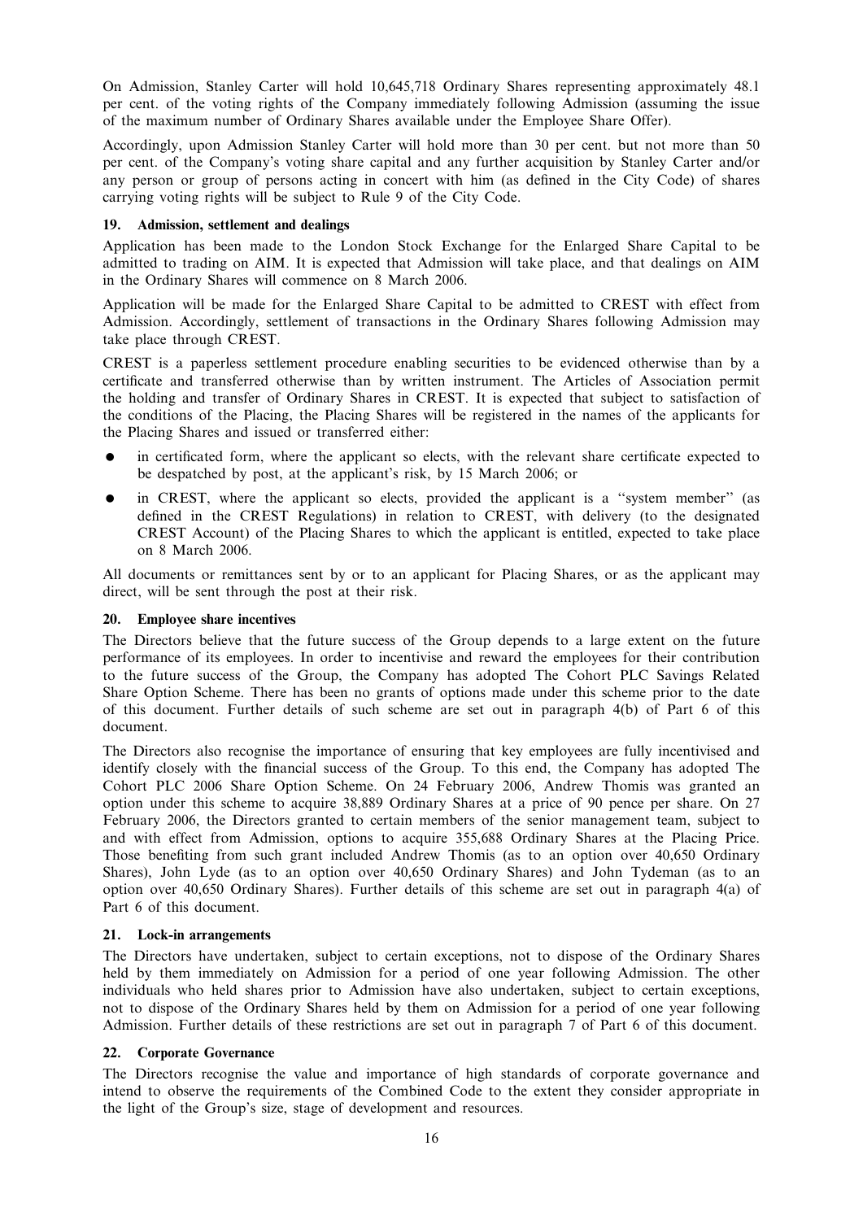On Admission, Stanley Carter will hold 10,645,718 Ordinary Shares representing approximately 48.1 per cent. of the voting rights of the Company immediately following Admission (assuming the issue of the maximum number of Ordinary Shares available under the Employee Share Offer).

Accordingly, upon Admission Stanley Carter will hold more than 30 per cent. but not more than 50 per cent. of the Company's voting share capital and any further acquisition by Stanley Carter and/or any person or group of persons acting in concert with him (as defined in the City Code) of shares carrying voting rights will be subject to Rule 9 of the City Code.

## 19. Admission, settlement and dealings

Application has been made to the London Stock Exchange for the Enlarged Share Capital to be admitted to trading on AIM. It is expected that Admission will take place, and that dealings on AIM in the Ordinary Shares will commence on 8 March 2006.

Application will be made for the Enlarged Share Capital to be admitted to CREST with effect from Admission. Accordingly, settlement of transactions in the Ordinary Shares following Admission may take place through CREST.

CREST is a paperless settlement procedure enabling securities to be evidenced otherwise than by a certificate and transferred otherwise than by written instrument. The Articles of Association permit the holding and transfer of Ordinary Shares in CREST. It is expected that subject to satisfaction of the conditions of the Placing, the Placing Shares will be registered in the names of the applicants for the Placing Shares and issued or transferred either:

- in certificated form, where the applicant so elects, with the relevant share certificate expected to be despatched by post, at the applicant's risk, by 15 March 2006; or
- in CREST, where the applicant so elects, provided the applicant is a "system member" (as defined in the CREST Regulations) in relation to CREST, with delivery (to the designated CREST Account) of the Placing Shares to which the applicant is entitled, expected to take place on 8 March 2006.

All documents or remittances sent by or to an applicant for Placing Shares, or as the applicant may direct, will be sent through the post at their risk.

## 20. Employee share incentives

The Directors believe that the future success of the Group depends to a large extent on the future performance of its employees. In order to incentivise and reward the employees for their contribution to the future success of the Group, the Company has adopted The Cohort PLC Savings Related Share Option Scheme. There has been no grants of options made under this scheme prior to the date of this document. Further details of such scheme are set out in paragraph 4(b) of Part 6 of this document.

The Directors also recognise the importance of ensuring that key employees are fully incentivised and identify closely with the financial success of the Group. To this end, the Company has adopted The Cohort PLC 2006 Share Option Scheme. On 24 February 2006, Andrew Thomis was granted an option under this scheme to acquire 38,889 Ordinary Shares at a price of 90 pence per share. On 27 February 2006, the Directors granted to certain members of the senior management team, subject to and with effect from Admission, options to acquire 355,688 Ordinary Shares at the Placing Price. Those benefiting from such grant included Andrew Thomis (as to an option over 40,650 Ordinary Shares), John Lyde (as to an option over 40,650 Ordinary Shares) and John Tydeman (as to an option over 40,650 Ordinary Shares). Further details of this scheme are set out in paragraph 4(a) of Part 6 of this document.

## 21. Lock-in arrangements

The Directors have undertaken, subject to certain exceptions, not to dispose of the Ordinary Shares held by them immediately on Admission for a period of one year following Admission. The other individuals who held shares prior to Admission have also undertaken, subject to certain exceptions, not to dispose of the Ordinary Shares held by them on Admission for a period of one year following Admission. Further details of these restrictions are set out in paragraph 7 of Part 6 of this document.

## 22. Corporate Governance

The Directors recognise the value and importance of high standards of corporate governance and intend to observe the requirements of the Combined Code to the extent they consider appropriate in the light of the Group's size, stage of development and resources.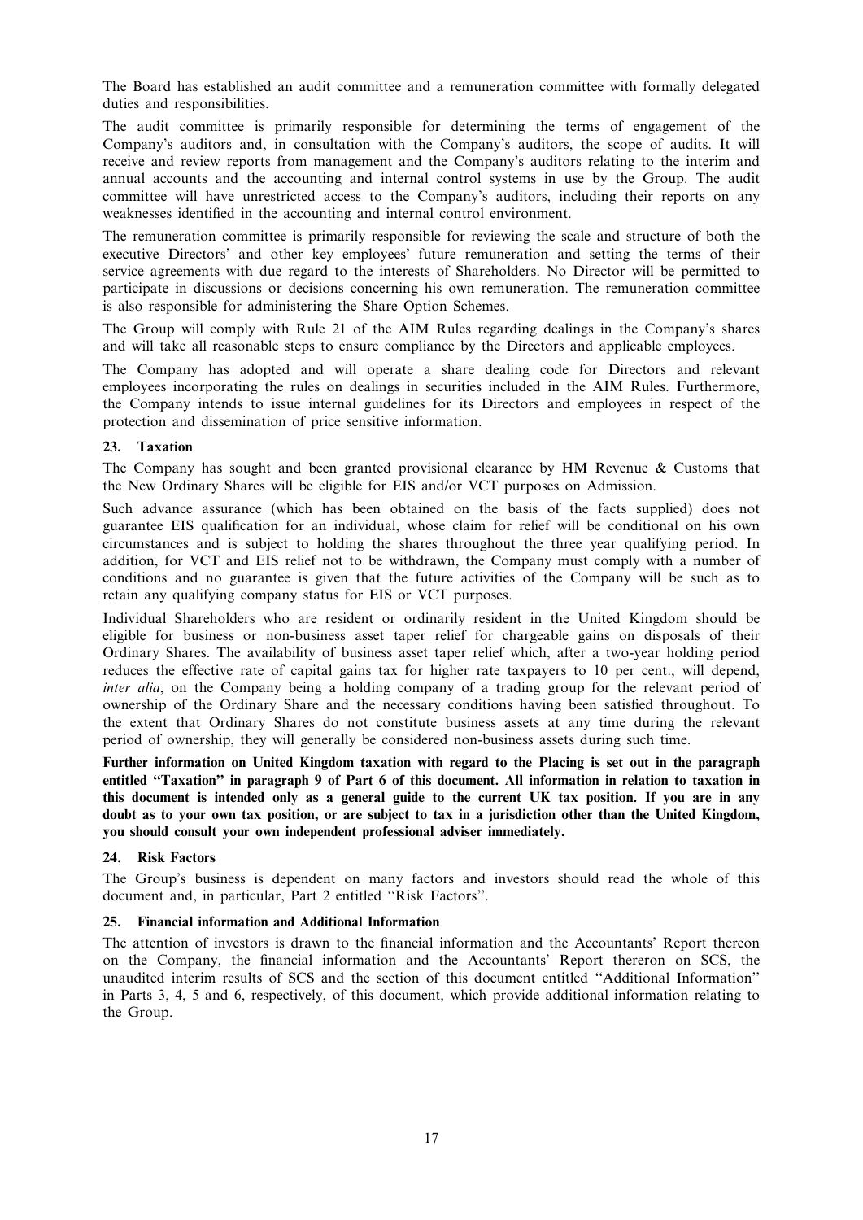The Board has established an audit committee and a remuneration committee with formally delegated duties and responsibilities.

The audit committee is primarily responsible for determining the terms of engagement of the Company's auditors and, in consultation with the Company's auditors, the scope of audits. It will receive and review reports from management and the Company's auditors relating to the interim and annual accounts and the accounting and internal control systems in use by the Group. The audit committee will have unrestricted access to the Company's auditors, including their reports on any weaknesses identified in the accounting and internal control environment.

The remuneration committee is primarily responsible for reviewing the scale and structure of both the executive Directors' and other key employees' future remuneration and setting the terms of their service agreements with due regard to the interests of Shareholders. No Director will be permitted to participate in discussions or decisions concerning his own remuneration. The remuneration committee is also responsible for administering the Share Option Schemes.

The Group will comply with Rule 21 of the AIM Rules regarding dealings in the Company's shares and will take all reasonable steps to ensure compliance by the Directors and applicable employees.

The Company has adopted and will operate a share dealing code for Directors and relevant employees incorporating the rules on dealings in securities included in the AIM Rules. Furthermore, the Company intends to issue internal guidelines for its Directors and employees in respect of the protection and dissemination of price sensitive information.

## 23. Taxation

The Company has sought and been granted provisional clearance by HM Revenue  $\&$  Customs that the New Ordinary Shares will be eligible for EIS and/or VCT purposes on Admission.

Such advance assurance (which has been obtained on the basis of the facts supplied) does not guarantee EIS qualification for an individual, whose claim for relief will be conditional on his own circumstances and is subject to holding the shares throughout the three year qualifying period. In addition, for VCT and EIS relief not to be withdrawn, the Company must comply with a number of conditions and no guarantee is given that the future activities of the Company will be such as to retain any qualifying company status for EIS or VCT purposes.

Individual Shareholders who are resident or ordinarily resident in the United Kingdom should be eligible for business or non-business asset taper relief for chargeable gains on disposals of their Ordinary Shares. The availability of business asset taper relief which, after a two-year holding period reduces the effective rate of capital gains tax for higher rate taxpayers to 10 per cent., will depend, inter alia, on the Company being a holding company of a trading group for the relevant period of ownership of the Ordinary Share and the necessary conditions having been satisfied throughout. To the extent that Ordinary Shares do not constitute business assets at any time during the relevant period of ownership, they will generally be considered non-business assets during such time.

Further information on United Kingdom taxation with regard to the Placing is set out in the paragraph entitled ''Taxation'' in paragraph 9 of Part 6 of this document. All information in relation to taxation in this document is intended only as a general guide to the current UK tax position. If you are in any doubt as to your own tax position, or are subject to tax in a jurisdiction other than the United Kingdom, you should consult your own independent professional adviser immediately.

## 24. Risk Factors

The Group's business is dependent on many factors and investors should read the whole of this document and, in particular, Part 2 entitled ''Risk Factors''.

## 25. Financial information and Additional Information

The attention of investors is drawn to the financial information and the Accountants' Report thereon on the Company, the financial information and the Accountants' Report thereron on SCS, the unaudited interim results of SCS and the section of this document entitled ''Additional Information'' in Parts 3, 4, 5 and 6, respectively, of this document, which provide additional information relating to the Group.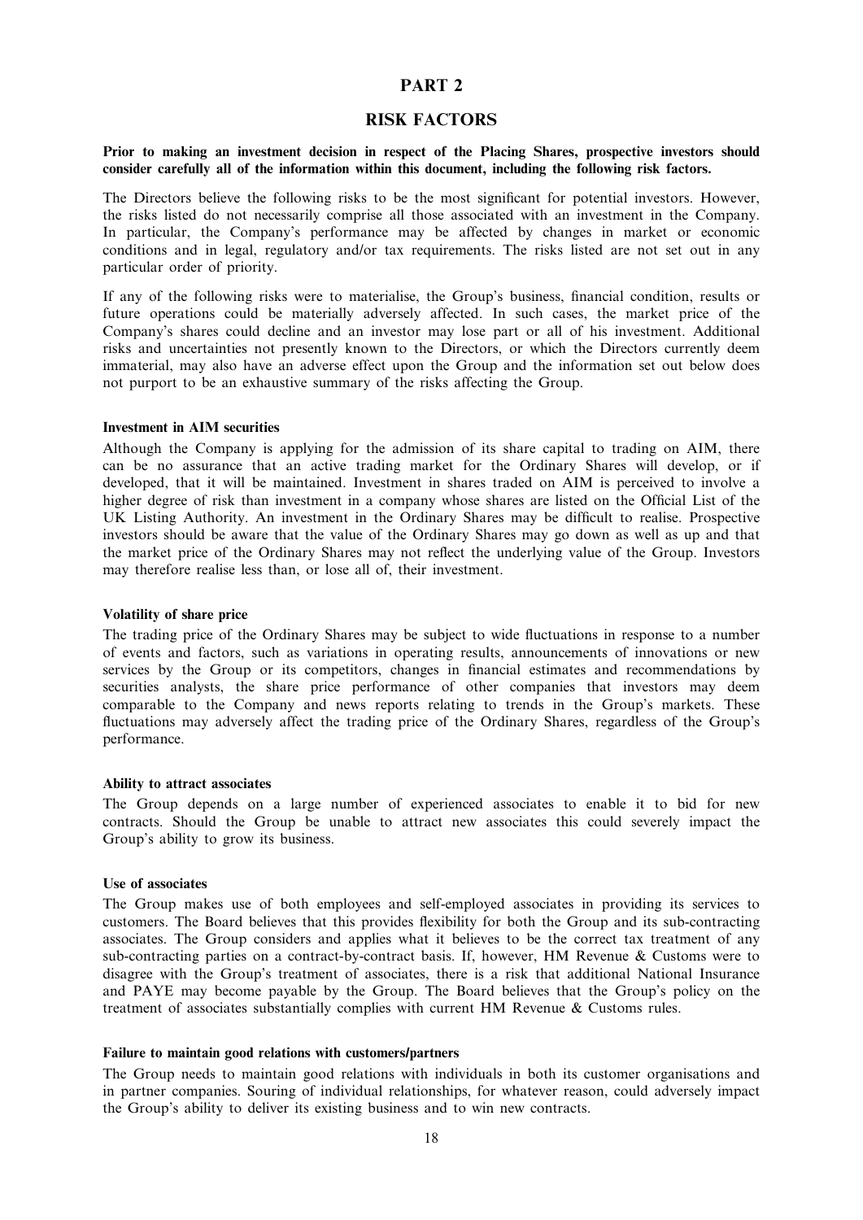## PART 2

## RISK FACTORS

#### Prior to making an investment decision in respect of the Placing Shares, prospective investors should consider carefully all of the information within this document, including the following risk factors.

The Directors believe the following risks to be the most significant for potential investors. However, the risks listed do not necessarily comprise all those associated with an investment in the Company. In particular, the Company's performance may be affected by changes in market or economic conditions and in legal, regulatory and/or tax requirements. The risks listed are not set out in any particular order of priority.

If any of the following risks were to materialise, the Group's business, financial condition, results or future operations could be materially adversely affected. In such cases, the market price of the Company's shares could decline and an investor may lose part or all of his investment. Additional risks and uncertainties not presently known to the Directors, or which the Directors currently deem immaterial, may also have an adverse effect upon the Group and the information set out below does not purport to be an exhaustive summary of the risks affecting the Group.

#### Investment in AIM securities

Although the Company is applying for the admission of its share capital to trading on AIM, there can be no assurance that an active trading market for the Ordinary Shares will develop, or if developed, that it will be maintained. Investment in shares traded on AIM is perceived to involve a higher degree of risk than investment in a company whose shares are listed on the Official List of the UK Listing Authority. An investment in the Ordinary Shares may be difficult to realise. Prospective investors should be aware that the value of the Ordinary Shares may go down as well as up and that the market price of the Ordinary Shares may not reflect the underlying value of the Group. Investors may therefore realise less than, or lose all of, their investment.

#### Volatility of share price

The trading price of the Ordinary Shares may be subject to wide fluctuations in response to a number of events and factors, such as variations in operating results, announcements of innovations or new services by the Group or its competitors, changes in financial estimates and recommendations by securities analysts, the share price performance of other companies that investors may deem comparable to the Company and news reports relating to trends in the Group's markets. These fluctuations may adversely affect the trading price of the Ordinary Shares, regardless of the Group's performance.

## Ability to attract associates

The Group depends on a large number of experienced associates to enable it to bid for new contracts. Should the Group be unable to attract new associates this could severely impact the Group's ability to grow its business.

#### Use of associates

The Group makes use of both employees and self-employed associates in providing its services to customers. The Board believes that this provides flexibility for both the Group and its sub-contracting associates. The Group considers and applies what it believes to be the correct tax treatment of any sub-contracting parties on a contract-by-contract basis. If, however, HM Revenue & Customs were to disagree with the Group's treatment of associates, there is a risk that additional National Insurance and PAYE may become payable by the Group. The Board believes that the Group's policy on the treatment of associates substantially complies with current HM Revenue & Customs rules.

#### Failure to maintain good relations with customers/partners

The Group needs to maintain good relations with individuals in both its customer organisations and in partner companies. Souring of individual relationships, for whatever reason, could adversely impact the Group's ability to deliver its existing business and to win new contracts.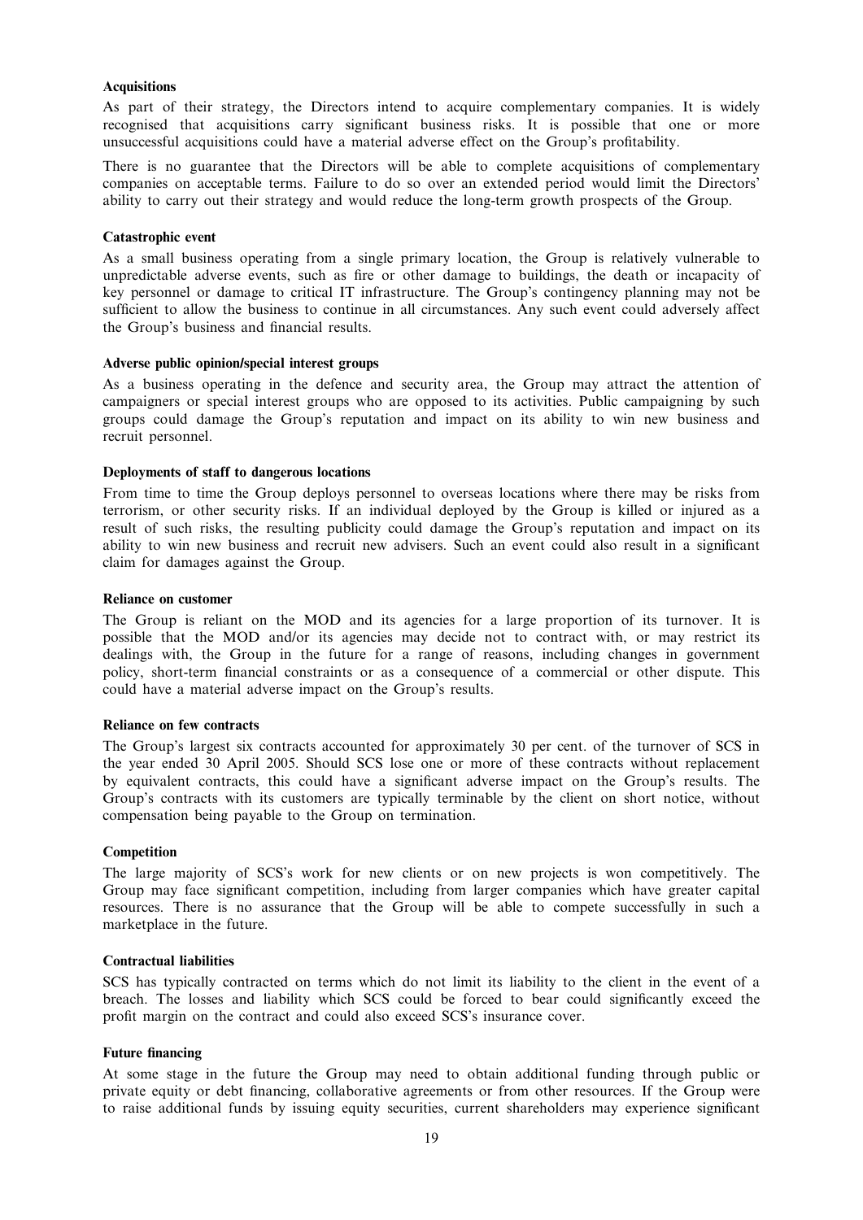#### Acquisitions

As part of their strategy, the Directors intend to acquire complementary companies. It is widely recognised that acquisitions carry significant business risks. It is possible that one or more unsuccessful acquisitions could have a material adverse effect on the Group's profitability.

There is no guarantee that the Directors will be able to complete acquisitions of complementary companies on acceptable terms. Failure to do so over an extended period would limit the Directors' ability to carry out their strategy and would reduce the long-term growth prospects of the Group.

#### Catastrophic event

As a small business operating from a single primary location, the Group is relatively vulnerable to unpredictable adverse events, such as fire or other damage to buildings, the death or incapacity of key personnel or damage to critical IT infrastructure. The Group's contingency planning may not be sufficient to allow the business to continue in all circumstances. Any such event could adversely affect the Group's business and financial results.

#### Adverse public opinion/special interest groups

As a business operating in the defence and security area, the Group may attract the attention of campaigners or special interest groups who are opposed to its activities. Public campaigning by such groups could damage the Group's reputation and impact on its ability to win new business and recruit personnel.

#### Deployments of staff to dangerous locations

From time to time the Group deploys personnel to overseas locations where there may be risks from terrorism, or other security risks. If an individual deployed by the Group is killed or injured as a result of such risks, the resulting publicity could damage the Group's reputation and impact on its ability to win new business and recruit new advisers. Such an event could also result in a significant claim for damages against the Group.

#### Reliance on customer

The Group is reliant on the MOD and its agencies for a large proportion of its turnover. It is possible that the MOD and/or its agencies may decide not to contract with, or may restrict its dealings with, the Group in the future for a range of reasons, including changes in government policy, short-term financial constraints or as a consequence of a commercial or other dispute. This could have a material adverse impact on the Group's results.

#### Reliance on few contracts

The Group's largest six contracts accounted for approximately 30 per cent. of the turnover of SCS in the year ended 30 April 2005. Should SCS lose one or more of these contracts without replacement by equivalent contracts, this could have a significant adverse impact on the Group's results. The Group's contracts with its customers are typically terminable by the client on short notice, without compensation being payable to the Group on termination.

#### **Competition**

The large majority of SCS's work for new clients or on new projects is won competitively. The Group may face significant competition, including from larger companies which have greater capital resources. There is no assurance that the Group will be able to compete successfully in such a marketplace in the future.

#### Contractual liabilities

SCS has typically contracted on terms which do not limit its liability to the client in the event of a breach. The losses and liability which SCS could be forced to bear could significantly exceed the profit margin on the contract and could also exceed SCS's insurance cover.

#### Future financing

At some stage in the future the Group may need to obtain additional funding through public or private equity or debt financing, collaborative agreements or from other resources. If the Group were to raise additional funds by issuing equity securities, current shareholders may experience significant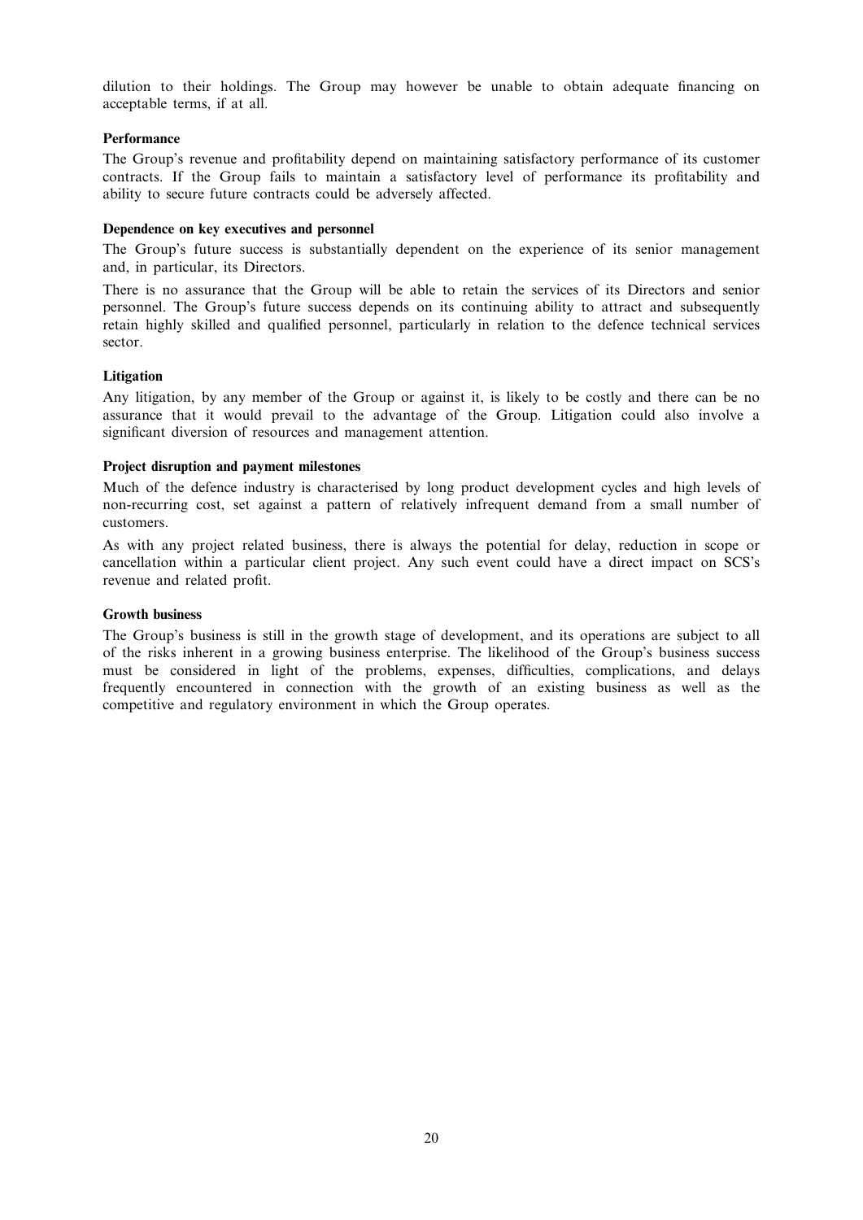dilution to their holdings. The Group may however be unable to obtain adequate financing on acceptable terms, if at all.

## Performance

The Group's revenue and profitability depend on maintaining satisfactory performance of its customer contracts. If the Group fails to maintain a satisfactory level of performance its profitability and ability to secure future contracts could be adversely affected.

## Dependence on key executives and personnel

The Group's future success is substantially dependent on the experience of its senior management and, in particular, its Directors.

There is no assurance that the Group will be able to retain the services of its Directors and senior personnel. The Group's future success depends on its continuing ability to attract and subsequently retain highly skilled and qualified personnel, particularly in relation to the defence technical services sector.

## Litigation

Any litigation, by any member of the Group or against it, is likely to be costly and there can be no assurance that it would prevail to the advantage of the Group. Litigation could also involve a significant diversion of resources and management attention.

## Project disruption and payment milestones

Much of the defence industry is characterised by long product development cycles and high levels of non-recurring cost, set against a pattern of relatively infrequent demand from a small number of customers.

As with any project related business, there is always the potential for delay, reduction in scope or cancellation within a particular client project. Any such event could have a direct impact on SCS's revenue and related profit.

## Growth business

The Group's business is still in the growth stage of development, and its operations are subject to all of the risks inherent in a growing business enterprise. The likelihood of the Group's business success must be considered in light of the problems, expenses, difficulties, complications, and delays frequently encountered in connection with the growth of an existing business as well as the competitive and regulatory environment in which the Group operates.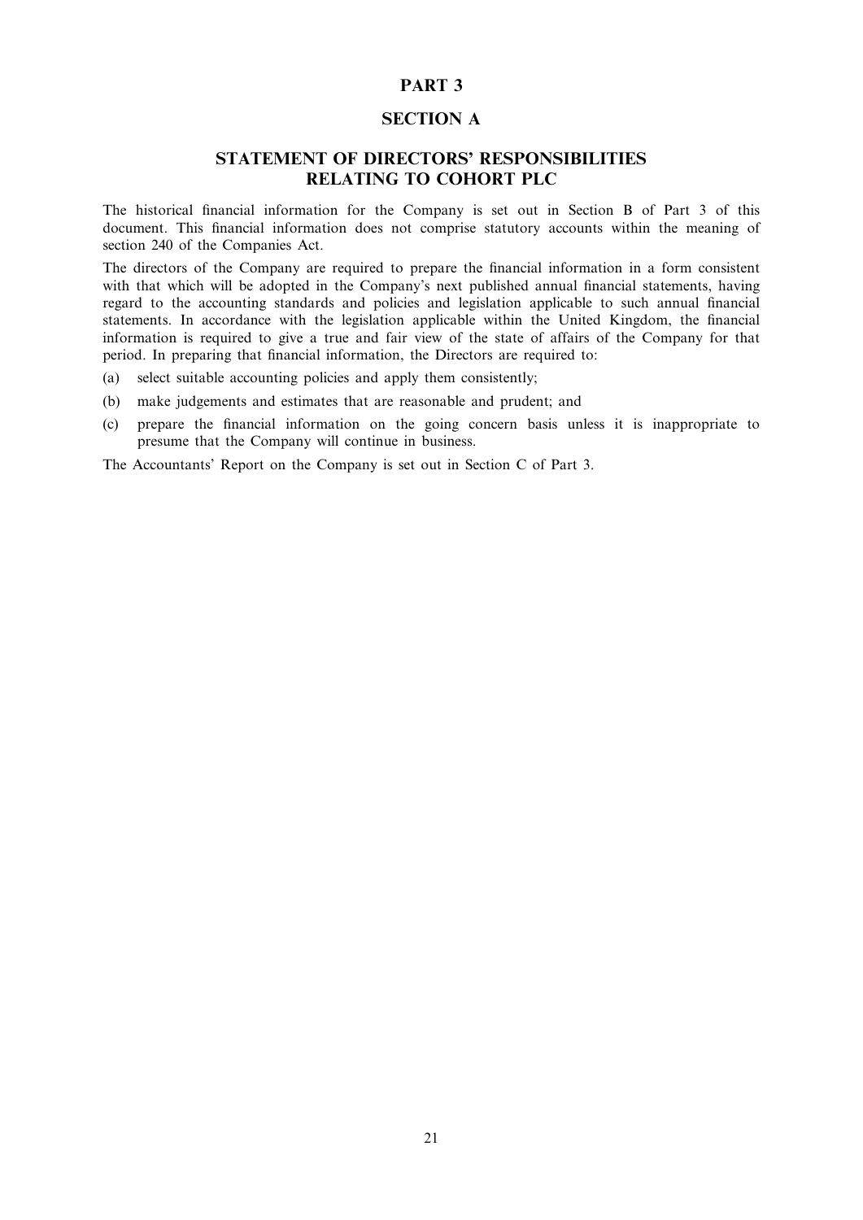## PART 3

## SECTION A

## STATEMENT OF DIRECTORS' RESPONSIBILITIES RELATING TO COHORT PLC

The historical financial information for the Company is set out in Section B of Part 3 of this document. This financial information does not comprise statutory accounts within the meaning of section 240 of the Companies Act.

The directors of the Company are required to prepare the financial information in a form consistent with that which will be adopted in the Company's next published annual financial statements, having regard to the accounting standards and policies and legislation applicable to such annual financial statements. In accordance with the legislation applicable within the United Kingdom, the financial information is required to give a true and fair view of the state of affairs of the Company for that period. In preparing that financial information, the Directors are required to:

- (a) select suitable accounting policies and apply them consistently;
- (b) make judgements and estimates that are reasonable and prudent; and
- (c) prepare the financial information on the going concern basis unless it is inappropriate to presume that the Company will continue in business.

The Accountants' Report on the Company is set out in Section C of Part 3.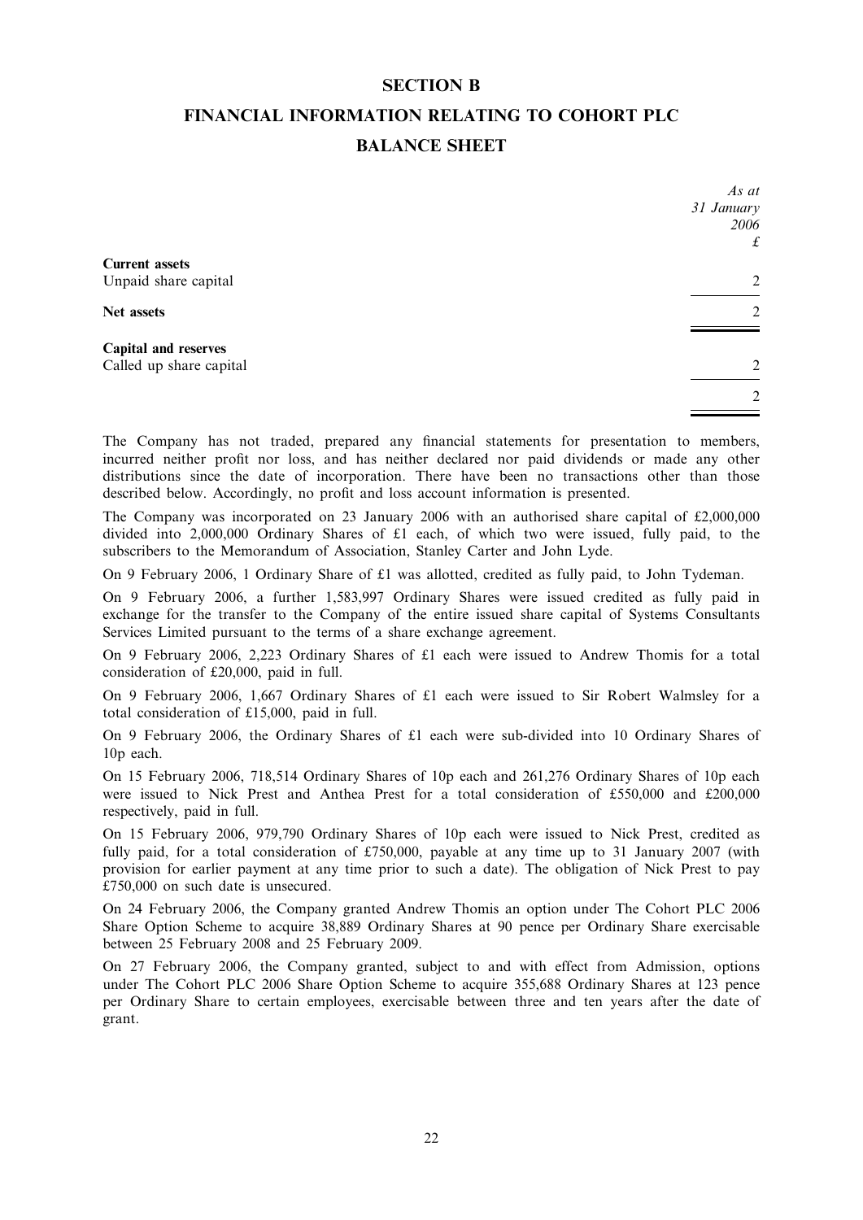## SECTION B

# FINANCIAL INFORMATION RELATING TO COHORT PLC BALANCE SHEET

|                         | As at<br>31 January |
|-------------------------|---------------------|
|                         | 2006                |
|                         | £                   |
| <b>Current assets</b>   |                     |
| Unpaid share capital    | 2                   |
| Net assets              | 2                   |
| Capital and reserves    |                     |
| Called up share capital | 2                   |
|                         | 2                   |

The Company has not traded, prepared any financial statements for presentation to members, incurred neither profit nor loss, and has neither declared nor paid dividends or made any other distributions since the date of incorporation. There have been no transactions other than those described below. Accordingly, no profit and loss account information is presented.

The Company was incorporated on 23 January 2006 with an authorised share capital of £2,000,000 divided into 2,000,000 Ordinary Shares of £1 each, of which two were issued, fully paid, to the subscribers to the Memorandum of Association, Stanley Carter and John Lyde.

On 9 February 2006, 1 Ordinary Share of £1 was allotted, credited as fully paid, to John Tydeman.

On 9 February 2006, a further 1,583,997 Ordinary Shares were issued credited as fully paid in exchange for the transfer to the Company of the entire issued share capital of Systems Consultants Services Limited pursuant to the terms of a share exchange agreement.

On 9 February 2006, 2,223 Ordinary Shares of £1 each were issued to Andrew Thomis for a total consideration of £20,000, paid in full.

On 9 February 2006, 1,667 Ordinary Shares of £1 each were issued to Sir Robert Walmsley for a total consideration of £15,000, paid in full.

On 9 February 2006, the Ordinary Shares of £1 each were sub-divided into 10 Ordinary Shares of 10p each.

On 15 February 2006, 718,514 Ordinary Shares of 10p each and 261,276 Ordinary Shares of 10p each were issued to Nick Prest and Anthea Prest for a total consideration of £550,000 and £200,000 respectively, paid in full.

On 15 February 2006, 979,790 Ordinary Shares of 10p each were issued to Nick Prest, credited as fully paid, for a total consideration of £750,000, payable at any time up to 31 January 2007 (with provision for earlier payment at any time prior to such a date). The obligation of Nick Prest to pay £750,000 on such date is unsecured.

On 24 February 2006, the Company granted Andrew Thomis an option under The Cohort PLC 2006 Share Option Scheme to acquire 38,889 Ordinary Shares at 90 pence per Ordinary Share exercisable between 25 February 2008 and 25 February 2009.

On 27 February 2006, the Company granted, subject to and with effect from Admission, options under The Cohort PLC 2006 Share Option Scheme to acquire 355,688 Ordinary Shares at 123 pence per Ordinary Share to certain employees, exercisable between three and ten years after the date of grant.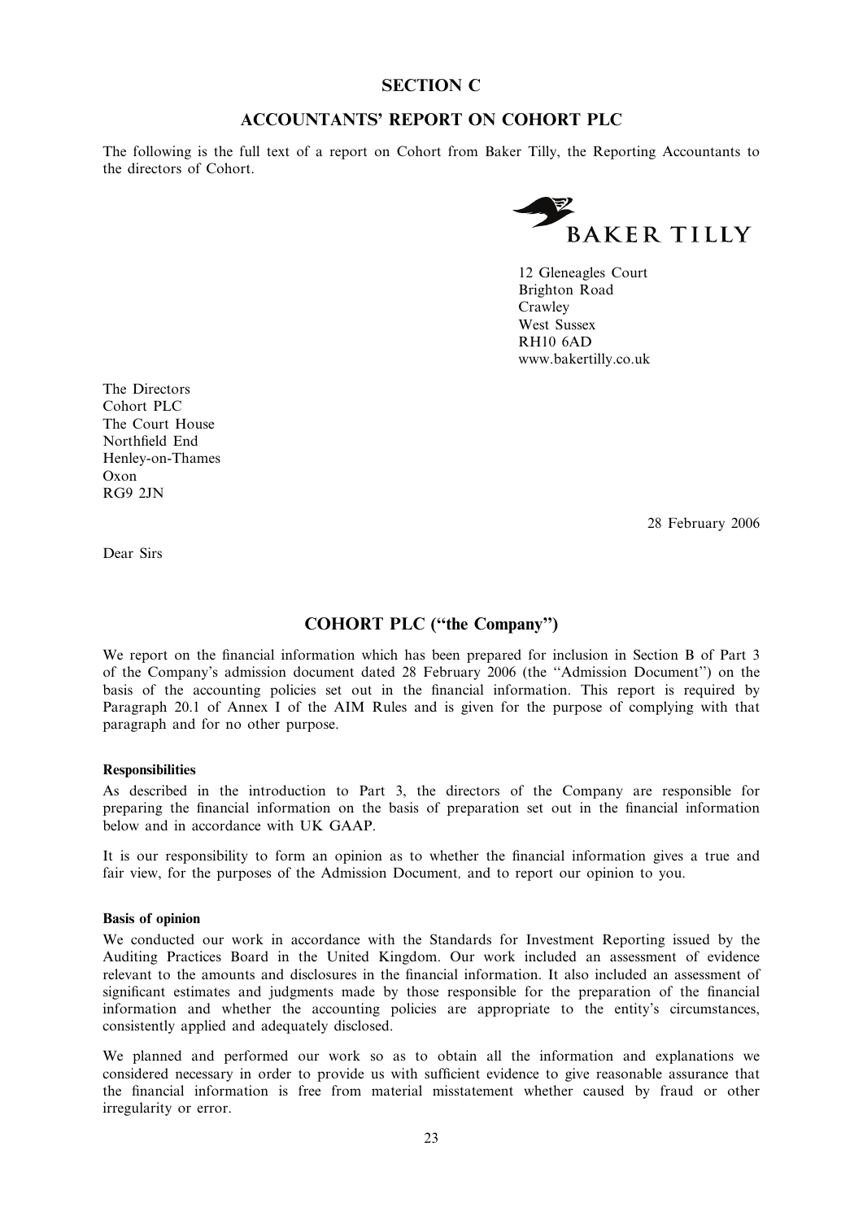## SECTION C

## ACCOUNTANTS' REPORT ON COHORT PLC

The following is the full text of a report on Cohort from Baker Tilly, the Reporting Accountants to the directors of Cohort.



12 Gleneagles Court Brighton Road Crawley West Sussex RH10 6AD www.bakertilly.co.uk

The Directors Cohort PLC The Court House Northfield End Henley-on-Thames Oxon RG9 2JN

28 February 2006

Dear Sirs

## COHORT PLC (''the Company'')

We report on the financial information which has been prepared for inclusion in Section B of Part 3 of the Company's admission document dated 28 February 2006 (the ''Admission Document'') on the basis of the accounting policies set out in the financial information. This report is required by Paragraph 20.1 of Annex I of the AIM Rules and is given for the purpose of complying with that paragraph and for no other purpose.

## **Responsibilities**

As described in the introduction to Part 3, the directors of the Company are responsible for preparing the financial information on the basis of preparation set out in the financial information below and in accordance with UK GAAP.

It is our responsibility to form an opinion as to whether the financial information gives a true and fair view, for the purposes of the Admission Document, and to report our opinion to you.

#### Basis of opinion

We conducted our work in accordance with the Standards for Investment Reporting issued by the Auditing Practices Board in the United Kingdom. Our work included an assessment of evidence relevant to the amounts and disclosures in the financial information. It also included an assessment of significant estimates and judgments made by those responsible for the preparation of the financial information and whether the accounting policies are appropriate to the entity's circumstances, consistently applied and adequately disclosed.

We planned and performed our work so as to obtain all the information and explanations we considered necessary in order to provide us with sufficient evidence to give reasonable assurance that the financial information is free from material misstatement whether caused by fraud or other irregularity or error.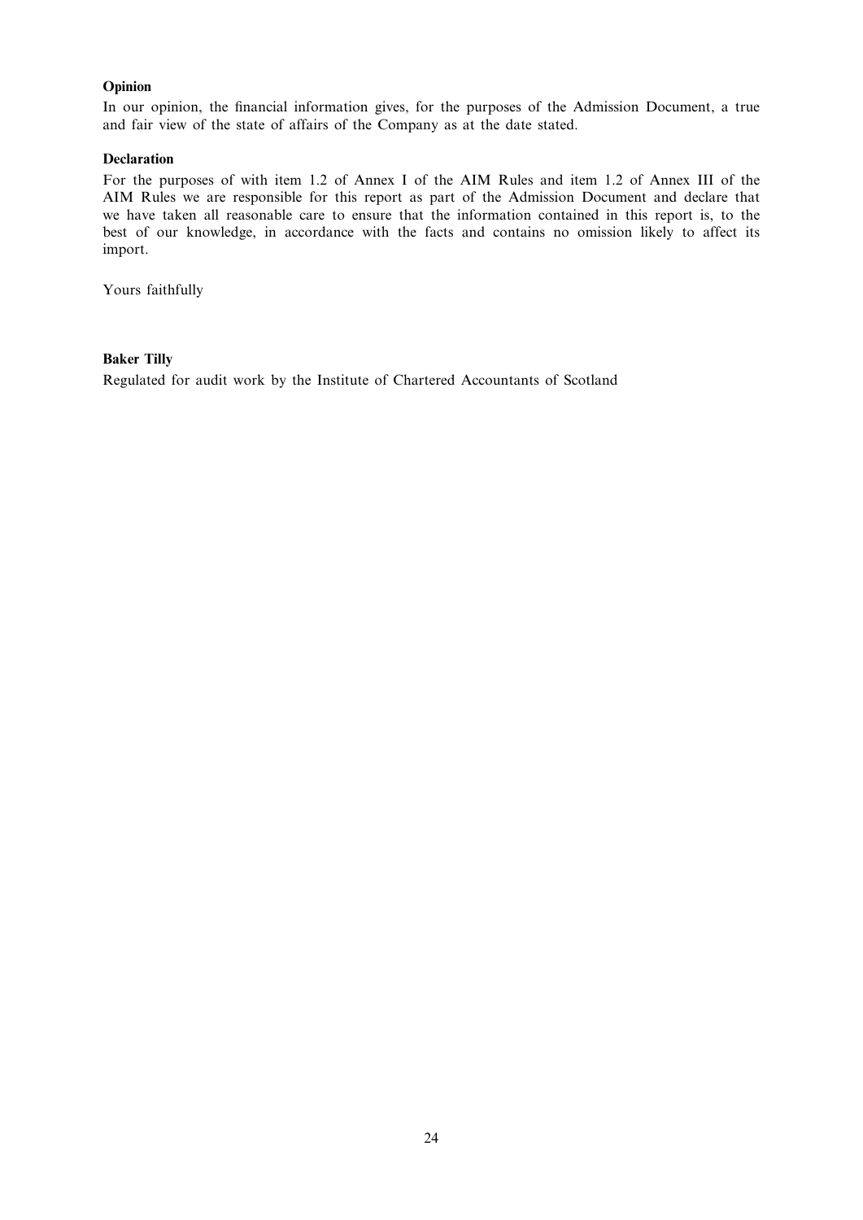## Opinion

In our opinion, the financial information gives, for the purposes of the Admission Document, a true and fair view of the state of affairs of the Company as at the date stated.

#### Declaration

For the purposes of with item 1.2 of Annex I of the AIM Rules and item 1.2 of Annex III of the AIM Rules we are responsible for this report as part of the Admission Document and declare that we have taken all reasonable care to ensure that the information contained in this report is, to the best of our knowledge, in accordance with the facts and contains no omission likely to affect its import.

Yours faithfully

## Baker Tilly

Regulated for audit work by the Institute of Chartered Accountants of Scotland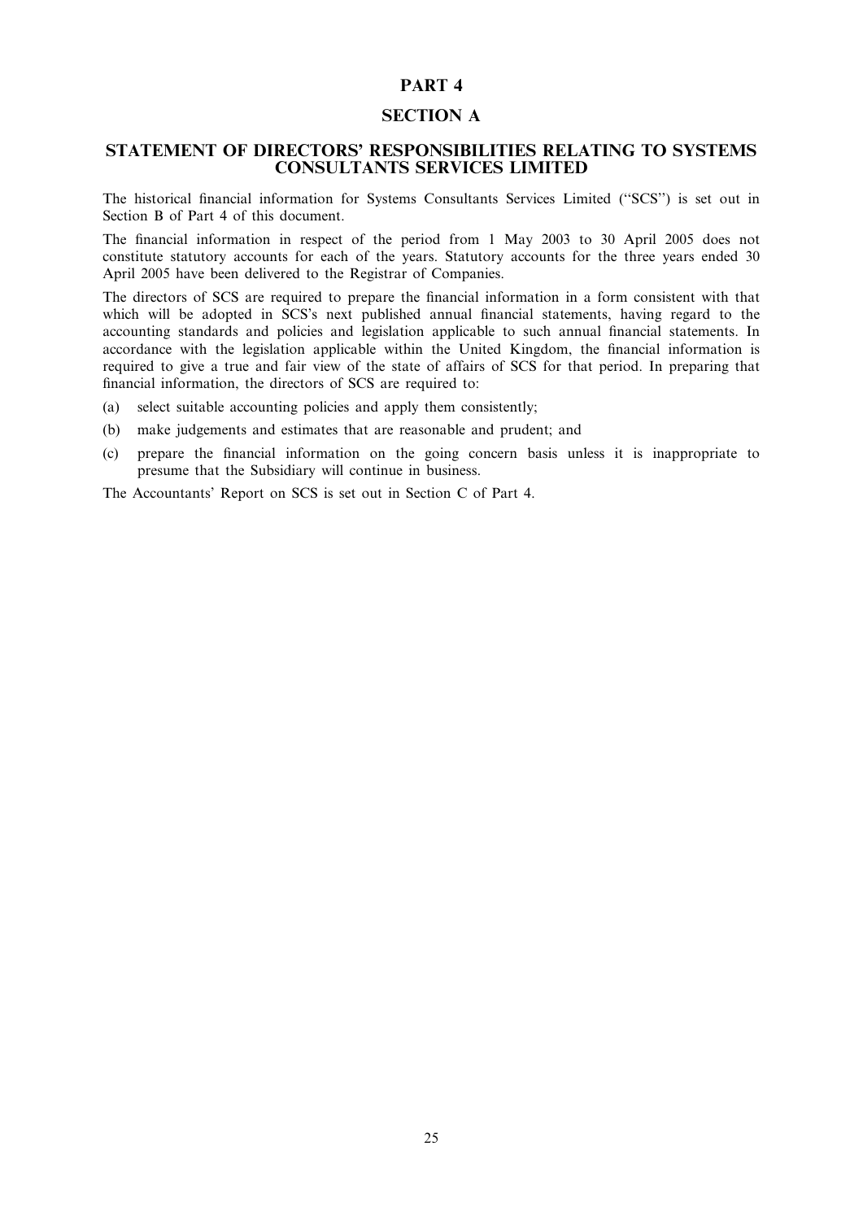## PART 4

## SECTION A

## STATEMENT OF DIRECTORS' RESPONSIBILITIES RELATING TO SYSTEMS CONSULTANTS SERVICES LIMITED

The historical financial information for Systems Consultants Services Limited (''SCS'') is set out in Section B of Part 4 of this document.

The financial information in respect of the period from 1 May 2003 to 30 April 2005 does not constitute statutory accounts for each of the years. Statutory accounts for the three years ended 30 April 2005 have been delivered to the Registrar of Companies.

The directors of SCS are required to prepare the financial information in a form consistent with that which will be adopted in SCS's next published annual financial statements, having regard to the accounting standards and policies and legislation applicable to such annual financial statements. In accordance with the legislation applicable within the United Kingdom, the financial information is required to give a true and fair view of the state of affairs of SCS for that period. In preparing that financial information, the directors of SCS are required to:

- (a) select suitable accounting policies and apply them consistently;
- (b) make judgements and estimates that are reasonable and prudent; and
- (c) prepare the financial information on the going concern basis unless it is inappropriate to presume that the Subsidiary will continue in business.

The Accountants' Report on SCS is set out in Section C of Part 4.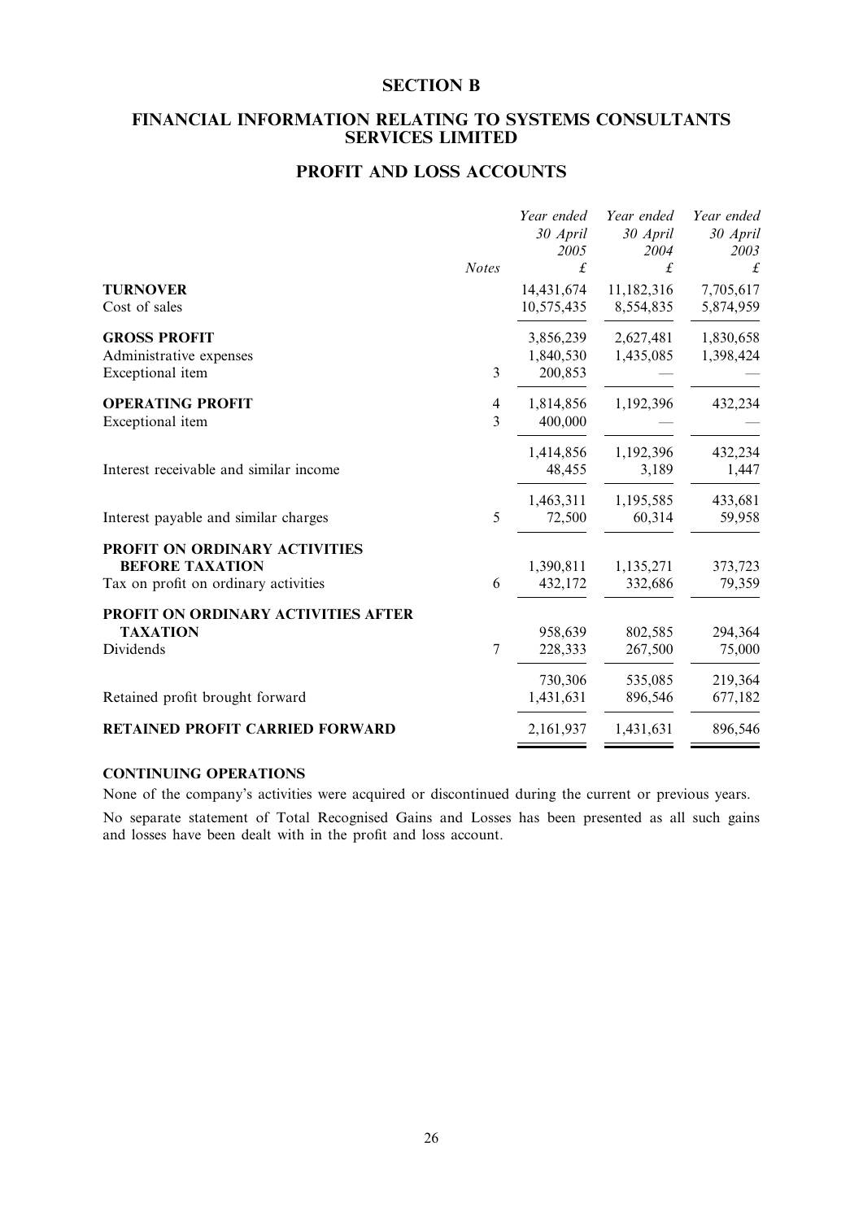## SECTION B

## FINANCIAL INFORMATION RELATING TO SYSTEMS CONSULTANTS SERVICES LIMITED

## PROFIT AND LOSS ACCOUNTS

|                                        |                | Year ended | Year ended | Year ended |
|----------------------------------------|----------------|------------|------------|------------|
|                                        |                | 30 April   | 30 April   | 30 April   |
|                                        |                | 2005       | 2004       | 2003       |
|                                        | <b>Notes</b>   | £          | £          | £          |
| <b>TURNOVER</b>                        |                | 14,431,674 | 11,182,316 | 7,705,617  |
| Cost of sales                          |                | 10,575,435 | 8,554,835  | 5,874,959  |
| <b>GROSS PROFIT</b>                    |                | 3,856,239  | 2,627,481  | 1,830,658  |
| Administrative expenses                |                | 1,840,530  | 1,435,085  | 1,398,424  |
| Exceptional item                       | 3              | 200,853    |            |            |
| <b>OPERATING PROFIT</b>                | 4              | 1,814,856  | 1,192,396  | 432,234    |
| Exceptional item                       | 3              | 400,000    |            |            |
|                                        |                | 1,414,856  | 1,192,396  | 432,234    |
| Interest receivable and similar income |                | 48,455     | 3,189      | 1,447      |
|                                        |                | 1,463,311  | 1,195,585  | 433,681    |
| Interest payable and similar charges   | 5              | 72,500     | 60,314     | 59,958     |
| PROFIT ON ORDINARY ACTIVITIES          |                |            |            |            |
| <b>BEFORE TAXATION</b>                 |                | 1,390,811  | 1,135,271  | 373,723    |
| Tax on profit on ordinary activities   | 6              | 432,172    | 332,686    | 79,359     |
| PROFIT ON ORDINARY ACTIVITIES AFTER    |                |            |            |            |
| <b>TAXATION</b>                        |                | 958,639    | 802,585    | 294,364    |
| Dividends                              | $\overline{7}$ | 228,333    | 267,500    | 75,000     |
|                                        |                | 730,306    | 535,085    | 219,364    |
| Retained profit brought forward        |                | 1,431,631  | 896,546    | 677,182    |
| RETAINED PROFIT CARRIED FORWARD        |                | 2,161,937  | 1,431,631  | 896,546    |

## CONTINUING OPERATIONS

None of the company's activities were acquired or discontinued during the current or previous years.

No separate statement of Total Recognised Gains and Losses has been presented as all such gains and losses have been dealt with in the profit and loss account.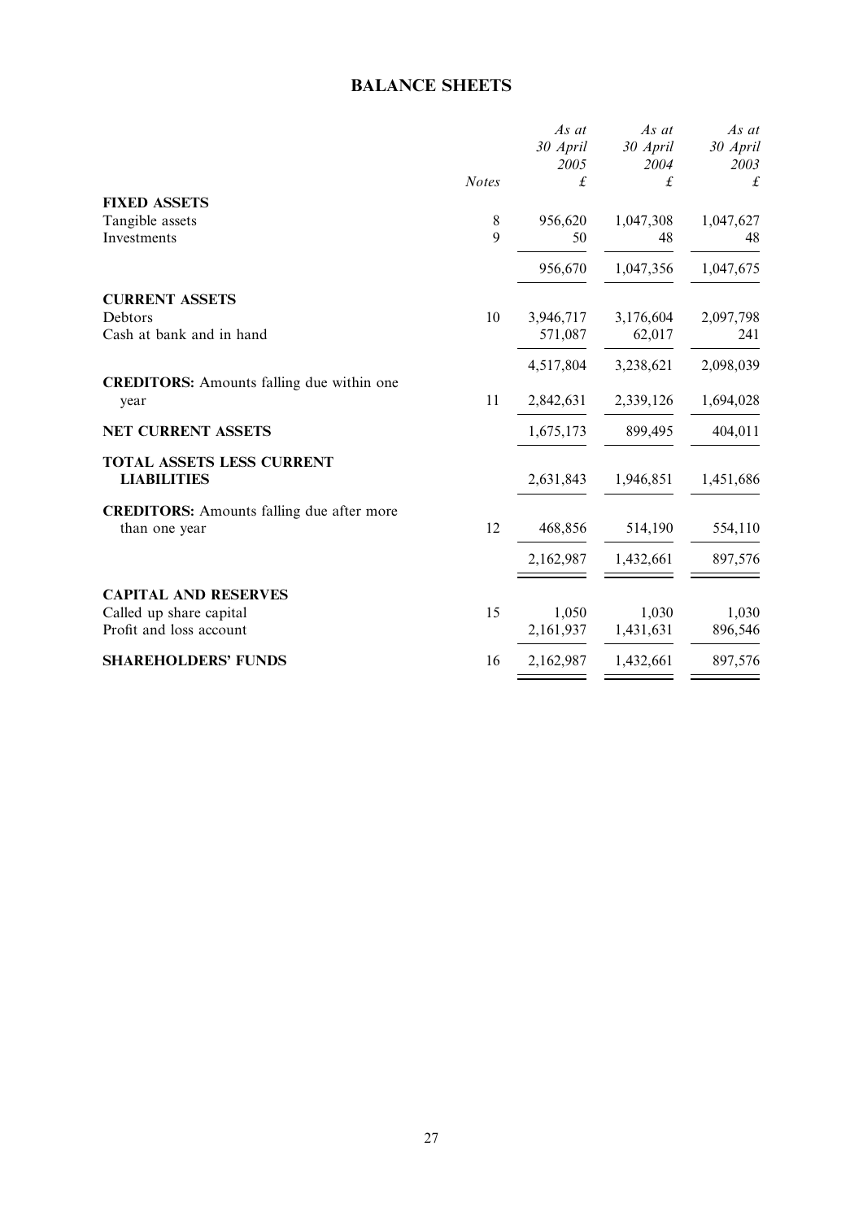# BALANCE SHEETS

| 30 April<br>2003<br>£<br>1,047,627<br>48 |
|------------------------------------------|
|                                          |
|                                          |
|                                          |
|                                          |
|                                          |
|                                          |
| 1,047,675                                |
|                                          |
| 2,097,798                                |
| 241                                      |
| 2,098,039                                |
|                                          |
| 1,694,028                                |
| 404,011                                  |
|                                          |
| 1,451,686                                |
|                                          |
| 554,110                                  |
| 897,576                                  |
|                                          |
| 1,030                                    |
| 896,546                                  |
| 897,576                                  |
|                                          |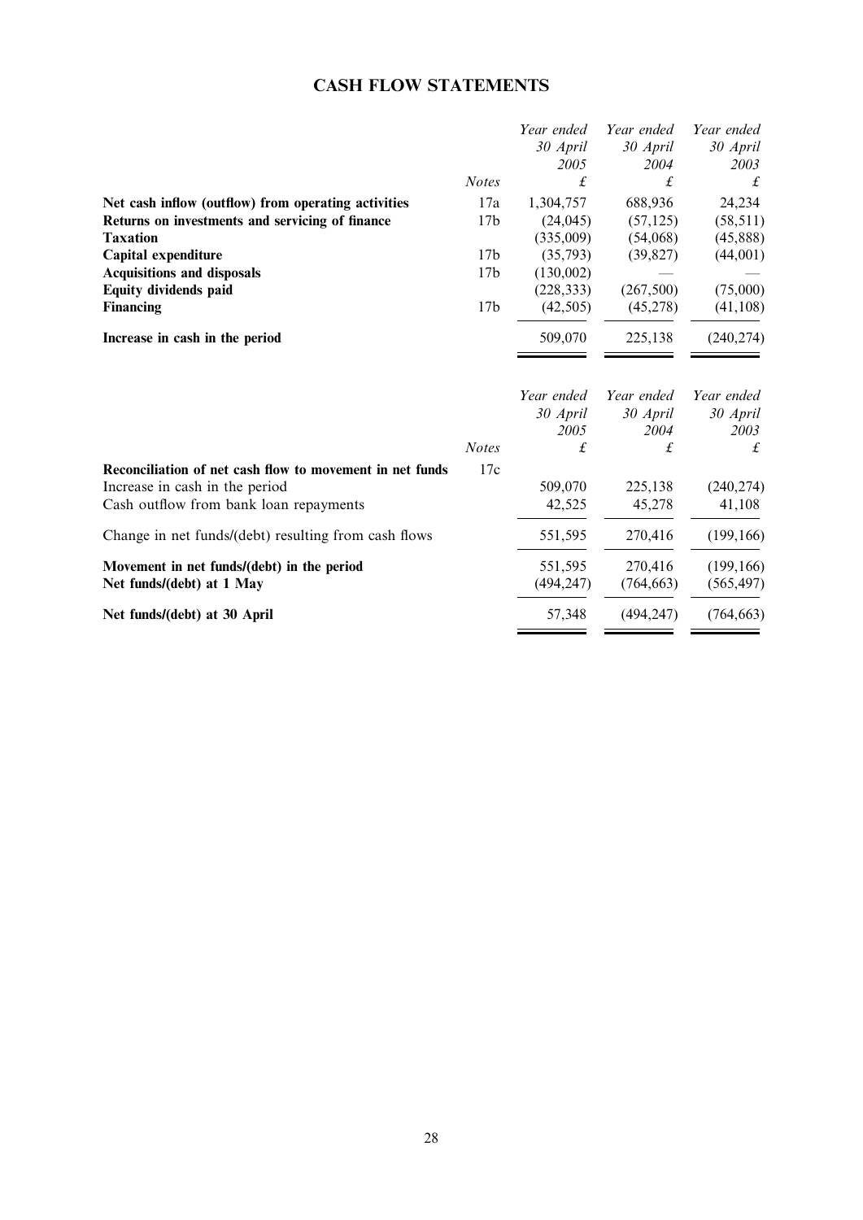# CASH FLOW STATEMENTS

|                                                                          |                 | Year ended | Year ended | Year ended           |
|--------------------------------------------------------------------------|-----------------|------------|------------|----------------------|
|                                                                          |                 | 30 April   | 30 April   | 30 April             |
|                                                                          |                 | 2005       | 2004       | 2003                 |
|                                                                          | <b>Notes</b>    | £          | £          | £                    |
| Net cash inflow (outflow) from operating activities                      | 17a             | 1,304,757  | 688,936    | 24,234               |
| Returns on investments and servicing of finance                          | 17 <sub>b</sub> | (24, 045)  | (57, 125)  | (58, 511)            |
| <b>Taxation</b>                                                          |                 | (335,009)  | (54,068)   | (45,888)             |
| Capital expenditure                                                      | 17 <sub>b</sub> | (35,793)   | (39, 827)  | (44,001)             |
| <b>Acquisitions and disposals</b>                                        | 17 <sub>b</sub> | (130,002)  |            |                      |
| Equity dividends paid                                                    |                 | (228, 333) | (267, 500) | (75,000)             |
| <b>Financing</b>                                                         | 17 <sub>b</sub> | (42, 505)  | (45, 278)  | (41, 108)            |
| Increase in cash in the period                                           |                 | 509,070    | 225,138    | (240, 274)           |
|                                                                          |                 | Year ended | Year ended | Year ended           |
|                                                                          |                 | 30 April   | 30 April   | 30 April             |
|                                                                          |                 | 2005       | 2004       | 2003                 |
|                                                                          | <b>Notes</b>    | £          | £          | £                    |
|                                                                          |                 |            |            |                      |
| Reconciliation of net cash flow to movement in net funds                 | 17c             |            |            |                      |
|                                                                          |                 | 509,070    | 225,138    |                      |
| Increase in cash in the period<br>Cash outflow from bank loan repayments |                 | 42,525     | 45,278     | (240, 274)<br>41,108 |
| Change in net funds/(debt) resulting from cash flows                     |                 | 551,595    | 270,416    | (199, 166)           |
| Movement in net funds/(debt) in the period                               |                 | 551,595    | 270,416    | (199, 166)           |
| Net funds/(debt) at 1 May                                                |                 | (494, 247) | (764, 663) | (565, 497)           |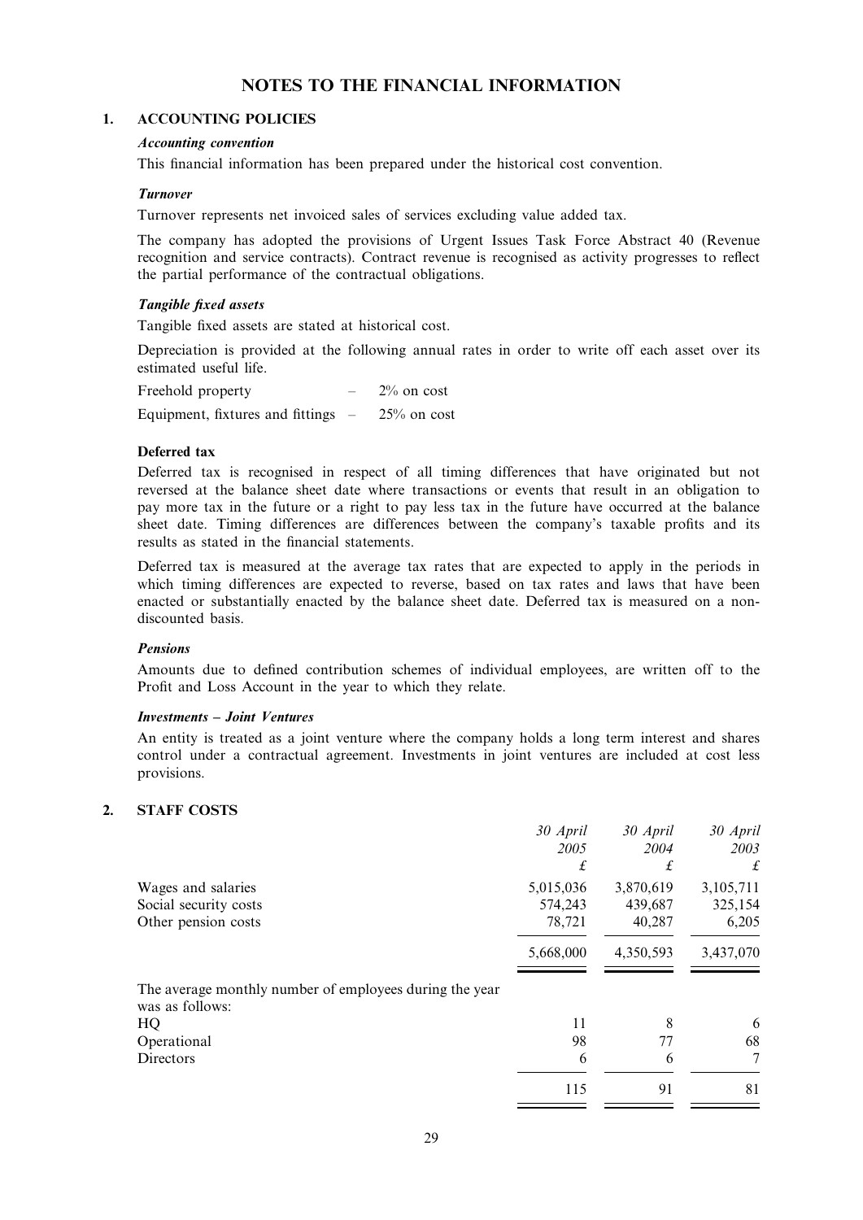## NOTES TO THE FINANCIAL INFORMATION

## 1. ACCOUNTING POLICIES

#### Accounting convention

This financial information has been prepared under the historical cost convention.

#### **Turnover**

Turnover represents net invoiced sales of services excluding value added tax.

The company has adopted the provisions of Urgent Issues Task Force Abstract 40 (Revenue recognition and service contracts). Contract revenue is recognised as activity progresses to reflect the partial performance of the contractual obligations.

#### Tangible fixed assets

Tangible fixed assets are stated at historical cost.

Depreciation is provided at the following annual rates in order to write off each asset over its estimated useful life.

Freehold property  $-2\%$  on cost Equipment, fixtures and fittings  $-25\%$  on cost

#### Deferred tax

Deferred tax is recognised in respect of all timing differences that have originated but not reversed at the balance sheet date where transactions or events that result in an obligation to pay more tax in the future or a right to pay less tax in the future have occurred at the balance sheet date. Timing differences are differences between the company's taxable profits and its results as stated in the financial statements.

Deferred tax is measured at the average tax rates that are expected to apply in the periods in which timing differences are expected to reverse, based on tax rates and laws that have been enacted or substantially enacted by the balance sheet date. Deferred tax is measured on a nondiscounted basis.

#### Pensions

Amounts due to defined contribution schemes of individual employees, are written off to the Profit and Loss Account in the year to which they relate.

#### Investments – Joint Ventures

An entity is treated as a joint venture where the company holds a long term interest and shares control under a contractual agreement. Investments in joint ventures are included at cost less provisions.

#### 2. STAFF COSTS

|                                                                            | 30 April  | 30 April  | 30 April  |
|----------------------------------------------------------------------------|-----------|-----------|-----------|
|                                                                            | 2005      | 2004      | 2003      |
|                                                                            | £         | £         | £         |
| Wages and salaries                                                         | 5,015,036 | 3,870,619 | 3,105,711 |
| Social security costs                                                      | 574,243   | 439,687   | 325,154   |
| Other pension costs                                                        | 78,721    | 40,287    | 6,205     |
|                                                                            | 5,668,000 | 4,350,593 | 3,437,070 |
| The average monthly number of employees during the year<br>was as follows: |           |           |           |
| HQ                                                                         | 11        | 8         | 6         |
| Operational                                                                | 98        | 77        | 68        |
| Directors                                                                  | 6         | 6         | 7         |
|                                                                            | 115       | 91        | 81        |
|                                                                            |           |           |           |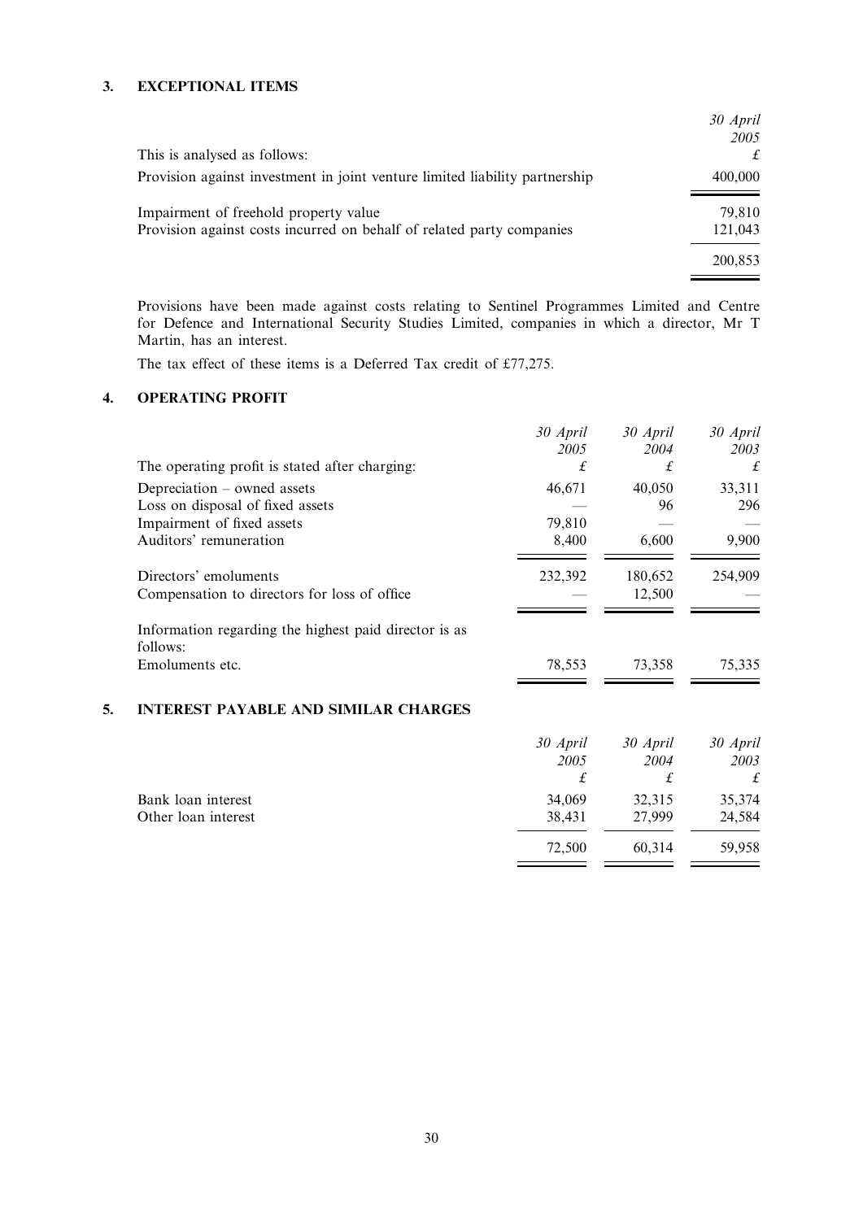## 3. EXCEPTIONAL ITEMS

|                                                                             | 30 April |
|-----------------------------------------------------------------------------|----------|
|                                                                             | 2005     |
| This is analysed as follows:                                                |          |
| Provision against investment in joint venture limited liability partnership | 400,000  |
| Impairment of freehold property value                                       | 79,810   |
| Provision against costs incurred on behalf of related party companies       | 121,043  |
|                                                                             | 200,853  |

Provisions have been made against costs relating to Sentinel Programmes Limited and Centre for Defence and International Security Studies Limited, companies in which a director, Mr T Martin, has an interest.

The tax effect of these items is a Deferred Tax credit of £77,275.

## 4. OPERATING PROFIT

|    |                                                                   | 30 April<br>2005 | 30 April<br>2004 | 30 April<br>2003 |
|----|-------------------------------------------------------------------|------------------|------------------|------------------|
|    | The operating profit is stated after charging:                    | £                | £                | £                |
|    | Depreciation – owned assets                                       | 46,671           | 40,050           | 33,311           |
|    | Loss on disposal of fixed assets                                  |                  | 96               | 296              |
|    | Impairment of fixed assets                                        | 79,810           |                  |                  |
|    | Auditors' remuneration                                            | 8,400            | 6,600            | 9,900            |
|    | Directors' emoluments                                             | 232,392          | 180,652          | 254,909          |
|    | Compensation to directors for loss of office                      |                  | 12,500           |                  |
|    | Information regarding the highest paid director is as<br>follows: |                  |                  |                  |
|    | Emoluments etc.                                                   | 78,553           | 73,358           | 75,335           |
| 5. | <b>INTEREST PAYABLE AND SIMILAR CHARGES</b>                       |                  |                  |                  |
|    |                                                                   | 30 April         | 30 April         | 30 April         |
|    |                                                                   | 2005             | 2004             | 2003             |
|    |                                                                   | £                | £                | £                |
|    | Bank loan interest                                                | 34,069           | 32,315           | 35,374           |
|    | Other loan interest                                               | 38,431           | 27,999           | 24,584           |
|    |                                                                   | 72,500           | 60,314           | 59,958           |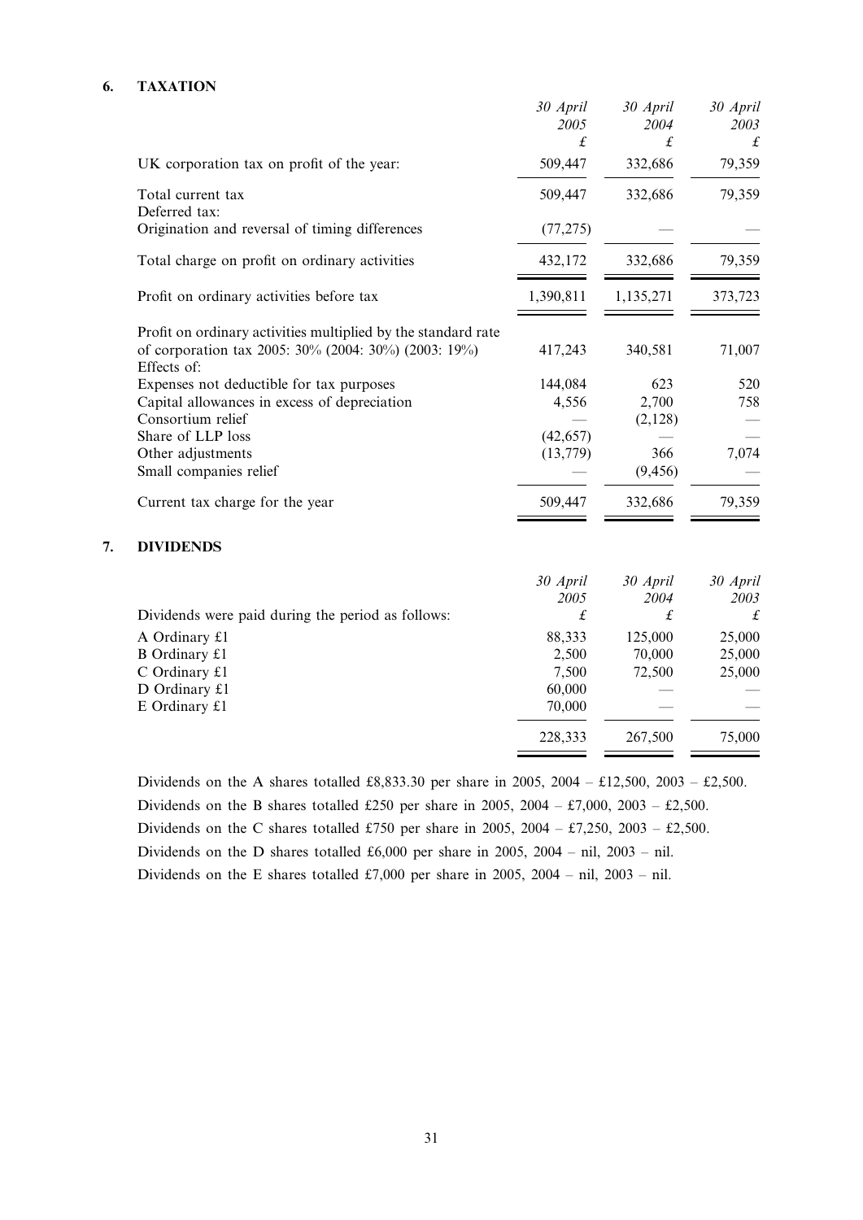## 6. TAXATION

7. DIVIDENDS

|                                                                                                                                      | 30 April<br>2005<br>£ | 30 April<br>2004<br>£ | 30 April<br>2003<br>£ |
|--------------------------------------------------------------------------------------------------------------------------------------|-----------------------|-----------------------|-----------------------|
| UK corporation tax on profit of the year:                                                                                            | 509,447               | 332,686               | 79,359                |
| Total current tax<br>Deferred tax:                                                                                                   | 509,447               | 332,686               | 79,359                |
| Origination and reversal of timing differences                                                                                       | (77, 275)             |                       |                       |
| Total charge on profit on ordinary activities                                                                                        | 432,172               | 332,686               | 79,359                |
| Profit on ordinary activities before tax                                                                                             | 1,390,811             | 1,135,271             | 373,723               |
| Profit on ordinary activities multiplied by the standard rate<br>of corporation tax 2005: 30% (2004: 30%) (2003: 19%)<br>Effects of: | 417,243               | 340,581               | 71,007                |
| Expenses not deductible for tax purposes                                                                                             | 144,084               | 623                   | 520                   |
| Capital allowances in excess of depreciation                                                                                         | 4,556                 | 2,700                 | 758                   |
| Consortium relief                                                                                                                    |                       | (2,128)               |                       |
| Share of LLP loss                                                                                                                    | (42, 657)             |                       |                       |
| Other adjustments                                                                                                                    | (13, 779)             | 366                   | 7,074                 |
| Small companies relief                                                                                                               |                       | (9, 456)              |                       |
| Current tax charge for the year                                                                                                      | 509,447               | 332,686               | 79,359                |
| <b>DIVIDENDS</b>                                                                                                                     |                       |                       |                       |
|                                                                                                                                      | 30 April<br>2005      | 30 April<br>2004      | 30 April<br>2003      |
| Dividends were paid during the period as follows:                                                                                    | $\pounds$             | $\pounds$             | $\pounds$             |
| A Ordinary £1                                                                                                                        | 88,333                | 125,000               | 25,000                |
| <b>B</b> Ordinary £1                                                                                                                 | 2,500                 | 70,000                | 25,000                |
| C Ordinary £1                                                                                                                        | 7,500                 | 72,500                | 25,000                |
| D Ordinary £1                                                                                                                        | 60,000                |                       |                       |
| E Ordinary £1                                                                                                                        | 70,000                |                       |                       |
|                                                                                                                                      | 228,333               | 267,500               | 75,000                |
|                                                                                                                                      |                       |                       |                       |

Dividends on the A shares totalled £8,833.30 per share in 2005, 2004 – £12,500, 2003 – £2,500. Dividends on the B shares totalled £250 per share in 2005, 2004 – £7,000, 2003 – £2,500. Dividends on the C shares totalled £750 per share in 2005, 2004 – £7,250, 2003 – £2,500. Dividends on the D shares totalled £6,000 per share in 2005, 2004 – nil, 2003 – nil. Dividends on the E shares totalled £7,000 per share in 2005, 2004 – nil, 2003 – nil.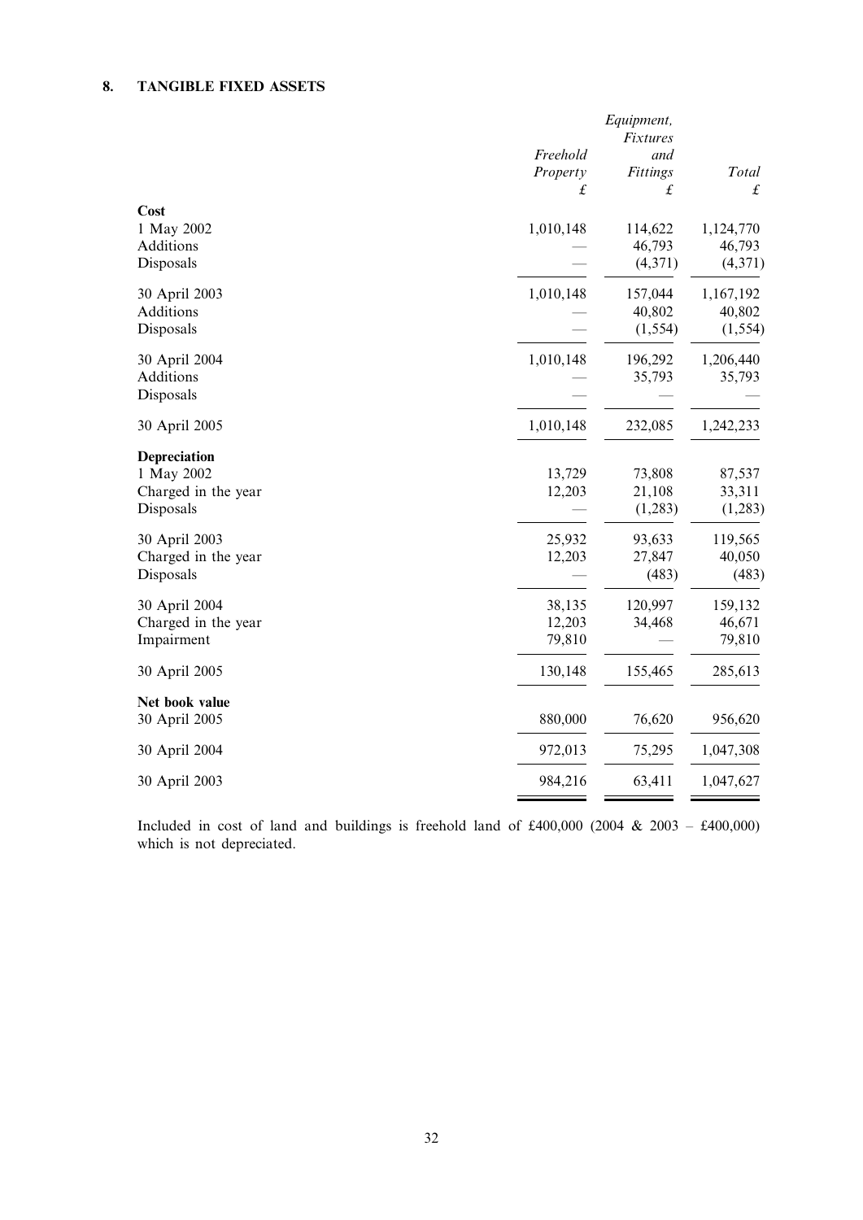## 8. TANGIBLE FIXED ASSETS

|                                                                |                            | Equipment,<br>Fixtures        |                                 |
|----------------------------------------------------------------|----------------------------|-------------------------------|---------------------------------|
|                                                                | Freehold<br>Property<br>£  | and<br>Fittings<br>$\pounds$  | Total<br>$\pounds$              |
| Cost<br>1 May 2002<br>Additions<br>Disposals                   | 1,010,148                  | 114,622<br>46,793<br>(4,371)  | 1,124,770<br>46,793<br>(4,371)  |
| 30 April 2003<br>Additions<br>Disposals                        | 1,010,148                  | 157,044<br>40,802<br>(1, 554) | 1,167,192<br>40,802<br>(1, 554) |
| 30 April 2004<br>Additions<br>Disposals                        | 1,010,148                  | 196,292<br>35,793             | 1,206,440<br>35,793             |
| 30 April 2005                                                  | 1,010,148                  | 232,085                       | 1,242,233                       |
| Depreciation<br>1 May 2002<br>Charged in the year<br>Disposals | 13,729<br>12,203           | 73,808<br>21,108<br>(1,283)   | 87,537<br>33,311<br>(1,283)     |
| 30 April 2003<br>Charged in the year<br>Disposals              | 25,932<br>12,203           | 93,633<br>27,847<br>(483)     | 119,565<br>40,050<br>(483)      |
| 30 April 2004<br>Charged in the year<br>Impairment             | 38,135<br>12,203<br>79,810 | 120,997<br>34,468             | 159,132<br>46,671<br>79,810     |
| 30 April 2005                                                  | 130,148                    | 155,465                       | 285,613                         |
| Net book value<br>30 April 2005                                | 880,000                    | 76,620                        | 956,620                         |
| 30 April 2004                                                  | 972,013                    | 75,295                        | 1,047,308                       |
| 30 April 2003                                                  | 984,216                    | 63,411                        | 1,047,627                       |
|                                                                |                            |                               |                                 |

Included in cost of land and buildings is freehold land of  $£400,000$  (2004 & 2003 –  $£400,000$ ) which is not depreciated.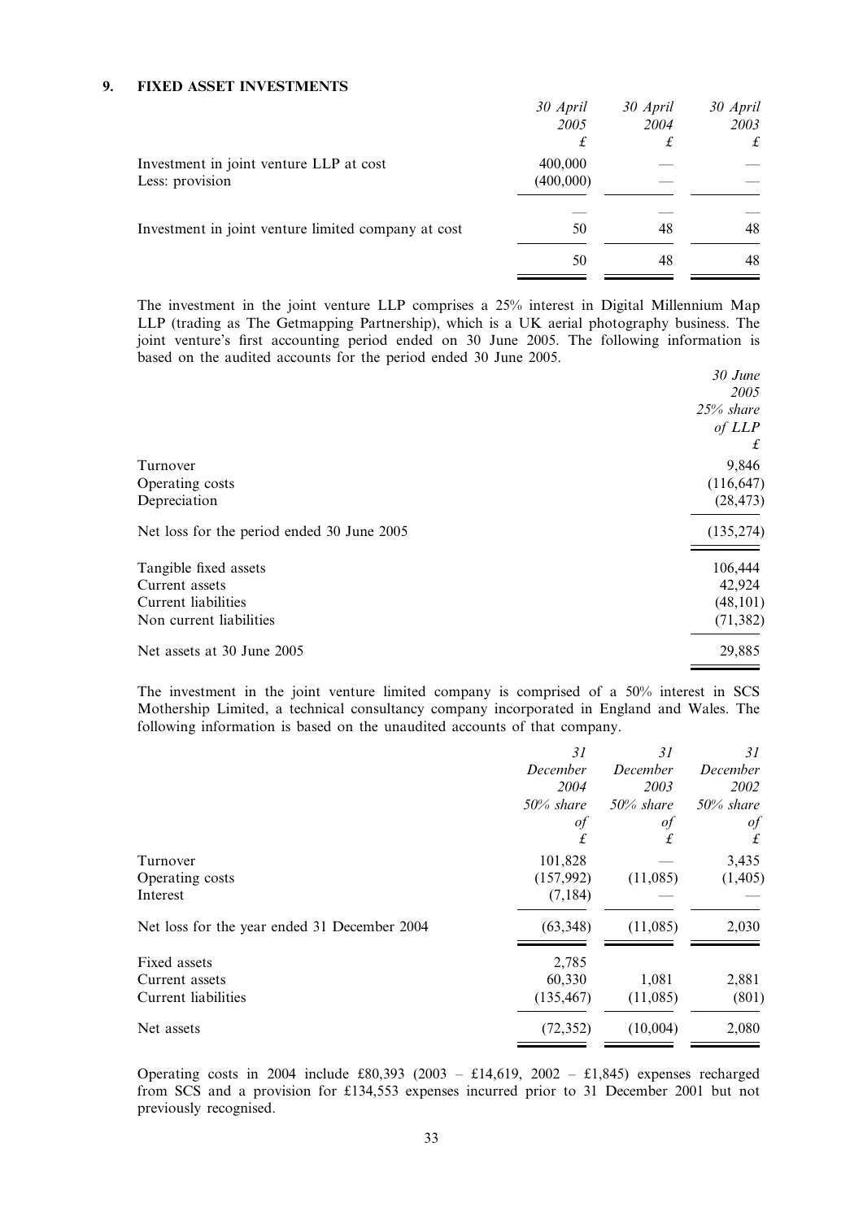## 9. FIXED ASSET INVESTMENTS

|                                                     | 30 April  | 30 April | 30 April |
|-----------------------------------------------------|-----------|----------|----------|
|                                                     | 2005      | 2004     | 2003     |
|                                                     |           | £        | £        |
| Investment in joint venture LLP at cost             | 400,000   |          |          |
| Less: provision                                     | (400,000) |          |          |
|                                                     |           |          |          |
| Investment in joint venture limited company at cost | 50        | 48       | 48       |
|                                                     | 50        | 48       | 48       |

The investment in the joint venture LLP comprises a 25% interest in Digital Millennium Map LLP (trading as The Getmapping Partnership), which is a UK aerial photography business. The joint venture's first accounting period ended on 30 June 2005. The following information is based on the audited accounts for the period ended 30 June 2005.

|                                            | $30$ June   |
|--------------------------------------------|-------------|
|                                            | 2005        |
|                                            | $25%$ share |
|                                            | of LLP      |
|                                            | £           |
| Turnover                                   | 9,846       |
| Operating costs                            | (116, 647)  |
| Depreciation                               | (28, 473)   |
| Net loss for the period ended 30 June 2005 | (135, 274)  |
| Tangible fixed assets                      | 106,444     |
| Current assets                             | 42,924      |
| Current liabilities                        | (48, 101)   |
| Non current liabilities                    | (71, 382)   |
| Net assets at 30 June 2005                 | 29,885      |
|                                            |             |

The investment in the joint venture limited company is comprised of a 50% interest in SCS Mothership Limited, a technical consultancy company incorporated in England and Wales. The following information is based on the unaudited accounts of that company.

|                                              | 31           | 31           | 31           |
|----------------------------------------------|--------------|--------------|--------------|
|                                              | December     | December     | December     |
|                                              | 2004         | 2003         | 2002         |
|                                              | $50\%$ share | $50\%$ share | $50\%$ share |
|                                              | 0f           | οf           | $\iota$      |
|                                              |              | £            | £            |
| Turnover                                     | 101,828      |              | 3,435        |
| Operating costs                              | (157,992)    | (11,085)     | (1,405)      |
| Interest                                     | (7, 184)     |              |              |
| Net loss for the year ended 31 December 2004 | (63,348)     | (11,085)     | 2,030        |
| Fixed assets                                 | 2,785        |              |              |
| Current assets                               | 60,330       | 1,081        | 2,881        |
| Current liabilities                          | (135, 467)   | (11,085)     | (801)        |
| Net assets                                   | (72, 352)    | (10,004)     | 2,080        |
|                                              |              |              |              |

Operating costs in 2004 include £80,393 (2003 – £14,619, 2002 – £1,845) expenses recharged from SCS and a provision for £134,553 expenses incurred prior to 31 December 2001 but not previously recognised.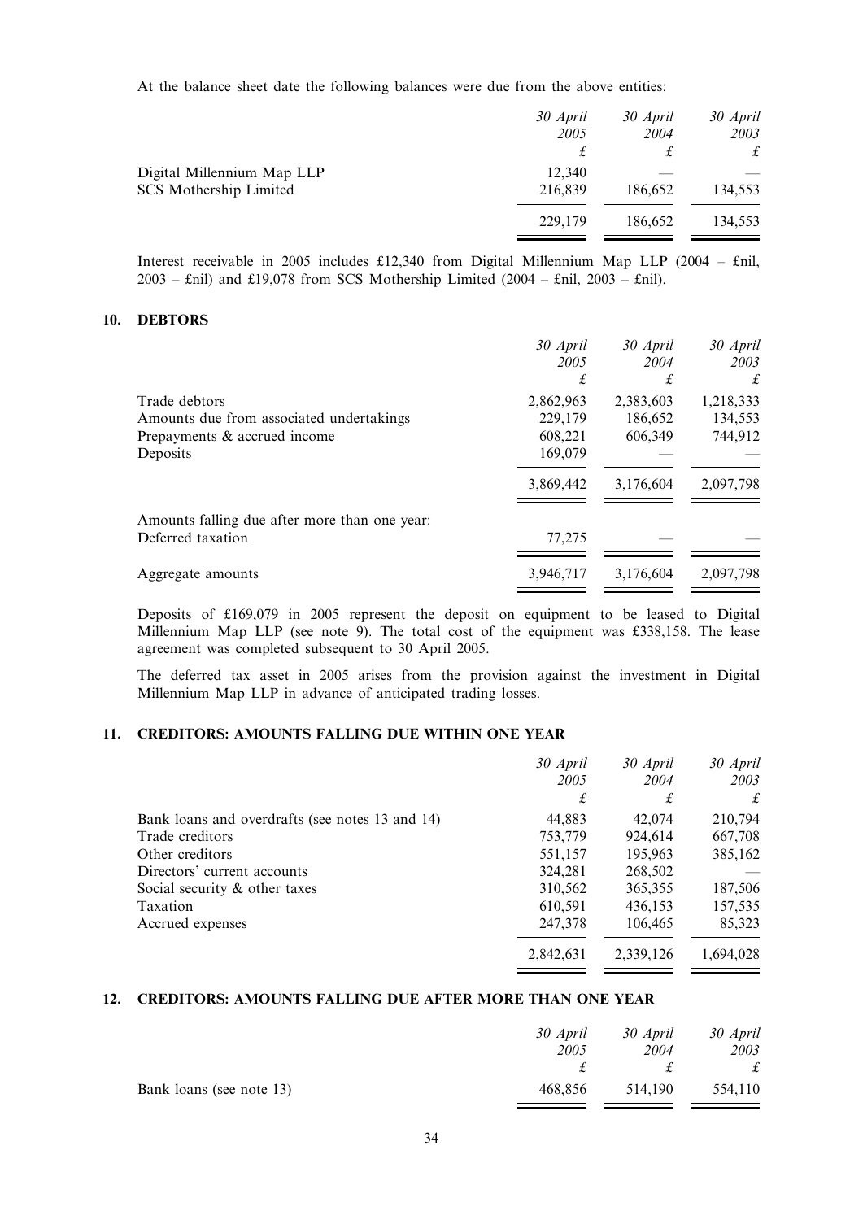At the balance sheet date the following balances were due from the above entities:

|                                                             | 30 April<br>2005  | 30 April<br>2004 | 30 April<br>2003<br>£ |
|-------------------------------------------------------------|-------------------|------------------|-----------------------|
| Digital Millennium Map LLP<br><b>SCS Mothership Limited</b> | 12,340<br>216,839 | 186.652          | 134,553               |
|                                                             | 229,179           | 186,652          | 134,553               |

Interest receivable in 2005 includes £12,340 from Digital Millennium Map LLP (2004 – £nil,  $2003 - \text{Enil}$  and £19,078 from SCS Mothership Limited (2004 – £nil, 2003 – £nil).

## 10. DEBTORS

|                                                                    | 30 April<br>2005<br>£ | 30 April<br>2004<br>£ | 30 April<br>2003<br>£ |
|--------------------------------------------------------------------|-----------------------|-----------------------|-----------------------|
| Trade debtors<br>Amounts due from associated undertakings          | 2,862,963<br>229,179  | 2,383,603<br>186.652  | 1,218,333<br>134,553  |
| Prepayments & accrued income<br>Deposits                           | 608,221<br>169,079    | 606,349               | 744,912               |
|                                                                    | 3,869,442             | 3,176,604             | 2,097,798             |
| Amounts falling due after more than one year:<br>Deferred taxation | 77,275                |                       |                       |
| Aggregate amounts                                                  | 3,946,717             | 3.176.604             | 2,097,798             |

Deposits of £169,079 in 2005 represent the deposit on equipment to be leased to Digital Millennium Map LLP (see note 9). The total cost of the equipment was £338,158. The lease agreement was completed subsequent to 30 April 2005.

The deferred tax asset in 2005 arises from the provision against the investment in Digital Millennium Map LLP in advance of anticipated trading losses.

## 11. CREDITORS: AMOUNTS FALLING DUE WITHIN ONE YEAR

|                                                 | 30 April  | 30 April  | 30 April    |
|-------------------------------------------------|-----------|-----------|-------------|
|                                                 | 2005      | 2004      | 2003        |
|                                                 | £         | £         | $\mathbf f$ |
| Bank loans and overdrafts (see notes 13 and 14) | 44,883    | 42,074    | 210,794     |
| Trade creditors                                 | 753,779   | 924,614   | 667,708     |
| Other creditors                                 | 551,157   | 195,963   | 385,162     |
| Directors' current accounts                     | 324,281   | 268,502   |             |
| Social security $\&$ other taxes                | 310,562   | 365,355   | 187,506     |
| Taxation                                        | 610,591   | 436,153   | 157,535     |
| Accrued expenses                                | 247,378   | 106,465   | 85,323      |
|                                                 | 2,842,631 | 2,339,126 | 1,694,028   |

## 12. CREDITORS: AMOUNTS FALLING DUE AFTER MORE THAN ONE YEAR

|                          | 30 April | 30 April | 30 April  |
|--------------------------|----------|----------|-----------|
|                          | 2005     | 2004     | 2003<br>£ |
| Bank loans (see note 13) | 468.856  | 514,190  | 554.110   |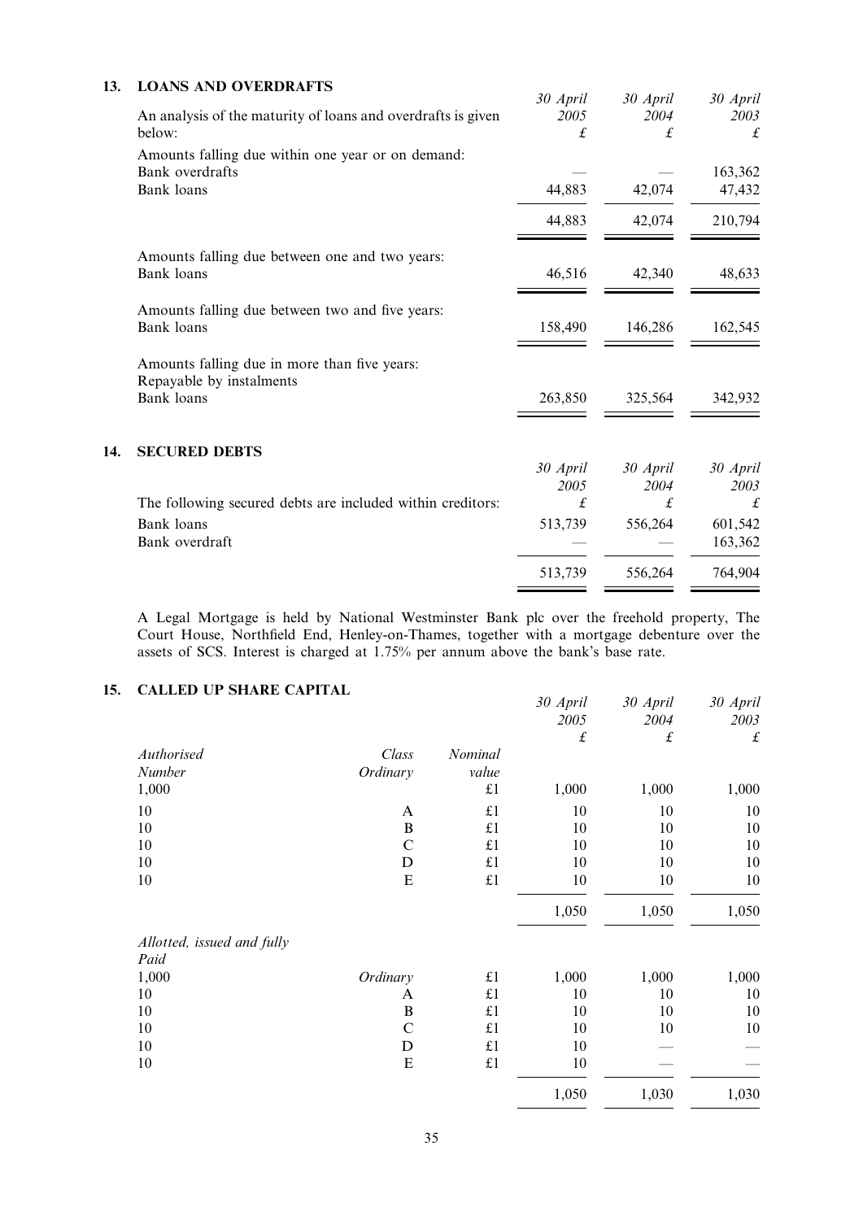| 13. | <b>LOANS AND OVERDRAFTS</b>                                                        | 30 April         | 30 April         | 30 April           |
|-----|------------------------------------------------------------------------------------|------------------|------------------|--------------------|
|     | An analysis of the maturity of loans and overdrafts is given<br>below:             | 2005<br>£        | 2004<br>£        | 2003<br>$\pounds$  |
|     | Amounts falling due within one year or on demand:<br>Bank overdrafts<br>Bank loans | 44,883           | 42,074           | 163,362<br>47,432  |
|     |                                                                                    | 44,883           | 42,074           | 210,794            |
|     | Amounts falling due between one and two years:<br>Bank loans                       | 46,516           | 42,340           | 48,633             |
|     | Amounts falling due between two and five years:<br>Bank loans                      | 158,490          | 146,286          | 162,545            |
|     | Amounts falling due in more than five years:<br>Repayable by instalments           |                  |                  |                    |
|     | Bank loans                                                                         | 263,850          | 325,564          | 342,932            |
| 14. | <b>SECURED DEBTS</b>                                                               |                  |                  |                    |
|     |                                                                                    | 30 April<br>2005 | 30 April<br>2004 | 30 April<br>2003   |
|     | The following secured debts are included within creditors:                         | $\pounds$        | £                | $\pounds$          |
|     | Bank loans<br>Bank overdraft                                                       | 513,739          | 556,264          | 601,542<br>163,362 |
|     |                                                                                    | 513,739          | 556,264          | 764,904            |

A Legal Mortgage is held by National Westminster Bank plc over the freehold property, The Court House, Northfield End, Henley-on-Thames, together with a mortgage debenture over the assets of SCS. Interest is charged at 1.75% per annum above the bank's base rate.

## 15. CALLED UP SHARE CAPITAL

| CALLED UP SHAKE CAPITAL    |              |         | 30 April  | 30 April  | 30 April  |
|----------------------------|--------------|---------|-----------|-----------|-----------|
|                            |              |         | 2005      | 2004      | 2003      |
|                            |              |         | $\pounds$ | $\pounds$ | $\pounds$ |
| Authorised                 | Class        | Nominal |           |           |           |
| Number                     | Ordinary     | value   |           |           |           |
| 1,000                      |              | £1      | 1,000     | 1,000     | 1,000     |
| 10                         | A            | £1      | 10        | 10        | 10        |
| 10                         | $\bf{B}$     | £1      | 10        | 10        | 10        |
| 10                         | $\mathsf{C}$ | £1      | 10        | 10        | 10        |
| 10                         | D            | £1      | 10        | 10        | 10        |
| 10                         | E            | £1      | 10        | 10        | 10        |
|                            |              |         | 1,050     | 1,050     | 1,050     |
| Allotted, issued and fully |              |         |           |           |           |
| Paid                       |              |         |           |           |           |
| 1,000                      | Ordinary     | £1      | 1,000     | 1,000     | 1,000     |
| 10                         | A            | £1      | 10        | 10        | 10        |
| 10                         | $\, {\bf B}$ | £1      | 10        | 10        | 10        |
| 10                         | $\mathsf{C}$ | £1      | 10        | 10        | 10        |
| 10                         | D            | £1      | 10        |           |           |
| 10                         | E            | £1      | 10        |           |           |
|                            |              |         | 1,050     | 1,030     | 1,030     |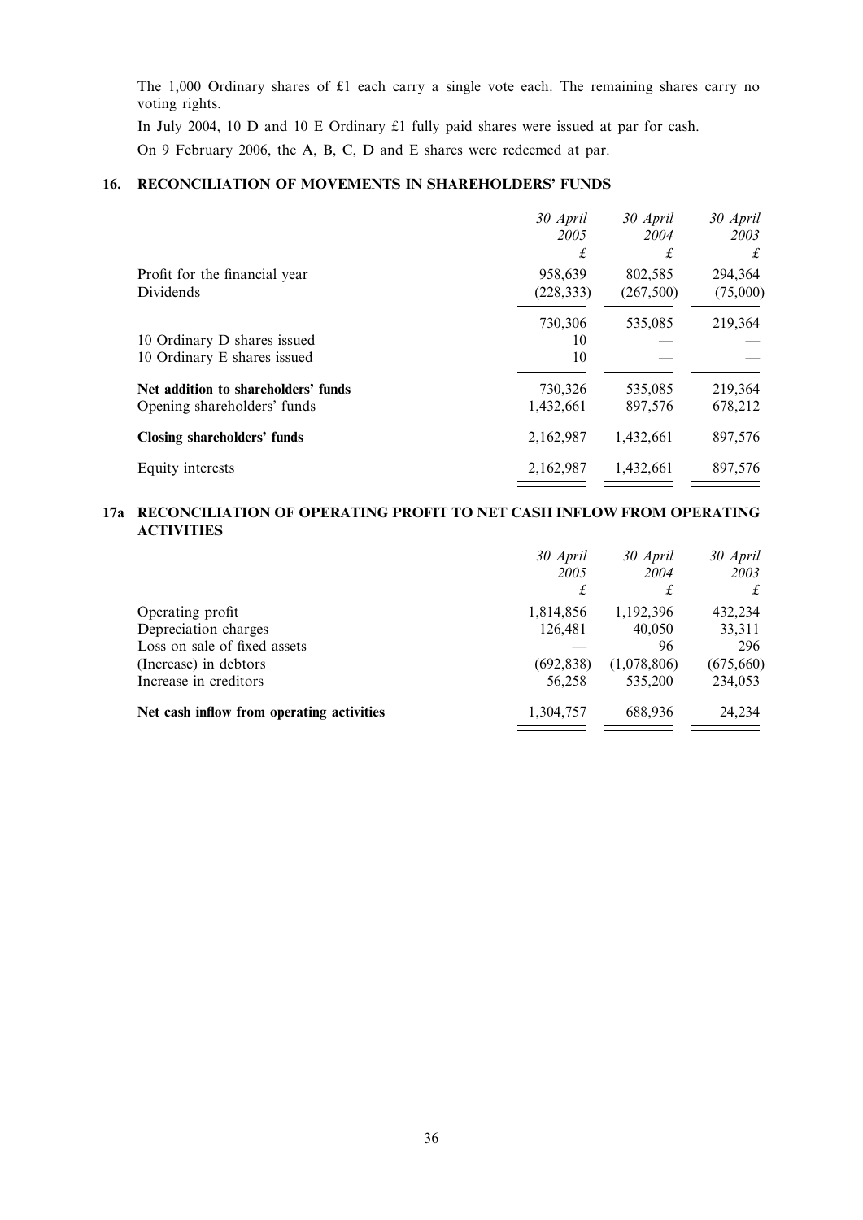The 1,000 Ordinary shares of £1 each carry a single vote each. The remaining shares carry no voting rights.

In July 2004, 10 D and 10 E Ordinary £1 fully paid shares were issued at par for cash.

On 9 February 2006, the A, B, C, D and E shares were redeemed at par.

## 16. RECONCILIATION OF MOVEMENTS IN SHAREHOLDERS' FUNDS

|                                     | 30 April   | 30 April  | 30 April |
|-------------------------------------|------------|-----------|----------|
|                                     | 2005       | 2004      | 2003     |
|                                     | £          | £         | £        |
| Profit for the financial year       | 958.639    | 802.585   | 294,364  |
| Dividends                           | (228, 333) | (267,500) | (75,000) |
|                                     | 730,306    | 535,085   | 219,364  |
| 10 Ordinary D shares issued         | 10         |           |          |
| 10 Ordinary E shares issued         | 10         |           |          |
| Net addition to shareholders' funds | 730,326    | 535,085   | 219,364  |
| Opening shareholders' funds         | 1,432,661  | 897,576   | 678,212  |
| Closing shareholders' funds         | 2,162,987  | 1,432,661 | 897,576  |
| Equity interests                    | 2,162,987  | 1,432,661 | 897,576  |
|                                     |            |           |          |

## 17a RECONCILIATION OF OPERATING PROFIT TO NET CASH INFLOW FROM OPERATING **ACTIVITIES**

|                                           | 30 April<br>2005 | 30 April<br>2004 | 30 April<br>2003 |
|-------------------------------------------|------------------|------------------|------------------|
|                                           |                  | £                | £                |
| Operating profit                          | 1,814,856        | 1,192,396        | 432,234          |
| Depreciation charges                      | 126,481          | 40,050           | 33,311           |
| Loss on sale of fixed assets              |                  | 96               | 296              |
| (Increase) in debtors                     | (692, 838)       | (1,078,806)      | (675, 660)       |
| Increase in creditors                     | 56,258           | 535,200          | 234,053          |
| Net cash inflow from operating activities | 1,304,757        | 688,936          | 24,234           |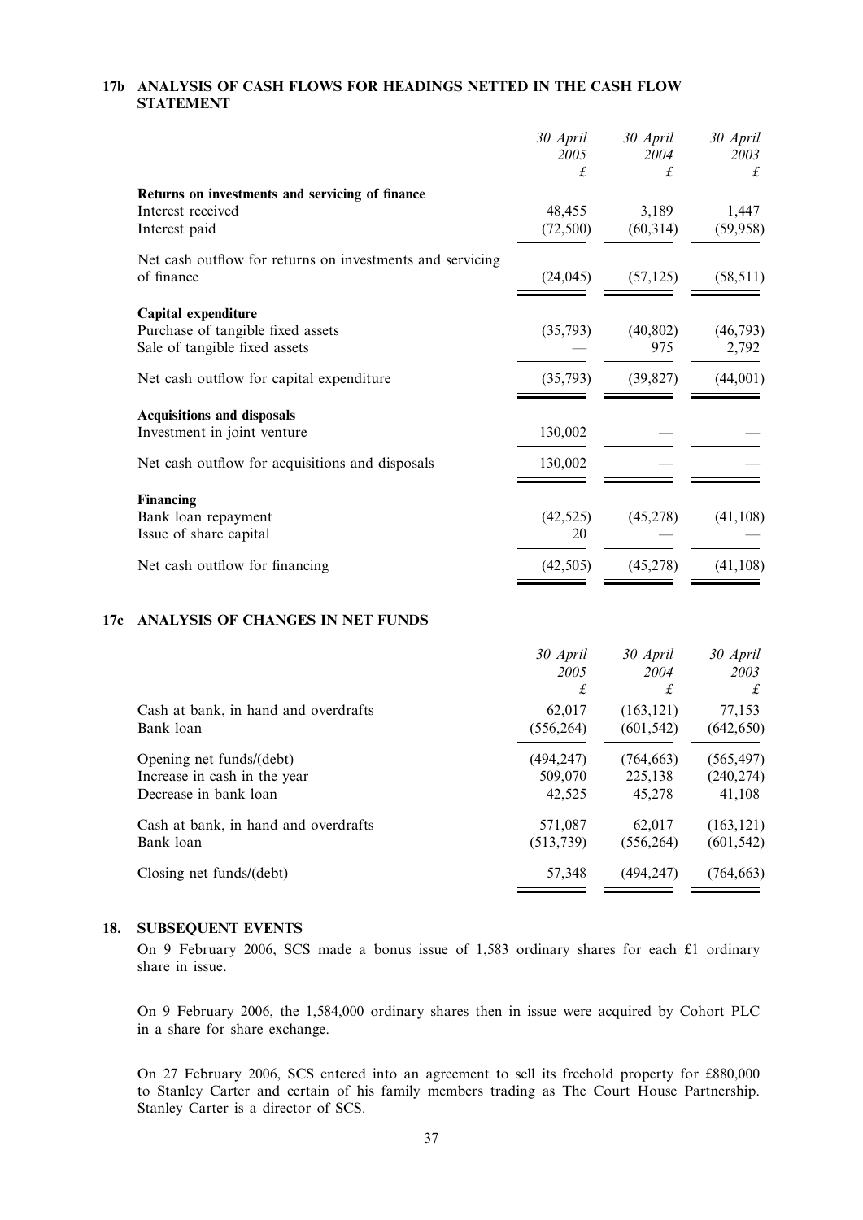## 17b ANALYSIS OF CASH FLOWS FOR HEADINGS NETTED IN THE CASH FLOW STATEMENT

|                                                           | 30 April  | 30 April  | 30 April  |
|-----------------------------------------------------------|-----------|-----------|-----------|
|                                                           | 2005      | 2004      | 2003      |
|                                                           | £         | £         | £         |
| Returns on investments and servicing of finance           |           |           |           |
| Interest received                                         | 48,455    | 3,189     | 1,447     |
| Interest paid                                             | (72, 500) | (60, 314) | (59, 958) |
| Net cash outflow for returns on investments and servicing |           |           |           |
| of finance                                                | (24, 045) | (57, 125) | (58, 511) |
| Capital expenditure                                       |           |           |           |
| Purchase of tangible fixed assets                         | (35,793)  | (40, 802) | (46, 793) |
| Sale of tangible fixed assets                             |           | 975       | 2,792     |
| Net cash outflow for capital expenditure                  | (35,793)  | (39, 827) | (44,001)  |
| <b>Acquisitions and disposals</b>                         |           |           |           |
| Investment in joint venture                               | 130,002   |           |           |
| Net cash outflow for acquisitions and disposals           | 130,002   |           |           |
| <b>Financing</b>                                          |           |           |           |
| Bank loan repayment                                       | (42, 525) | (45,278)  | (41, 108) |
| Issue of share capital                                    | 20        |           |           |
| Net cash outflow for financing                            | (42, 505) | (45,278)  | (41, 108) |

|                                      | 30 April   | 30 April   | 30 April   |
|--------------------------------------|------------|------------|------------|
|                                      | 2005       | 2004       | 2003       |
|                                      | £          | £          | £          |
| Cash at bank, in hand and overdrafts | 62,017     | (163, 121) | 77,153     |
| Bank loan                            | (556, 264) | (601, 542) | (642, 650) |
| Opening net funds/(debt)             | (494, 247) | (764, 663) | (565, 497) |
| Increase in cash in the year         | 509,070    | 225,138    | (240, 274) |
| Decrease in bank loan                | 42.525     | 45,278     | 41,108     |
| Cash at bank, in hand and overdrafts | 571,087    | 62.017     | (163, 121) |
| Bank loan                            | (513, 739) | (556, 264) | (601, 542) |
| Closing net funds/(debt)             | 57,348     | (494,247)  | (764, 663) |

## 18. SUBSEQUENT EVENTS

On 9 February 2006, SCS made a bonus issue of 1,583 ordinary shares for each £1 ordinary share in issue.

On 9 February 2006, the 1,584,000 ordinary shares then in issue were acquired by Cohort PLC in a share for share exchange.

On 27 February 2006, SCS entered into an agreement to sell its freehold property for £880,000 to Stanley Carter and certain of his family members trading as The Court House Partnership. Stanley Carter is a director of SCS.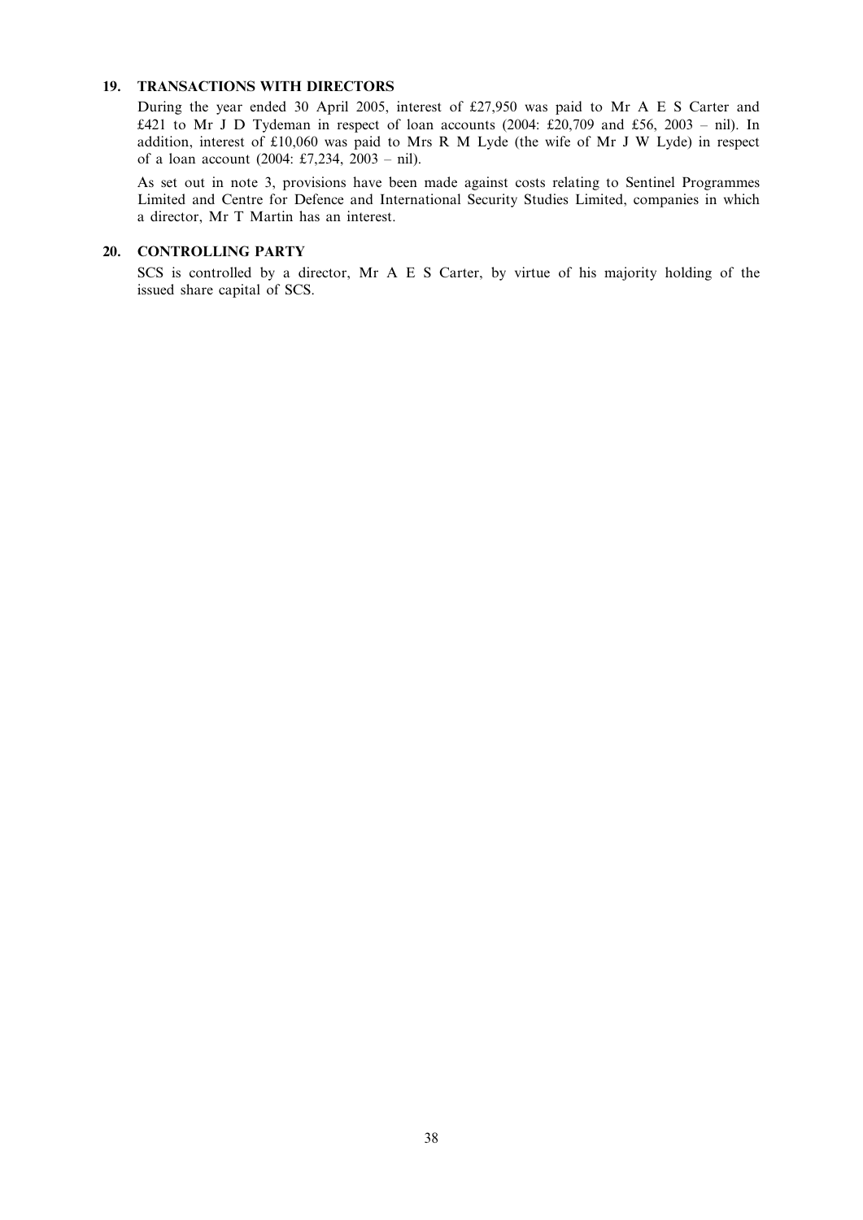## 19. TRANSACTIONS WITH DIRECTORS

During the year ended 30 April 2005, interest of £27,950 was paid to Mr A E S Carter and £421 to Mr J D Tydeman in respect of loan accounts (2004: £20,709 and £56, 2003 – nil). In addition, interest of £10,060 was paid to Mrs R M Lyde (the wife of Mr J W Lyde) in respect of a loan account (2004: £7,234, 2003 – nil).

As set out in note 3, provisions have been made against costs relating to Sentinel Programmes Limited and Centre for Defence and International Security Studies Limited, companies in which a director, Mr T Martin has an interest.

## 20. CONTROLLING PARTY

SCS is controlled by a director, Mr A E S Carter, by virtue of his majority holding of the issued share capital of SCS.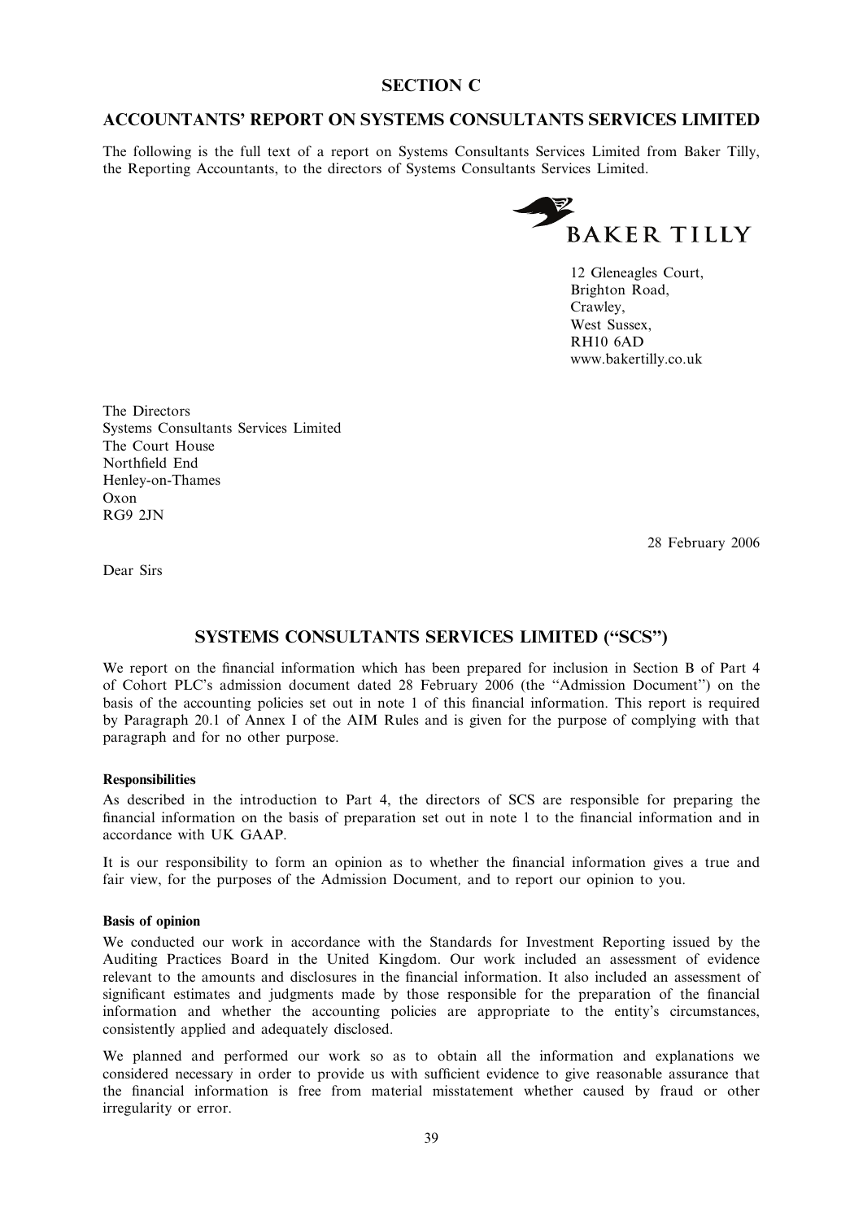## SECTION C

## ACCOUNTANTS' REPORT ON SYSTEMS CONSULTANTS SERVICES LIMITED

The following is the full text of a report on Systems Consultants Services Limited from Baker Tilly, the Reporting Accountants, to the directors of Systems Consultants Services Limited.



12 Gleneagles Court, Brighton Road, Crawley, West Sussex, RH10 6AD www.bakertilly.co.uk

The Directors Systems Consultants Services Limited The Court House Northfield End Henley-on-Thames Oxon RG9 2JN

28 February 2006

Dear Sirs

## SYSTEMS CONSULTANTS SERVICES LIMITED (''SCS'')

We report on the financial information which has been prepared for inclusion in Section B of Part 4 of Cohort PLC's admission document dated 28 February 2006 (the ''Admission Document'') on the basis of the accounting policies set out in note 1 of this financial information. This report is required by Paragraph 20.1 of Annex I of the AIM Rules and is given for the purpose of complying with that paragraph and for no other purpose.

## Responsibilities

As described in the introduction to Part 4, the directors of SCS are responsible for preparing the financial information on the basis of preparation set out in note 1 to the financial information and in accordance with UK GAAP.

It is our responsibility to form an opinion as to whether the financial information gives a true and fair view, for the purposes of the Admission Document, and to report our opinion to you.

## Basis of opinion

We conducted our work in accordance with the Standards for Investment Reporting issued by the Auditing Practices Board in the United Kingdom. Our work included an assessment of evidence relevant to the amounts and disclosures in the financial information. It also included an assessment of significant estimates and judgments made by those responsible for the preparation of the financial information and whether the accounting policies are appropriate to the entity's circumstances, consistently applied and adequately disclosed.

We planned and performed our work so as to obtain all the information and explanations we considered necessary in order to provide us with sufficient evidence to give reasonable assurance that the financial information is free from material misstatement whether caused by fraud or other irregularity or error.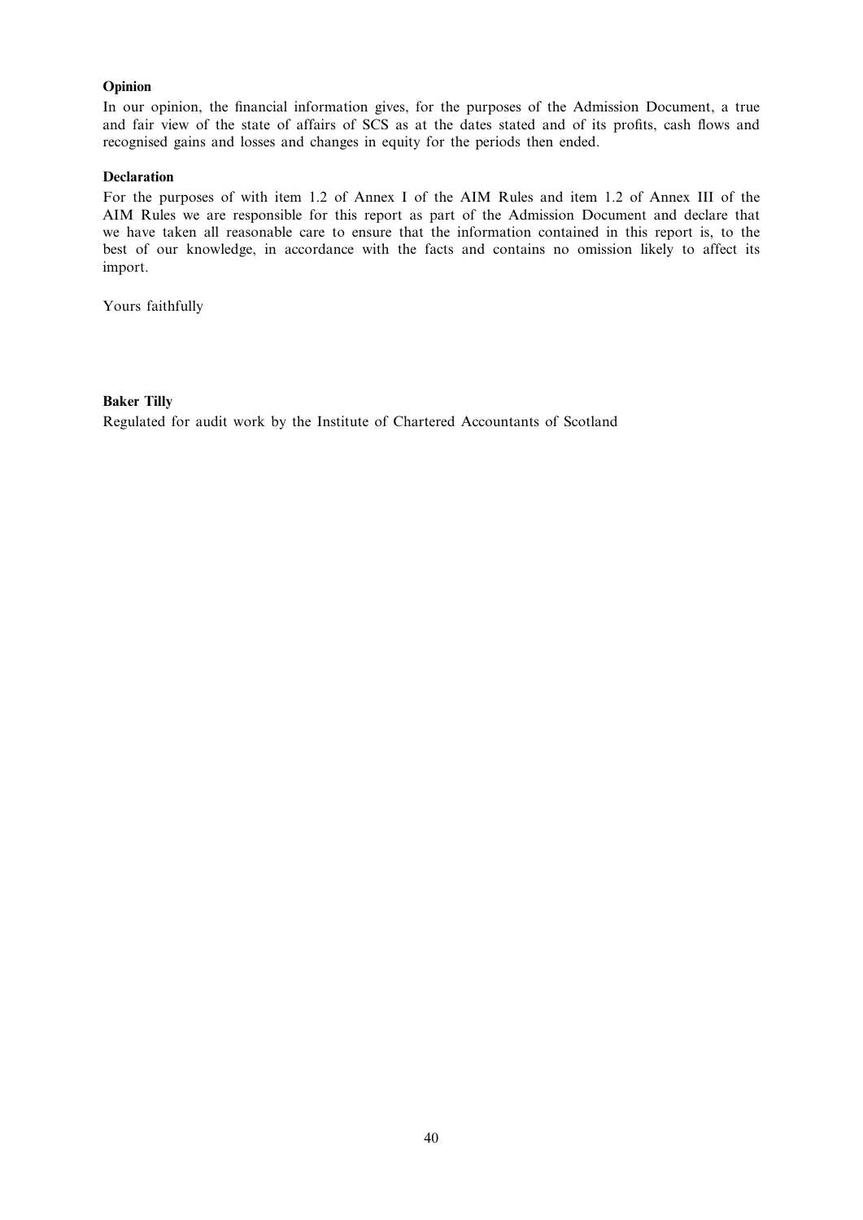## Opinion

In our opinion, the financial information gives, for the purposes of the Admission Document, a true and fair view of the state of affairs of SCS as at the dates stated and of its profits, cash flows and recognised gains and losses and changes in equity for the periods then ended.

## Declaration

For the purposes of with item 1.2 of Annex I of the AIM Rules and item 1.2 of Annex III of the AIM Rules we are responsible for this report as part of the Admission Document and declare that we have taken all reasonable care to ensure that the information contained in this report is, to the best of our knowledge, in accordance with the facts and contains no omission likely to affect its import.

Yours faithfully

## Baker Tilly

Regulated for audit work by the Institute of Chartered Accountants of Scotland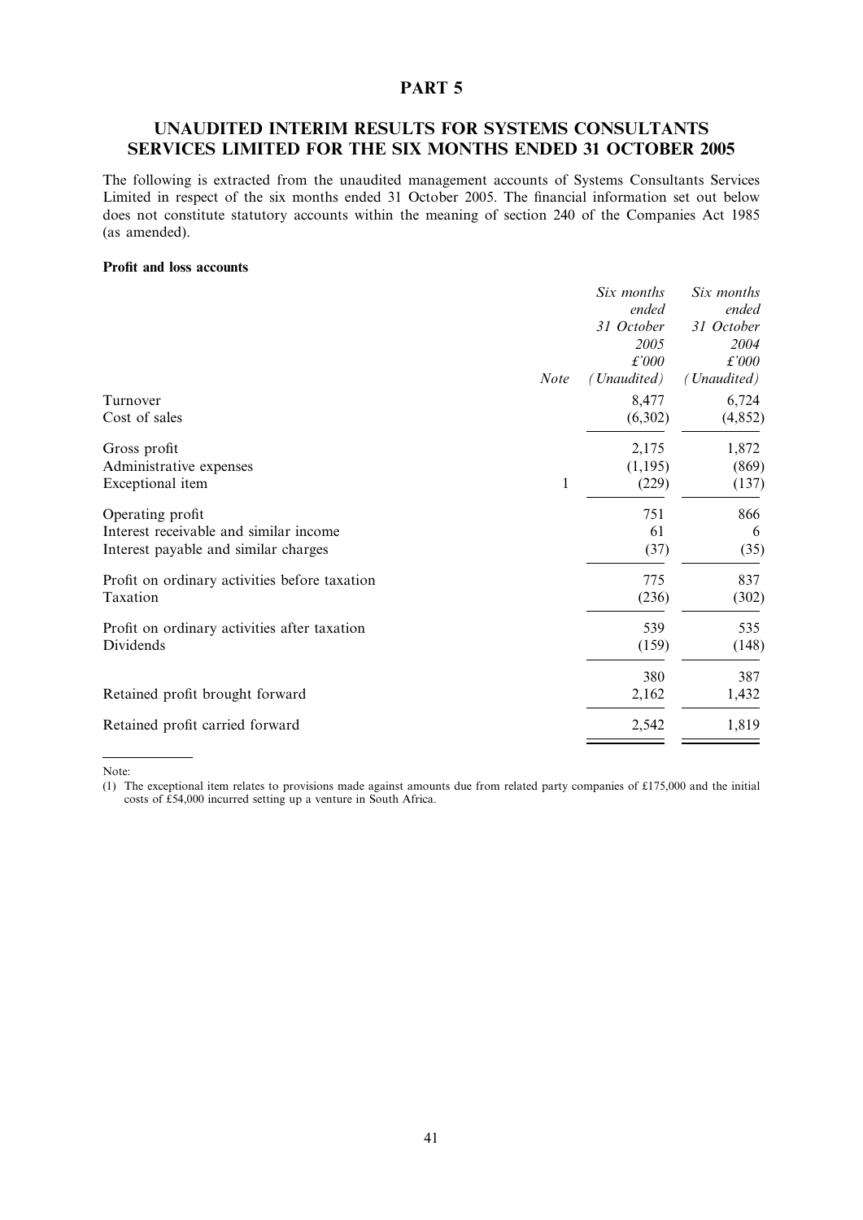## PART 5

## UNAUDITED INTERIM RESULTS FOR SYSTEMS CONSULTANTS SERVICES LIMITED FOR THE SIX MONTHS ENDED 31 OCTOBER 2005

The following is extracted from the unaudited management accounts of Systems Consultants Services Limited in respect of the six months ended 31 October 2005. The financial information set out below does not constitute statutory accounts within the meaning of section 240 of the Companies Act 1985 (as amended).

## Profit and loss accounts

|                                               | Six months  | Six months    |
|-----------------------------------------------|-------------|---------------|
|                                               | ended       | ended         |
|                                               | 31 October  | 31 October    |
|                                               | 2005        | 2004          |
|                                               | £'000       | $\pounds'000$ |
| <b>Note</b>                                   | (Unaudited) | (Unaudited)   |
| Turnover                                      | 8,477       | 6,724         |
| Cost of sales                                 | (6,302)     | (4, 852)      |
| Gross profit                                  | 2,175       | 1,872         |
| Administrative expenses                       | (1, 195)    | (869)         |
| $\mathbf{1}$<br>Exceptional item              | (229)       | (137)         |
| Operating profit                              | 751         | 866           |
| Interest receivable and similar income        | 61          | 6             |
| Interest payable and similar charges          | (37)        | (35)          |
| Profit on ordinary activities before taxation | 775         | 837           |
| Taxation                                      | (236)       | (302)         |
| Profit on ordinary activities after taxation  | 539         | 535           |
| Dividends                                     | (159)       | (148)         |
|                                               | 380         | 387           |
| Retained profit brought forward               | 2,162       | 1,432         |
| Retained profit carried forward               | 2,542       | 1,819         |

Note:

<sup>(1)</sup> The exceptional item relates to provisions made against amounts due from related party companies of £175,000 and the initial costs of £54,000 incurred setting up a venture in South Africa.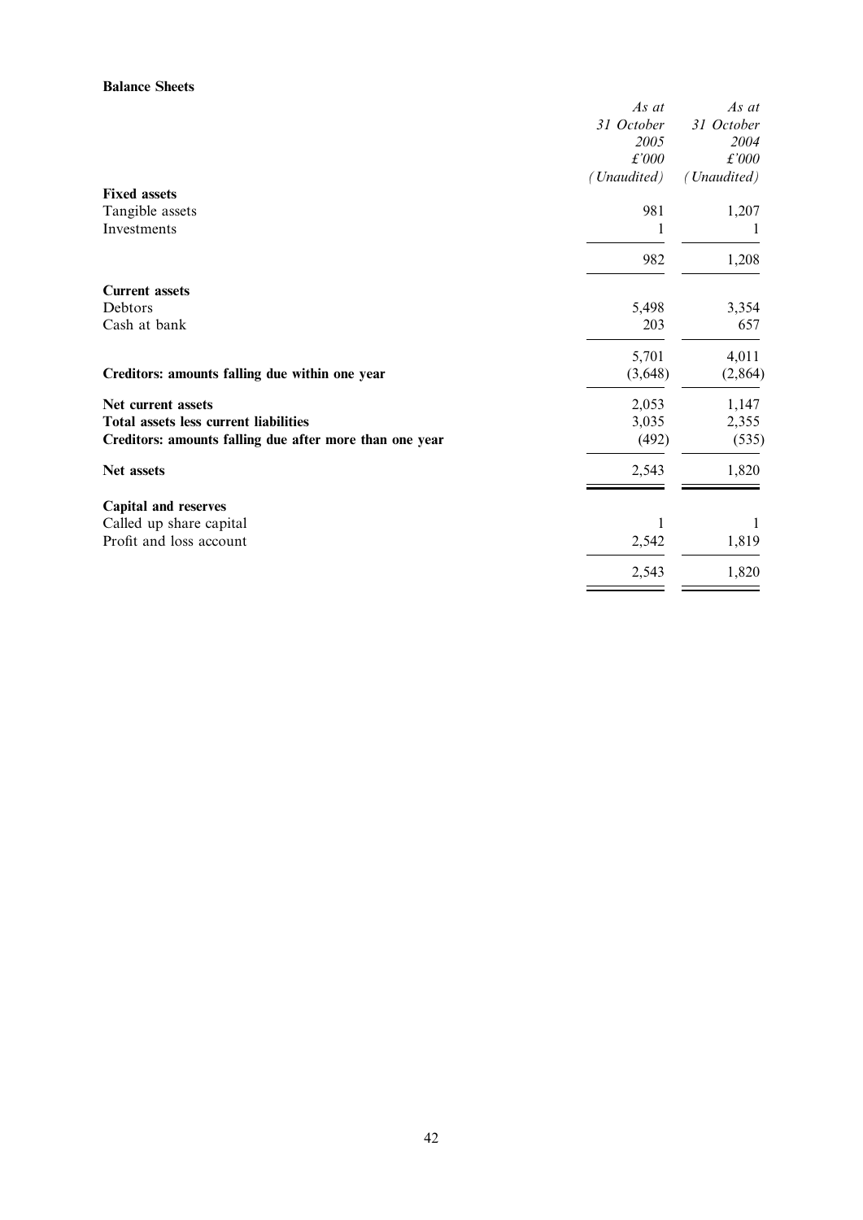## Balance Sheets

|                                                         | As at         | As at          |
|---------------------------------------------------------|---------------|----------------|
|                                                         | 31 October    | 31 October     |
|                                                         | 2005          | 2004           |
|                                                         | $\pounds'000$ | $\pounds' 000$ |
|                                                         | (Unaudited)   | (Unaudited)    |
| <b>Fixed assets</b>                                     |               |                |
| Tangible assets                                         | 981           | 1,207          |
| Investments                                             |               |                |
|                                                         | 982           | 1,208          |
| <b>Current assets</b>                                   |               |                |
| Debtors                                                 | 5,498         | 3,354          |
| Cash at bank                                            | 203           | 657            |
|                                                         | 5,701         | 4,011          |
| Creditors: amounts falling due within one year          | (3,648)       | (2,864)        |
| Net current assets                                      | 2,053         | 1,147          |
| Total assets less current liabilities                   | 3,035         | 2,355          |
| Creditors: amounts falling due after more than one year | (492)         | (535)          |
| Net assets                                              | 2,543         | 1,820          |
| <b>Capital and reserves</b>                             |               |                |
| Called up share capital                                 |               |                |
| Profit and loss account                                 | 2,542         | 1,819          |
|                                                         | 2,543         | 1,820          |
|                                                         |               |                |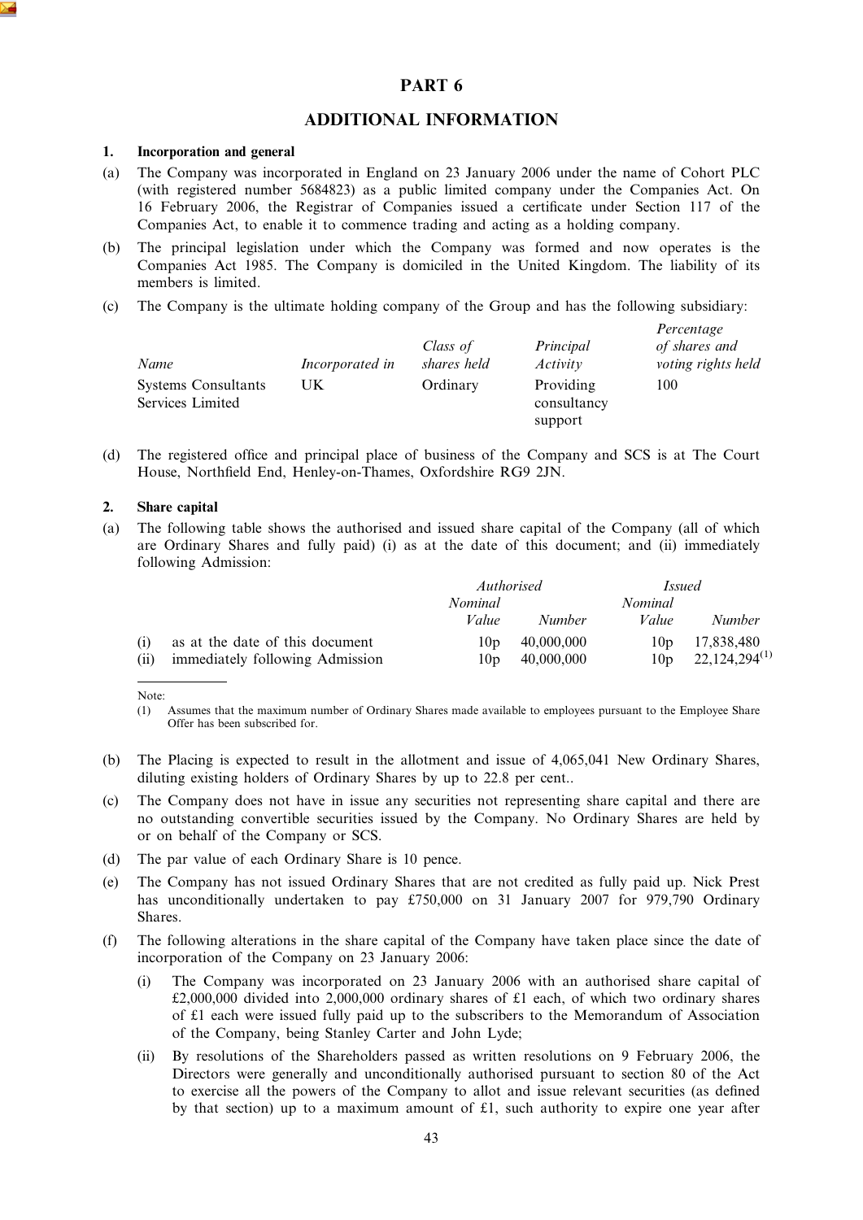## PART 6

## ADDITIONAL INFORMATION

#### 1. Incorporation and general

- (a) The Company was incorporated in England on 23 January 2006 under the name of Cohort PLC (with registered number 5684823) as a public limited company under the Companies Act. On 16 February 2006, the Registrar of Companies issued a certificate under Section 117 of the Companies Act, to enable it to commence trading and acting as a holding company.
- (b) The principal legislation under which the Company was formed and now operates is the Companies Act 1985. The Company is domiciled in the United Kingdom. The liability of its members is limited.
- (c) The Company is the ultimate holding company of the Group and has the following subsidiary:

| Name                                           | Incorporated in | Class of<br>shares held | Principal<br>Activity               | Percentage<br>of shares and<br>voting rights held |
|------------------------------------------------|-----------------|-------------------------|-------------------------------------|---------------------------------------------------|
| <b>Systems Consultants</b><br>Services Limited | UΚ              | Ordinary                | Providing<br>consultancy<br>support | 100                                               |

(d) The registered office and principal place of business of the Company and SCS is at The Court House, Northfield End, Henley-on-Thames, Oxfordshire RG9 2JN.

#### 2. Share capital

(a) The following table shows the authorised and issued share capital of the Company (all of which are Ordinary Shares and fully paid) (i) as at the date of this document; and (ii) immediately following Admission:

|      |                                 | Authorised      |            | Issued          |                    |
|------|---------------------------------|-----------------|------------|-----------------|--------------------|
|      |                                 | Nominal         |            | Nominal         |                    |
|      |                                 | Value           | Number     | Value           | <i>Number</i>      |
| (i)  | as at the date of this document | 10 <sub>p</sub> | 40,000,000 | 10 <sub>p</sub> | 17,838,480         |
| (ii) | immediately following Admission | 10 <sub>p</sub> | 40.000.000 | 10 <sub>p</sub> | $22,124,294^{(1)}$ |

Note:

- (b) The Placing is expected to result in the allotment and issue of 4,065,041 New Ordinary Shares, diluting existing holders of Ordinary Shares by up to 22.8 per cent..
- (c) The Company does not have in issue any securities not representing share capital and there are no outstanding convertible securities issued by the Company. No Ordinary Shares are held by or on behalf of the Company or SCS.
- (d) The par value of each Ordinary Share is 10 pence.
- (e) The Company has not issued Ordinary Shares that are not credited as fully paid up. Nick Prest has unconditionally undertaken to pay £750,000 on 31 January 2007 for 979,790 Ordinary Shares.
- (f) The following alterations in the share capital of the Company have taken place since the date of incorporation of the Company on 23 January 2006:
	- (i) The Company was incorporated on 23 January 2006 with an authorised share capital of £2,000,000 divided into 2,000,000 ordinary shares of £1 each, of which two ordinary shares of £1 each were issued fully paid up to the subscribers to the Memorandum of Association of the Company, being Stanley Carter and John Lyde;
	- (ii) By resolutions of the Shareholders passed as written resolutions on 9 February 2006, the Directors were generally and unconditionally authorised pursuant to section 80 of the Act to exercise all the powers of the Company to allot and issue relevant securities (as defined by that section) up to a maximum amount of £1, such authority to expire one year after

<sup>(1)</sup> Assumes that the maximum number of Ordinary Shares made available to employees pursuant to the Employee Share Offer has been subscribed for.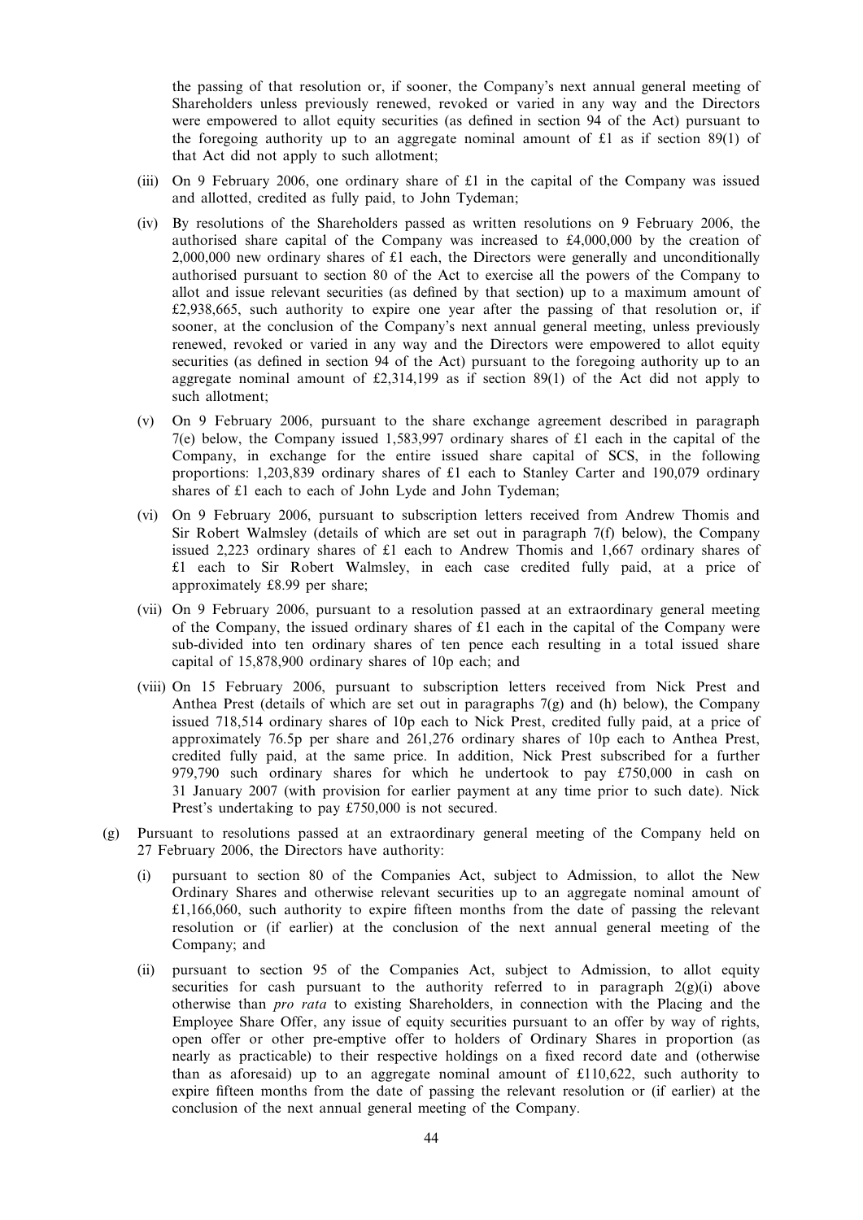the passing of that resolution or, if sooner, the Company's next annual general meeting of Shareholders unless previously renewed, revoked or varied in any way and the Directors were empowered to allot equity securities (as defined in section 94 of the Act) pursuant to the foregoing authority up to an aggregate nominal amount of  $\pounds 1$  as if section 89(1) of that Act did not apply to such allotment;

- (iii) On 9 February 2006, one ordinary share of £1 in the capital of the Company was issued and allotted, credited as fully paid, to John Tydeman;
- (iv) By resolutions of the Shareholders passed as written resolutions on 9 February 2006, the authorised share capital of the Company was increased to £4,000,000 by the creation of 2,000,000 new ordinary shares of £1 each, the Directors were generally and unconditionally authorised pursuant to section 80 of the Act to exercise all the powers of the Company to allot and issue relevant securities (as defined by that section) up to a maximum amount of £2,938,665, such authority to expire one year after the passing of that resolution or, if sooner, at the conclusion of the Company's next annual general meeting, unless previously renewed, revoked or varied in any way and the Directors were empowered to allot equity securities (as defined in section 94 of the Act) pursuant to the foregoing authority up to an aggregate nominal amount of  $\text{\pounds}2.314,199$  as if section 89(1) of the Act did not apply to such allotment;
- (v) On 9 February 2006, pursuant to the share exchange agreement described in paragraph 7(e) below, the Company issued 1,583,997 ordinary shares of £1 each in the capital of the Company, in exchange for the entire issued share capital of SCS, in the following proportions: 1,203,839 ordinary shares of £1 each to Stanley Carter and 190,079 ordinary shares of £1 each to each of John Lyde and John Tydeman;
- (vi) On 9 February 2006, pursuant to subscription letters received from Andrew Thomis and Sir Robert Walmsley (details of which are set out in paragraph 7(f) below), the Company issued 2,223 ordinary shares of £1 each to Andrew Thomis and 1,667 ordinary shares of £1 each to Sir Robert Walmsley, in each case credited fully paid, at a price of approximately £8.99 per share;
- (vii) On 9 February 2006, pursuant to a resolution passed at an extraordinary general meeting of the Company, the issued ordinary shares of  $\hat{\epsilon}$  each in the capital of the Company were sub-divided into ten ordinary shares of ten pence each resulting in a total issued share capital of 15,878,900 ordinary shares of 10p each; and
- (viii) On 15 February 2006, pursuant to subscription letters received from Nick Prest and Anthea Prest (details of which are set out in paragraphs 7(g) and (h) below), the Company issued 718,514 ordinary shares of 10p each to Nick Prest, credited fully paid, at a price of approximately 76.5p per share and 261,276 ordinary shares of 10p each to Anthea Prest, credited fully paid, at the same price. In addition, Nick Prest subscribed for a further 979,790 such ordinary shares for which he undertook to pay  $£750,000$  in cash on 31 January 2007 (with provision for earlier payment at any time prior to such date). Nick Prest's undertaking to pay £750,000 is not secured.
- (g) Pursuant to resolutions passed at an extraordinary general meeting of the Company held on 27 February 2006, the Directors have authority:
	- (i) pursuant to section 80 of the Companies Act, subject to Admission, to allot the New Ordinary Shares and otherwise relevant securities up to an aggregate nominal amount of £1,166,060, such authority to expire fifteen months from the date of passing the relevant resolution or (if earlier) at the conclusion of the next annual general meeting of the Company; and
	- (ii) pursuant to section 95 of the Companies Act, subject to Admission, to allot equity securities for cash pursuant to the authority referred to in paragraph  $2(g)(i)$  above otherwise than pro rata to existing Shareholders, in connection with the Placing and the Employee Share Offer, any issue of equity securities pursuant to an offer by way of rights, open offer or other pre-emptive offer to holders of Ordinary Shares in proportion (as nearly as practicable) to their respective holdings on a fixed record date and (otherwise than as aforesaid) up to an aggregate nominal amount of  $£110,622$ , such authority to expire fifteen months from the date of passing the relevant resolution or (if earlier) at the conclusion of the next annual general meeting of the Company.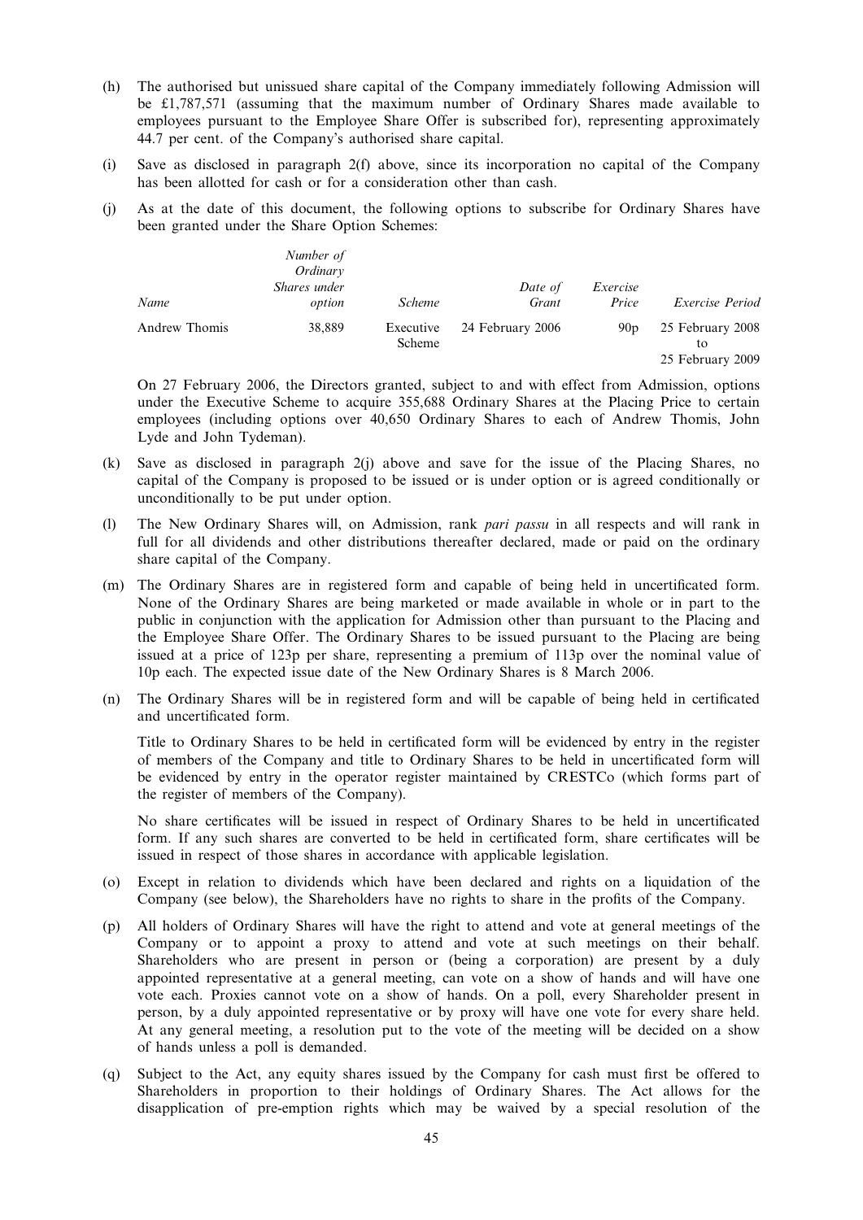- (h) The authorised but unissued share capital of the Company immediately following Admission will be £1,787,571 (assuming that the maximum number of Ordinary Shares made available to employees pursuant to the Employee Share Offer is subscribed for), representing approximately 44.7 per cent. of the Company's authorised share capital.
- (i) Save as disclosed in paragraph 2(f) above, since its incorporation no capital of the Company has been allotted for cash or for a consideration other than cash.
- (j) As at the date of this document, the following options to subscribe for Ordinary Shares have been granted under the Share Option Schemes:

| Name          | Number of<br>Ordinary<br>Shares under<br>option | <i>Scheme</i>       | Date of<br>Grant | Exercise<br>Price | Exercise Period                            |
|---------------|-------------------------------------------------|---------------------|------------------|-------------------|--------------------------------------------|
| Andrew Thomis | 38,889                                          | Executive<br>Scheme | 24 February 2006 | 90 <sub>p</sub>   | 25 February 2008<br>tο<br>25 February 2009 |

On 27 February 2006, the Directors granted, subject to and with effect from Admission, options under the Executive Scheme to acquire 355,688 Ordinary Shares at the Placing Price to certain employees (including options over 40,650 Ordinary Shares to each of Andrew Thomis, John Lyde and John Tydeman).

- (k) Save as disclosed in paragraph 2(j) above and save for the issue of the Placing Shares, no capital of the Company is proposed to be issued or is under option or is agreed conditionally or unconditionally to be put under option.
- (l) The New Ordinary Shares will, on Admission, rank pari passu in all respects and will rank in full for all dividends and other distributions thereafter declared, made or paid on the ordinary share capital of the Company.
- (m) The Ordinary Shares are in registered form and capable of being held in uncertificated form. None of the Ordinary Shares are being marketed or made available in whole or in part to the public in conjunction with the application for Admission other than pursuant to the Placing and the Employee Share Offer. The Ordinary Shares to be issued pursuant to the Placing are being issued at a price of 123p per share, representing a premium of 113p over the nominal value of 10p each. The expected issue date of the New Ordinary Shares is 8 March 2006.
- (n) The Ordinary Shares will be in registered form and will be capable of being held in certificated and uncertificated form.

Title to Ordinary Shares to be held in certificated form will be evidenced by entry in the register of members of the Company and title to Ordinary Shares to be held in uncertificated form will be evidenced by entry in the operator register maintained by CRESTCo (which forms part of the register of members of the Company).

No share certificates will be issued in respect of Ordinary Shares to be held in uncertificated form. If any such shares are converted to be held in certificated form, share certificates will be issued in respect of those shares in accordance with applicable legislation.

- (o) Except in relation to dividends which have been declared and rights on a liquidation of the Company (see below), the Shareholders have no rights to share in the profits of the Company.
- (p) All holders of Ordinary Shares will have the right to attend and vote at general meetings of the Company or to appoint a proxy to attend and vote at such meetings on their behalf. Shareholders who are present in person or (being a corporation) are present by a duly appointed representative at a general meeting, can vote on a show of hands and will have one vote each. Proxies cannot vote on a show of hands. On a poll, every Shareholder present in person, by a duly appointed representative or by proxy will have one vote for every share held. At any general meeting, a resolution put to the vote of the meeting will be decided on a show of hands unless a poll is demanded.
- (q) Subject to the Act, any equity shares issued by the Company for cash must first be offered to Shareholders in proportion to their holdings of Ordinary Shares. The Act allows for the disapplication of pre-emption rights which may be waived by a special resolution of the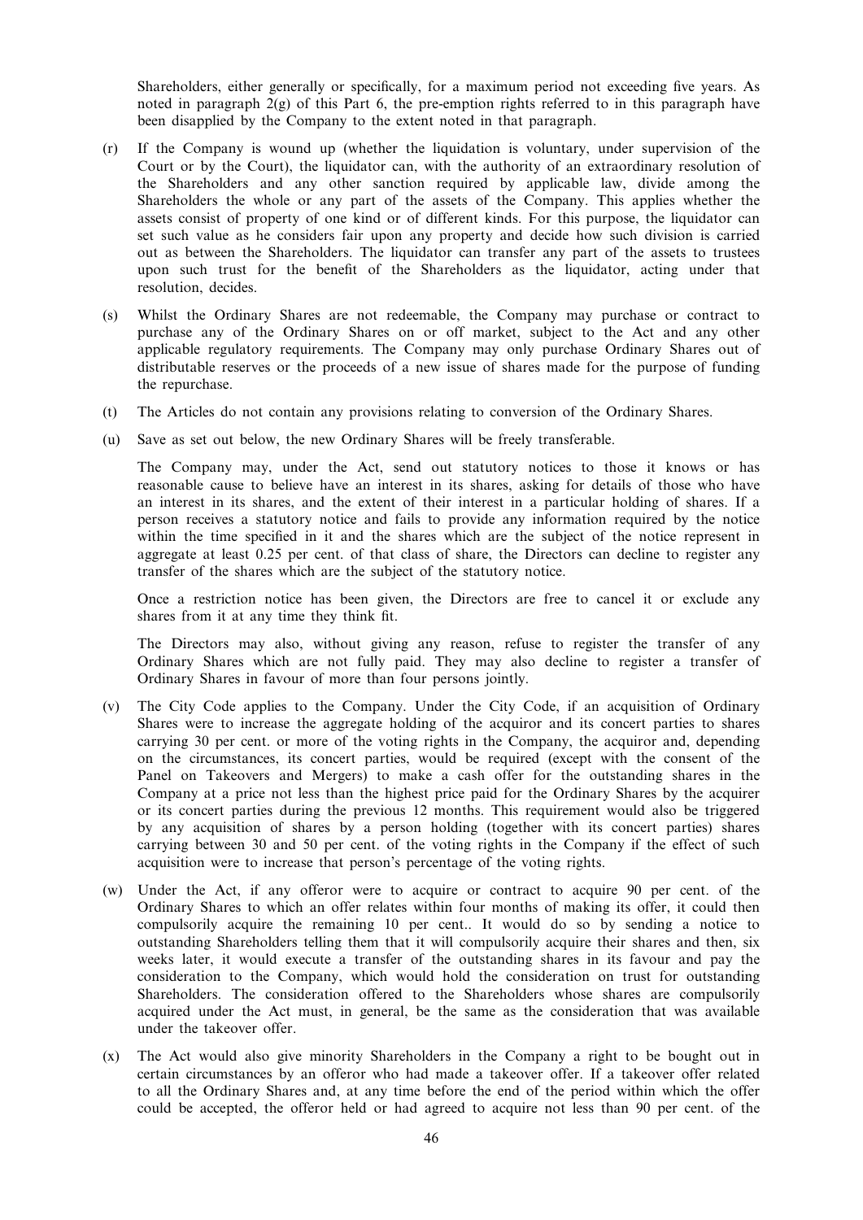Shareholders, either generally or specifically, for a maximum period not exceeding five years. As noted in paragraph 2(g) of this Part 6, the pre-emption rights referred to in this paragraph have been disapplied by the Company to the extent noted in that paragraph.

- (r) If the Company is wound up (whether the liquidation is voluntary, under supervision of the Court or by the Court), the liquidator can, with the authority of an extraordinary resolution of the Shareholders and any other sanction required by applicable law, divide among the Shareholders the whole or any part of the assets of the Company. This applies whether the assets consist of property of one kind or of different kinds. For this purpose, the liquidator can set such value as he considers fair upon any property and decide how such division is carried out as between the Shareholders. The liquidator can transfer any part of the assets to trustees upon such trust for the benefit of the Shareholders as the liquidator, acting under that resolution, decides.
- (s) Whilst the Ordinary Shares are not redeemable, the Company may purchase or contract to purchase any of the Ordinary Shares on or off market, subject to the Act and any other applicable regulatory requirements. The Company may only purchase Ordinary Shares out of distributable reserves or the proceeds of a new issue of shares made for the purpose of funding the repurchase.
- (t) The Articles do not contain any provisions relating to conversion of the Ordinary Shares.
- (u) Save as set out below, the new Ordinary Shares will be freely transferable.

The Company may, under the Act, send out statutory notices to those it knows or has reasonable cause to believe have an interest in its shares, asking for details of those who have an interest in its shares, and the extent of their interest in a particular holding of shares. If a person receives a statutory notice and fails to provide any information required by the notice within the time specified in it and the shares which are the subject of the notice represent in aggregate at least 0.25 per cent. of that class of share, the Directors can decline to register any transfer of the shares which are the subject of the statutory notice.

Once a restriction notice has been given, the Directors are free to cancel it or exclude any shares from it at any time they think fit.

The Directors may also, without giving any reason, refuse to register the transfer of any Ordinary Shares which are not fully paid. They may also decline to register a transfer of Ordinary Shares in favour of more than four persons jointly.

- (v) The City Code applies to the Company. Under the City Code, if an acquisition of Ordinary Shares were to increase the aggregate holding of the acquiror and its concert parties to shares carrying 30 per cent. or more of the voting rights in the Company, the acquiror and, depending on the circumstances, its concert parties, would be required (except with the consent of the Panel on Takeovers and Mergers) to make a cash offer for the outstanding shares in the Company at a price not less than the highest price paid for the Ordinary Shares by the acquirer or its concert parties during the previous 12 months. This requirement would also be triggered by any acquisition of shares by a person holding (together with its concert parties) shares carrying between 30 and 50 per cent. of the voting rights in the Company if the effect of such acquisition were to increase that person's percentage of the voting rights.
- (w) Under the Act, if any offeror were to acquire or contract to acquire 90 per cent. of the Ordinary Shares to which an offer relates within four months of making its offer, it could then compulsorily acquire the remaining 10 per cent.. It would do so by sending a notice to outstanding Shareholders telling them that it will compulsorily acquire their shares and then, six weeks later, it would execute a transfer of the outstanding shares in its favour and pay the consideration to the Company, which would hold the consideration on trust for outstanding Shareholders. The consideration offered to the Shareholders whose shares are compulsorily acquired under the Act must, in general, be the same as the consideration that was available under the takeover offer.
- (x) The Act would also give minority Shareholders in the Company a right to be bought out in certain circumstances by an offeror who had made a takeover offer. If a takeover offer related to all the Ordinary Shares and, at any time before the end of the period within which the offer could be accepted, the offeror held or had agreed to acquire not less than 90 per cent. of the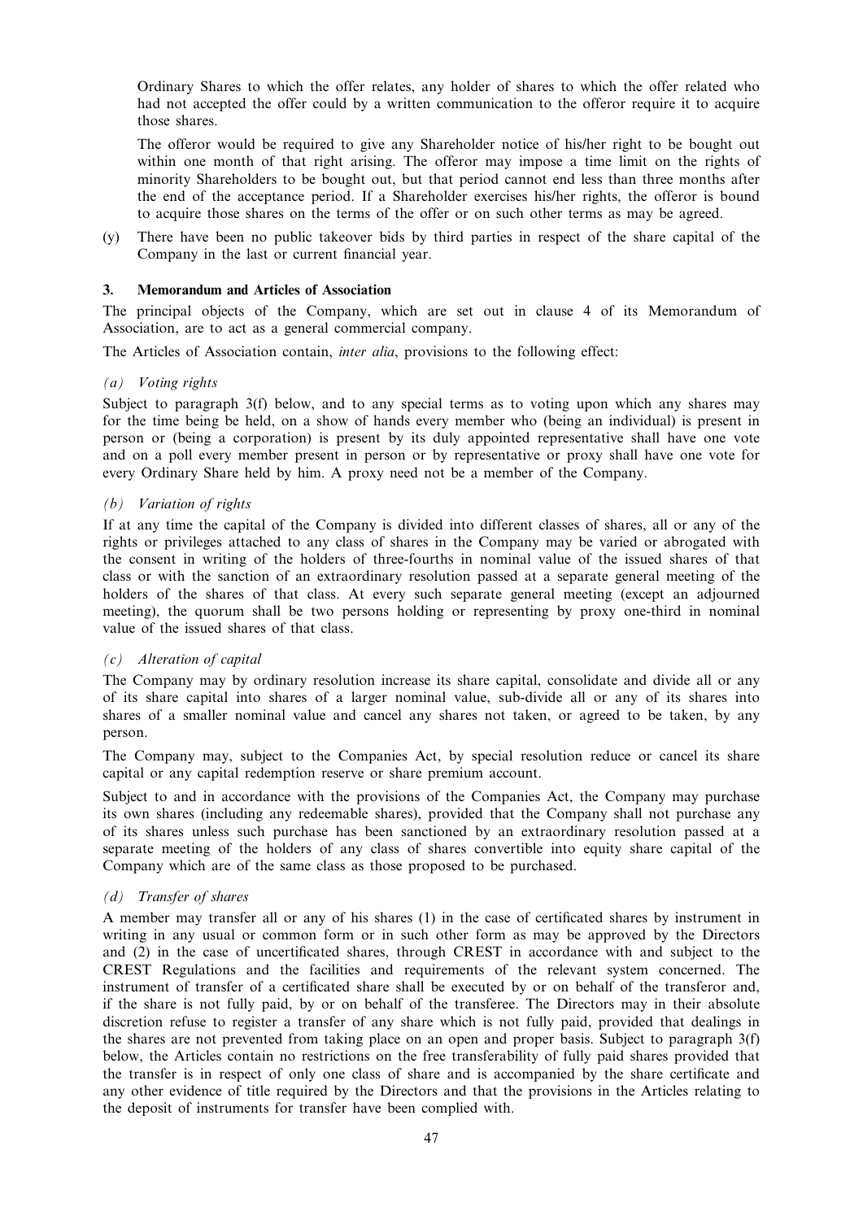Ordinary Shares to which the offer relates, any holder of shares to which the offer related who had not accepted the offer could by a written communication to the offeror require it to acquire those shares.

The offeror would be required to give any Shareholder notice of his/her right to be bought out within one month of that right arising. The offeror may impose a time limit on the rights of minority Shareholders to be bought out, but that period cannot end less than three months after the end of the acceptance period. If a Shareholder exercises his/her rights, the offeror is bound to acquire those shares on the terms of the offer or on such other terms as may be agreed.

(y) There have been no public takeover bids by third parties in respect of the share capital of the Company in the last or current financial year.

#### 3. Memorandum and Articles of Association

The principal objects of the Company, which are set out in clause 4 of its Memorandum of Association, are to act as a general commercial company.

The Articles of Association contain, inter alia, provisions to the following effect:

#### (a) Voting rights

Subject to paragraph 3(f) below, and to any special terms as to voting upon which any shares may for the time being be held, on a show of hands every member who (being an individual) is present in person or (being a corporation) is present by its duly appointed representative shall have one vote and on a poll every member present in person or by representative or proxy shall have one vote for every Ordinary Share held by him. A proxy need not be a member of the Company.

## (b) Variation of rights

If at any time the capital of the Company is divided into different classes of shares, all or any of the rights or privileges attached to any class of shares in the Company may be varied or abrogated with the consent in writing of the holders of three-fourths in nominal value of the issued shares of that class or with the sanction of an extraordinary resolution passed at a separate general meeting of the holders of the shares of that class. At every such separate general meeting (except an adjourned meeting), the quorum shall be two persons holding or representing by proxy one-third in nominal value of the issued shares of that class.

## (c) Alteration of capital

The Company may by ordinary resolution increase its share capital, consolidate and divide all or any of its share capital into shares of a larger nominal value, sub-divide all or any of its shares into shares of a smaller nominal value and cancel any shares not taken, or agreed to be taken, by any person.

The Company may, subject to the Companies Act, by special resolution reduce or cancel its share capital or any capital redemption reserve or share premium account.

Subject to and in accordance with the provisions of the Companies Act, the Company may purchase its own shares (including any redeemable shares), provided that the Company shall not purchase any of its shares unless such purchase has been sanctioned by an extraordinary resolution passed at a separate meeting of the holders of any class of shares convertible into equity share capital of the Company which are of the same class as those proposed to be purchased.

## (d) Transfer of shares

A member may transfer all or any of his shares (1) in the case of certificated shares by instrument in writing in any usual or common form or in such other form as may be approved by the Directors and (2) in the case of uncertificated shares, through CREST in accordance with and subject to the CREST Regulations and the facilities and requirements of the relevant system concerned. The instrument of transfer of a certificated share shall be executed by or on behalf of the transferor and, if the share is not fully paid, by or on behalf of the transferee. The Directors may in their absolute discretion refuse to register a transfer of any share which is not fully paid, provided that dealings in the shares are not prevented from taking place on an open and proper basis. Subject to paragraph 3(f) below, the Articles contain no restrictions on the free transferability of fully paid shares provided that the transfer is in respect of only one class of share and is accompanied by the share certificate and any other evidence of title required by the Directors and that the provisions in the Articles relating to the deposit of instruments for transfer have been complied with.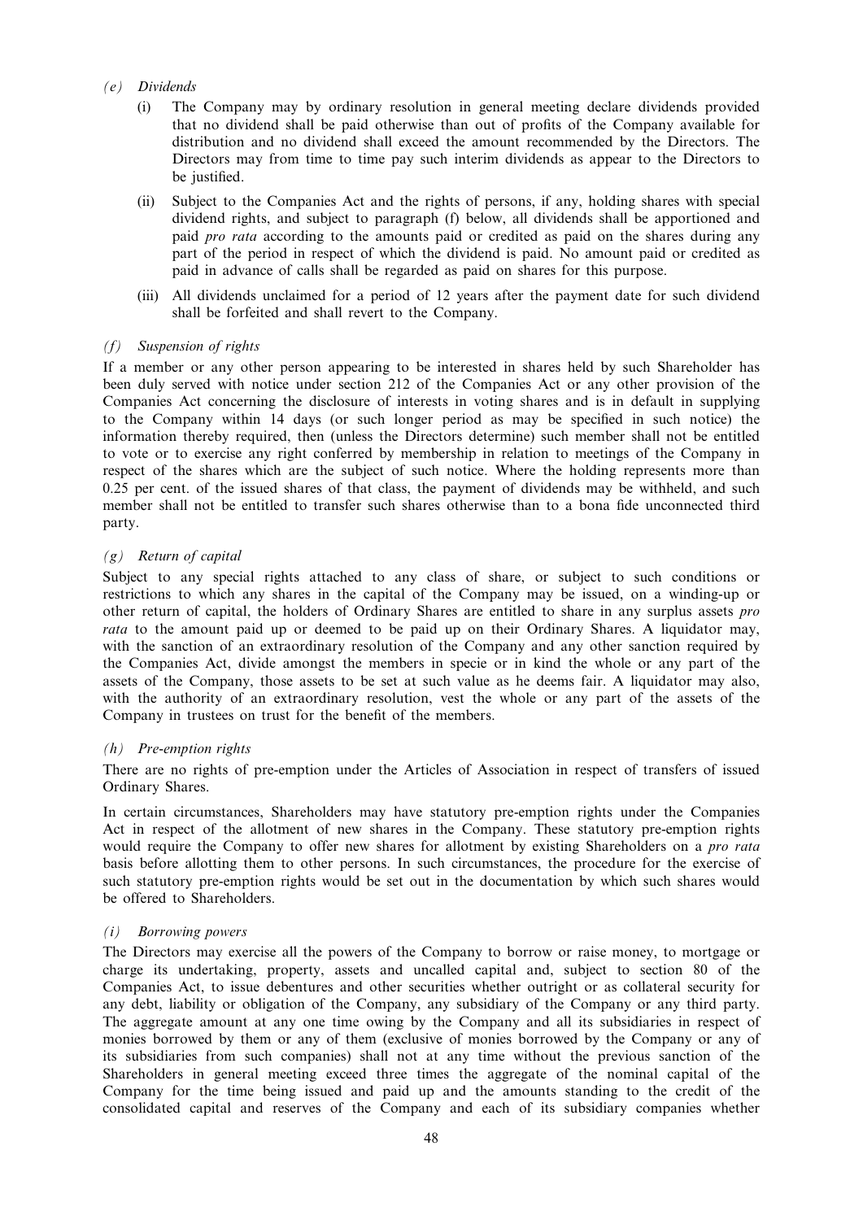## (e) Dividends

- (i) The Company may by ordinary resolution in general meeting declare dividends provided that no dividend shall be paid otherwise than out of profits of the Company available for distribution and no dividend shall exceed the amount recommended by the Directors. The Directors may from time to time pay such interim dividends as appear to the Directors to be justified.
- (ii) Subject to the Companies Act and the rights of persons, if any, holding shares with special dividend rights, and subject to paragraph (f) below, all dividends shall be apportioned and paid *pro rata* according to the amounts paid or credited as paid on the shares during any part of the period in respect of which the dividend is paid. No amount paid or credited as paid in advance of calls shall be regarded as paid on shares for this purpose.
- (iii) All dividends unclaimed for a period of 12 years after the payment date for such dividend shall be forfeited and shall revert to the Company.

## (f) Suspension of rights

If a member or any other person appearing to be interested in shares held by such Shareholder has been duly served with notice under section 212 of the Companies Act or any other provision of the Companies Act concerning the disclosure of interests in voting shares and is in default in supplying to the Company within 14 days (or such longer period as may be specified in such notice) the information thereby required, then (unless the Directors determine) such member shall not be entitled to vote or to exercise any right conferred by membership in relation to meetings of the Company in respect of the shares which are the subject of such notice. Where the holding represents more than 0.25 per cent. of the issued shares of that class, the payment of dividends may be withheld, and such member shall not be entitled to transfer such shares otherwise than to a bona fide unconnected third party.

## (g) Return of capital

Subject to any special rights attached to any class of share, or subject to such conditions or restrictions to which any shares in the capital of the Company may be issued, on a winding-up or other return of capital, the holders of Ordinary Shares are entitled to share in any surplus assets pro rata to the amount paid up or deemed to be paid up on their Ordinary Shares. A liquidator may, with the sanction of an extraordinary resolution of the Company and any other sanction required by the Companies Act, divide amongst the members in specie or in kind the whole or any part of the assets of the Company, those assets to be set at such value as he deems fair. A liquidator may also, with the authority of an extraordinary resolution, vest the whole or any part of the assets of the Company in trustees on trust for the benefit of the members.

## (h) Pre-emption rights

There are no rights of pre-emption under the Articles of Association in respect of transfers of issued Ordinary Shares.

In certain circumstances, Shareholders may have statutory pre-emption rights under the Companies Act in respect of the allotment of new shares in the Company. These statutory pre-emption rights would require the Company to offer new shares for allotment by existing Shareholders on a pro rata basis before allotting them to other persons. In such circumstances, the procedure for the exercise of such statutory pre-emption rights would be set out in the documentation by which such shares would be offered to Shareholders.

## (i) Borrowing powers

The Directors may exercise all the powers of the Company to borrow or raise money, to mortgage or charge its undertaking, property, assets and uncalled capital and, subject to section 80 of the Companies Act, to issue debentures and other securities whether outright or as collateral security for any debt, liability or obligation of the Company, any subsidiary of the Company or any third party. The aggregate amount at any one time owing by the Company and all its subsidiaries in respect of monies borrowed by them or any of them (exclusive of monies borrowed by the Company or any of its subsidiaries from such companies) shall not at any time without the previous sanction of the Shareholders in general meeting exceed three times the aggregate of the nominal capital of the Company for the time being issued and paid up and the amounts standing to the credit of the consolidated capital and reserves of the Company and each of its subsidiary companies whether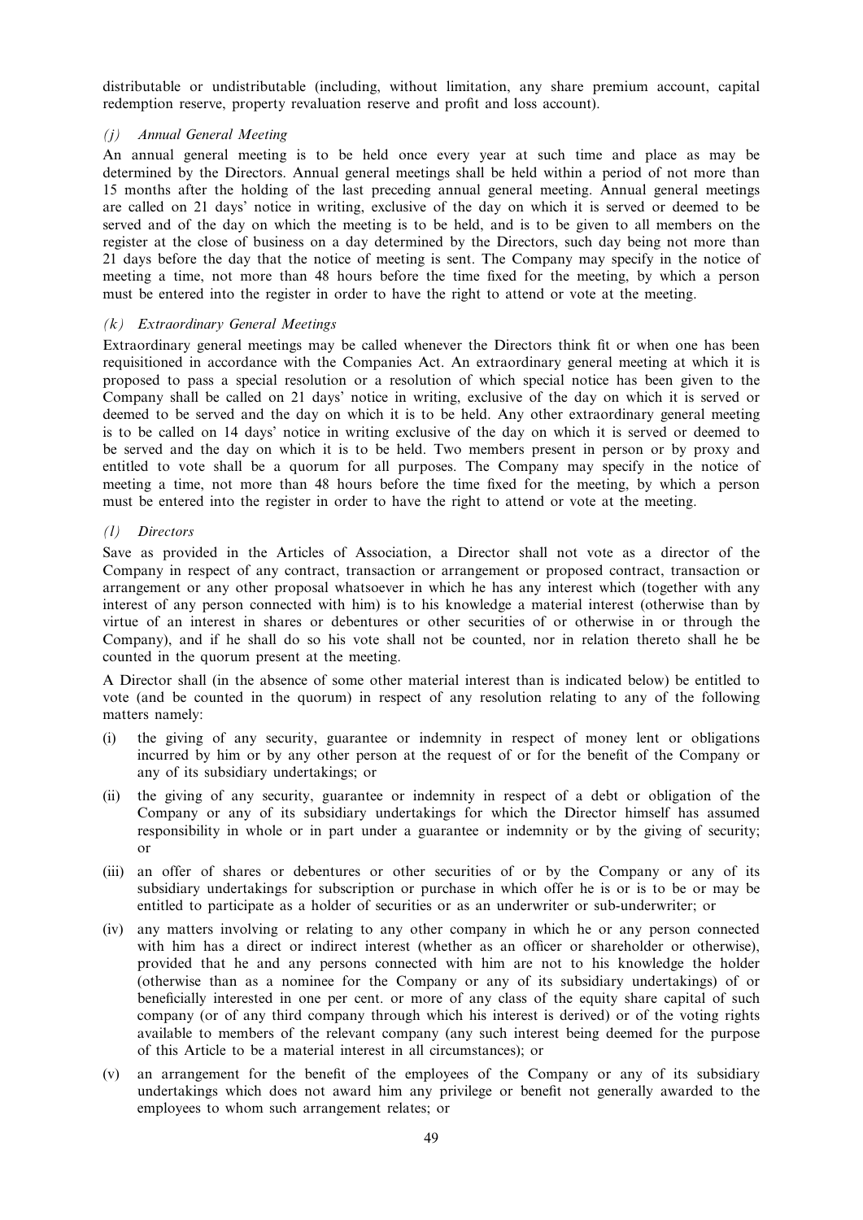distributable or undistributable (including, without limitation, any share premium account, capital redemption reserve, property revaluation reserve and profit and loss account).

## (j) Annual General Meeting

An annual general meeting is to be held once every year at such time and place as may be determined by the Directors. Annual general meetings shall be held within a period of not more than 15 months after the holding of the last preceding annual general meeting. Annual general meetings are called on 21 days' notice in writing, exclusive of the day on which it is served or deemed to be served and of the day on which the meeting is to be held, and is to be given to all members on the register at the close of business on a day determined by the Directors, such day being not more than 21 days before the day that the notice of meeting is sent. The Company may specify in the notice of meeting a time, not more than 48 hours before the time fixed for the meeting, by which a person must be entered into the register in order to have the right to attend or vote at the meeting.

## (k) Extraordinary General Meetings

Extraordinary general meetings may be called whenever the Directors think fit or when one has been requisitioned in accordance with the Companies Act. An extraordinary general meeting at which it is proposed to pass a special resolution or a resolution of which special notice has been given to the Company shall be called on 21 days' notice in writing, exclusive of the day on which it is served or deemed to be served and the day on which it is to be held. Any other extraordinary general meeting is to be called on 14 days' notice in writing exclusive of the day on which it is served or deemed to be served and the day on which it is to be held. Two members present in person or by proxy and entitled to vote shall be a quorum for all purposes. The Company may specify in the notice of meeting a time, not more than 48 hours before the time fixed for the meeting, by which a person must be entered into the register in order to have the right to attend or vote at the meeting.

## (l) Directors

Save as provided in the Articles of Association, a Director shall not vote as a director of the Company in respect of any contract, transaction or arrangement or proposed contract, transaction or arrangement or any other proposal whatsoever in which he has any interest which (together with any interest of any person connected with him) is to his knowledge a material interest (otherwise than by virtue of an interest in shares or debentures or other securities of or otherwise in or through the Company), and if he shall do so his vote shall not be counted, nor in relation thereto shall he be counted in the quorum present at the meeting.

A Director shall (in the absence of some other material interest than is indicated below) be entitled to vote (and be counted in the quorum) in respect of any resolution relating to any of the following matters namely:

- (i) the giving of any security, guarantee or indemnity in respect of money lent or obligations incurred by him or by any other person at the request of or for the benefit of the Company or any of its subsidiary undertakings; or
- (ii) the giving of any security, guarantee or indemnity in respect of a debt or obligation of the Company or any of its subsidiary undertakings for which the Director himself has assumed responsibility in whole or in part under a guarantee or indemnity or by the giving of security; or
- (iii) an offer of shares or debentures or other securities of or by the Company or any of its subsidiary undertakings for subscription or purchase in which offer he is or is to be or may be entitled to participate as a holder of securities or as an underwriter or sub-underwriter; or
- (iv) any matters involving or relating to any other company in which he or any person connected with him has a direct or indirect interest (whether as an officer or shareholder or otherwise), provided that he and any persons connected with him are not to his knowledge the holder (otherwise than as a nominee for the Company or any of its subsidiary undertakings) of or beneficially interested in one per cent. or more of any class of the equity share capital of such company (or of any third company through which his interest is derived) or of the voting rights available to members of the relevant company (any such interest being deemed for the purpose of this Article to be a material interest in all circumstances); or
- (v) an arrangement for the benefit of the employees of the Company or any of its subsidiary undertakings which does not award him any privilege or benefit not generally awarded to the employees to whom such arrangement relates; or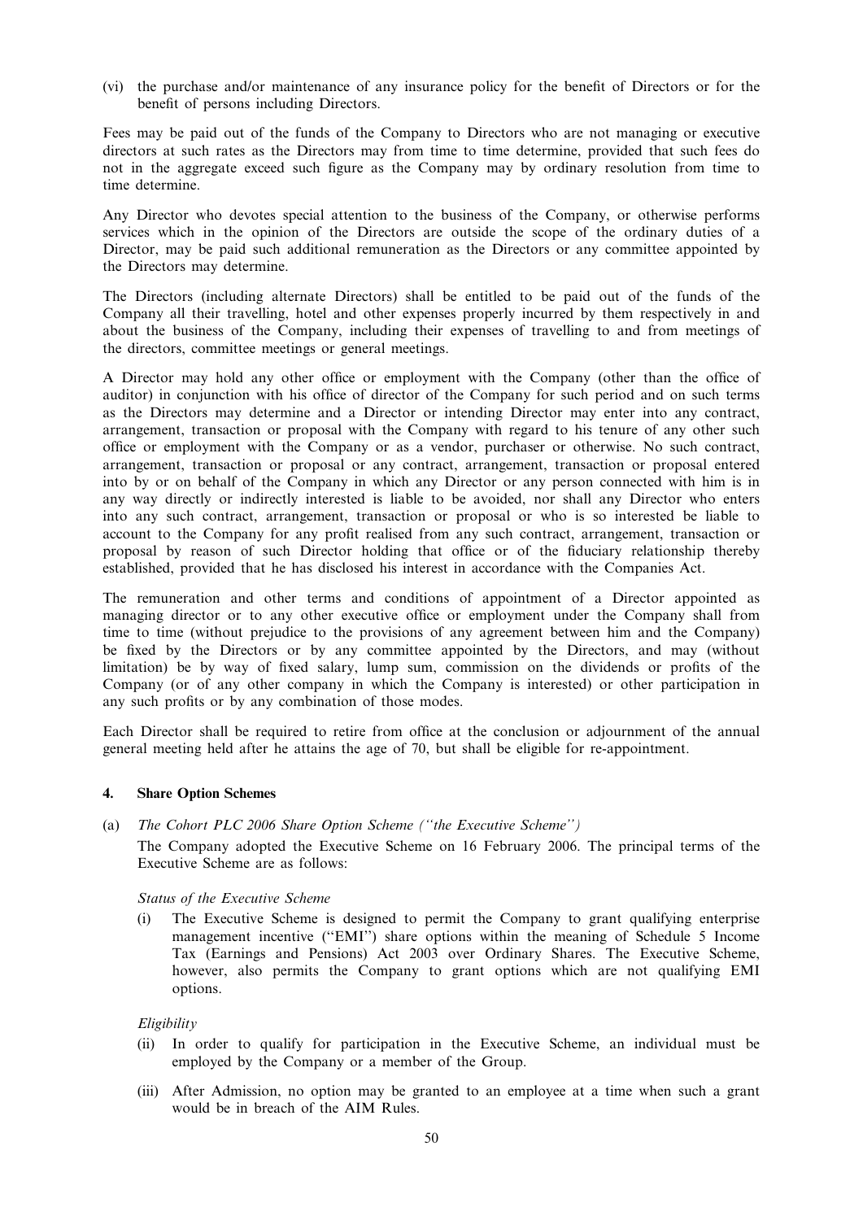(vi) the purchase and/or maintenance of any insurance policy for the benefit of Directors or for the benefit of persons including Directors.

Fees may be paid out of the funds of the Company to Directors who are not managing or executive directors at such rates as the Directors may from time to time determine, provided that such fees do not in the aggregate exceed such figure as the Company may by ordinary resolution from time to time determine.

Any Director who devotes special attention to the business of the Company, or otherwise performs services which in the opinion of the Directors are outside the scope of the ordinary duties of a Director, may be paid such additional remuneration as the Directors or any committee appointed by the Directors may determine.

The Directors (including alternate Directors) shall be entitled to be paid out of the funds of the Company all their travelling, hotel and other expenses properly incurred by them respectively in and about the business of the Company, including their expenses of travelling to and from meetings of the directors, committee meetings or general meetings.

A Director may hold any other office or employment with the Company (other than the office of auditor) in conjunction with his office of director of the Company for such period and on such terms as the Directors may determine and a Director or intending Director may enter into any contract, arrangement, transaction or proposal with the Company with regard to his tenure of any other such office or employment with the Company or as a vendor, purchaser or otherwise. No such contract, arrangement, transaction or proposal or any contract, arrangement, transaction or proposal entered into by or on behalf of the Company in which any Director or any person connected with him is in any way directly or indirectly interested is liable to be avoided, nor shall any Director who enters into any such contract, arrangement, transaction or proposal or who is so interested be liable to account to the Company for any profit realised from any such contract, arrangement, transaction or proposal by reason of such Director holding that office or of the fiduciary relationship thereby established, provided that he has disclosed his interest in accordance with the Companies Act.

The remuneration and other terms and conditions of appointment of a Director appointed as managing director or to any other executive office or employment under the Company shall from time to time (without prejudice to the provisions of any agreement between him and the Company) be fixed by the Directors or by any committee appointed by the Directors, and may (without limitation) be by way of fixed salary, lump sum, commission on the dividends or profits of the Company (or of any other company in which the Company is interested) or other participation in any such profits or by any combination of those modes.

Each Director shall be required to retire from office at the conclusion or adjournment of the annual general meeting held after he attains the age of 70, but shall be eligible for re-appointment.

## 4. Share Option Schemes

## (a) The Cohort PLC 2006 Share Option Scheme (''the Executive Scheme'')

The Company adopted the Executive Scheme on 16 February 2006. The principal terms of the Executive Scheme are as follows:

## Status of the Executive Scheme

(i) The Executive Scheme is designed to permit the Company to grant qualifying enterprise management incentive (''EMI'') share options within the meaning of Schedule 5 Income Tax (Earnings and Pensions) Act 2003 over Ordinary Shares. The Executive Scheme, however, also permits the Company to grant options which are not qualifying EMI options.

## Eligibility

- (ii) In order to qualify for participation in the Executive Scheme, an individual must be employed by the Company or a member of the Group.
- (iii) After Admission, no option may be granted to an employee at a time when such a grant would be in breach of the AIM Rules.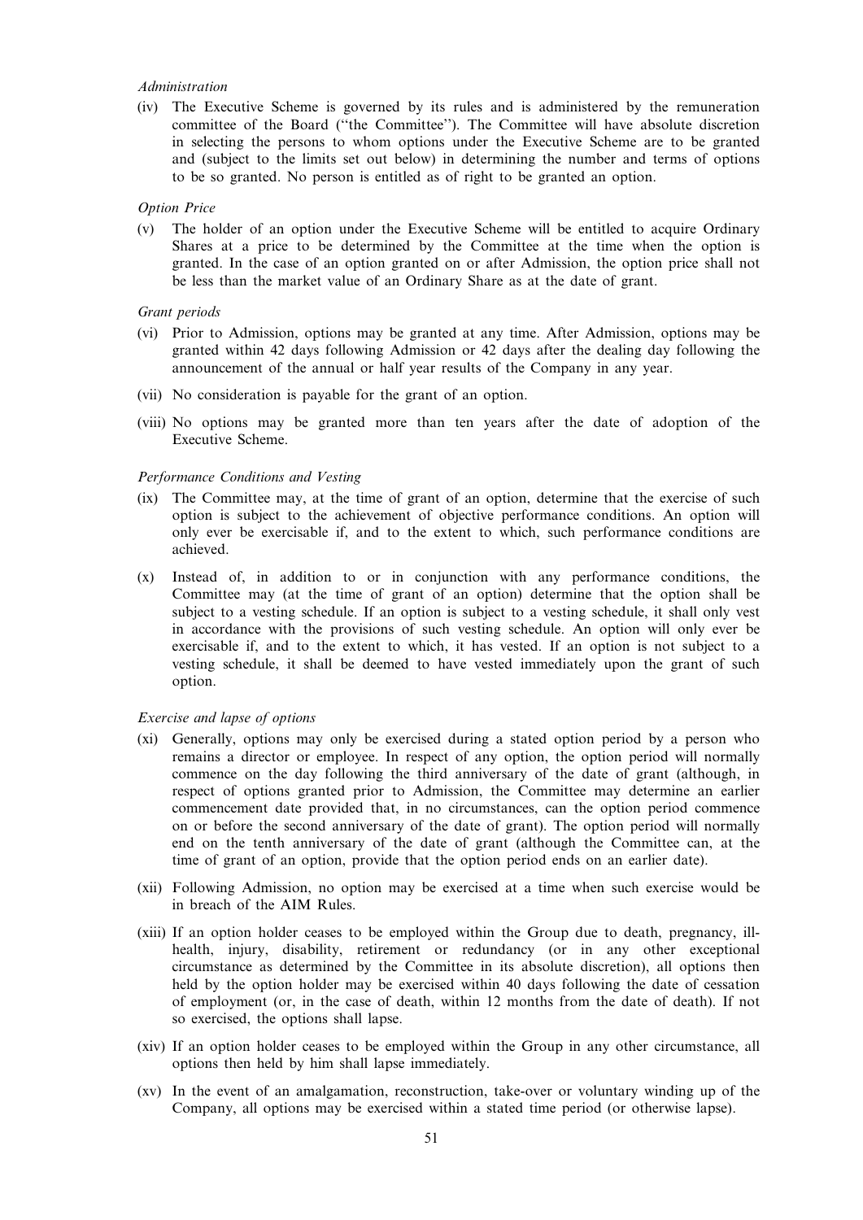#### Administration

(iv) The Executive Scheme is governed by its rules and is administered by the remuneration committee of the Board (''the Committee''). The Committee will have absolute discretion in selecting the persons to whom options under the Executive Scheme are to be granted and (subject to the limits set out below) in determining the number and terms of options to be so granted. No person is entitled as of right to be granted an option.

#### Option Price

(v) The holder of an option under the Executive Scheme will be entitled to acquire Ordinary Shares at a price to be determined by the Committee at the time when the option is granted. In the case of an option granted on or after Admission, the option price shall not be less than the market value of an Ordinary Share as at the date of grant.

#### Grant periods

- (vi) Prior to Admission, options may be granted at any time. After Admission, options may be granted within 42 days following Admission or 42 days after the dealing day following the announcement of the annual or half year results of the Company in any year.
- (vii) No consideration is payable for the grant of an option.
- (viii) No options may be granted more than ten years after the date of adoption of the Executive Scheme.

#### Performance Conditions and Vesting

- (ix) The Committee may, at the time of grant of an option, determine that the exercise of such option is subject to the achievement of objective performance conditions. An option will only ever be exercisable if, and to the extent to which, such performance conditions are achieved.
- (x) Instead of, in addition to or in conjunction with any performance conditions, the Committee may (at the time of grant of an option) determine that the option shall be subject to a vesting schedule. If an option is subject to a vesting schedule, it shall only vest in accordance with the provisions of such vesting schedule. An option will only ever be exercisable if, and to the extent to which, it has vested. If an option is not subject to a vesting schedule, it shall be deemed to have vested immediately upon the grant of such option.

#### Exercise and lapse of options

- (xi) Generally, options may only be exercised during a stated option period by a person who remains a director or employee. In respect of any option, the option period will normally commence on the day following the third anniversary of the date of grant (although, in respect of options granted prior to Admission, the Committee may determine an earlier commencement date provided that, in no circumstances, can the option period commence on or before the second anniversary of the date of grant). The option period will normally end on the tenth anniversary of the date of grant (although the Committee can, at the time of grant of an option, provide that the option period ends on an earlier date).
- (xii) Following Admission, no option may be exercised at a time when such exercise would be in breach of the AIM Rules.
- (xiii) If an option holder ceases to be employed within the Group due to death, pregnancy, illhealth, injury, disability, retirement or redundancy (or in any other exceptional circumstance as determined by the Committee in its absolute discretion), all options then held by the option holder may be exercised within 40 days following the date of cessation of employment (or, in the case of death, within 12 months from the date of death). If not so exercised, the options shall lapse.
- (xiv) If an option holder ceases to be employed within the Group in any other circumstance, all options then held by him shall lapse immediately.
- (xv) In the event of an amalgamation, reconstruction, take-over or voluntary winding up of the Company, all options may be exercised within a stated time period (or otherwise lapse).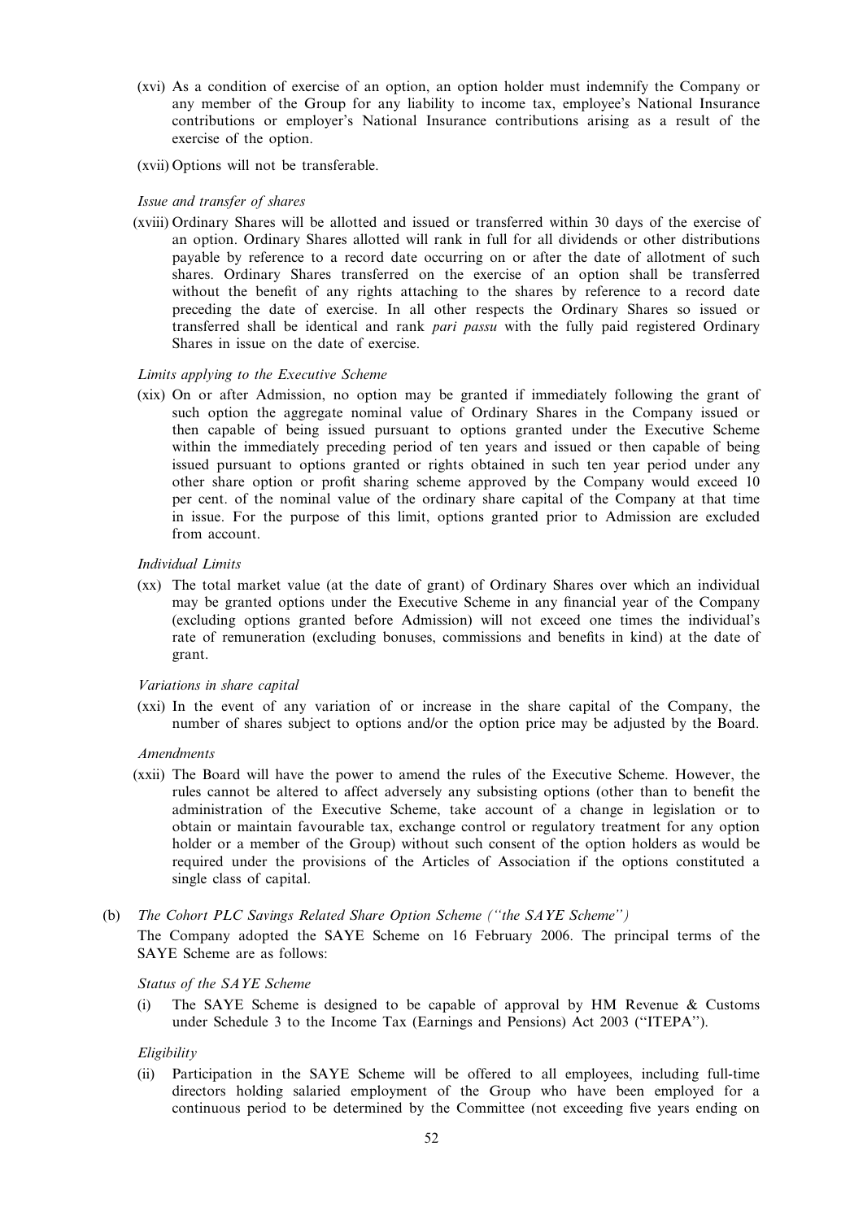- (xvi) As a condition of exercise of an option, an option holder must indemnify the Company or any member of the Group for any liability to income tax, employee's National Insurance contributions or employer's National Insurance contributions arising as a result of the exercise of the option.
- (xvii) Options will not be transferable.

#### Issue and transfer of shares

(xviii) Ordinary Shares will be allotted and issued or transferred within 30 days of the exercise of an option. Ordinary Shares allotted will rank in full for all dividends or other distributions payable by reference to a record date occurring on or after the date of allotment of such shares. Ordinary Shares transferred on the exercise of an option shall be transferred without the benefit of any rights attaching to the shares by reference to a record date preceding the date of exercise. In all other respects the Ordinary Shares so issued or transferred shall be identical and rank pari passu with the fully paid registered Ordinary Shares in issue on the date of exercise.

## Limits applying to the Executive Scheme

(xix) On or after Admission, no option may be granted if immediately following the grant of such option the aggregate nominal value of Ordinary Shares in the Company issued or then capable of being issued pursuant to options granted under the Executive Scheme within the immediately preceding period of ten years and issued or then capable of being issued pursuant to options granted or rights obtained in such ten year period under any other share option or profit sharing scheme approved by the Company would exceed 10 per cent. of the nominal value of the ordinary share capital of the Company at that time in issue. For the purpose of this limit, options granted prior to Admission are excluded from account.

#### Individual Limits

(xx) The total market value (at the date of grant) of Ordinary Shares over which an individual may be granted options under the Executive Scheme in any financial year of the Company (excluding options granted before Admission) will not exceed one times the individual's rate of remuneration (excluding bonuses, commissions and benefits in kind) at the date of grant.

#### Variations in share capital

(xxi) In the event of any variation of or increase in the share capital of the Company, the number of shares subject to options and/or the option price may be adjusted by the Board.

#### Amendments

(xxii) The Board will have the power to amend the rules of the Executive Scheme. However, the rules cannot be altered to affect adversely any subsisting options (other than to benefit the administration of the Executive Scheme, take account of a change in legislation or to obtain or maintain favourable tax, exchange control or regulatory treatment for any option holder or a member of the Group) without such consent of the option holders as would be required under the provisions of the Articles of Association if the options constituted a single class of capital.

#### (b) The Cohort PLC Savings Related Share Option Scheme (''the SAYE Scheme'')

The Company adopted the SAYE Scheme on 16 February 2006. The principal terms of the SAYE Scheme are as follows:

#### Status of the SAYE Scheme

(i) The SAYE Scheme is designed to be capable of approval by HM Revenue  $\&$  Customs under Schedule 3 to the Income Tax (Earnings and Pensions) Act 2003 (''ITEPA'').

#### Eligibility

(ii) Participation in the SAYE Scheme will be offered to all employees, including full-time directors holding salaried employment of the Group who have been employed for a continuous period to be determined by the Committee (not exceeding five years ending on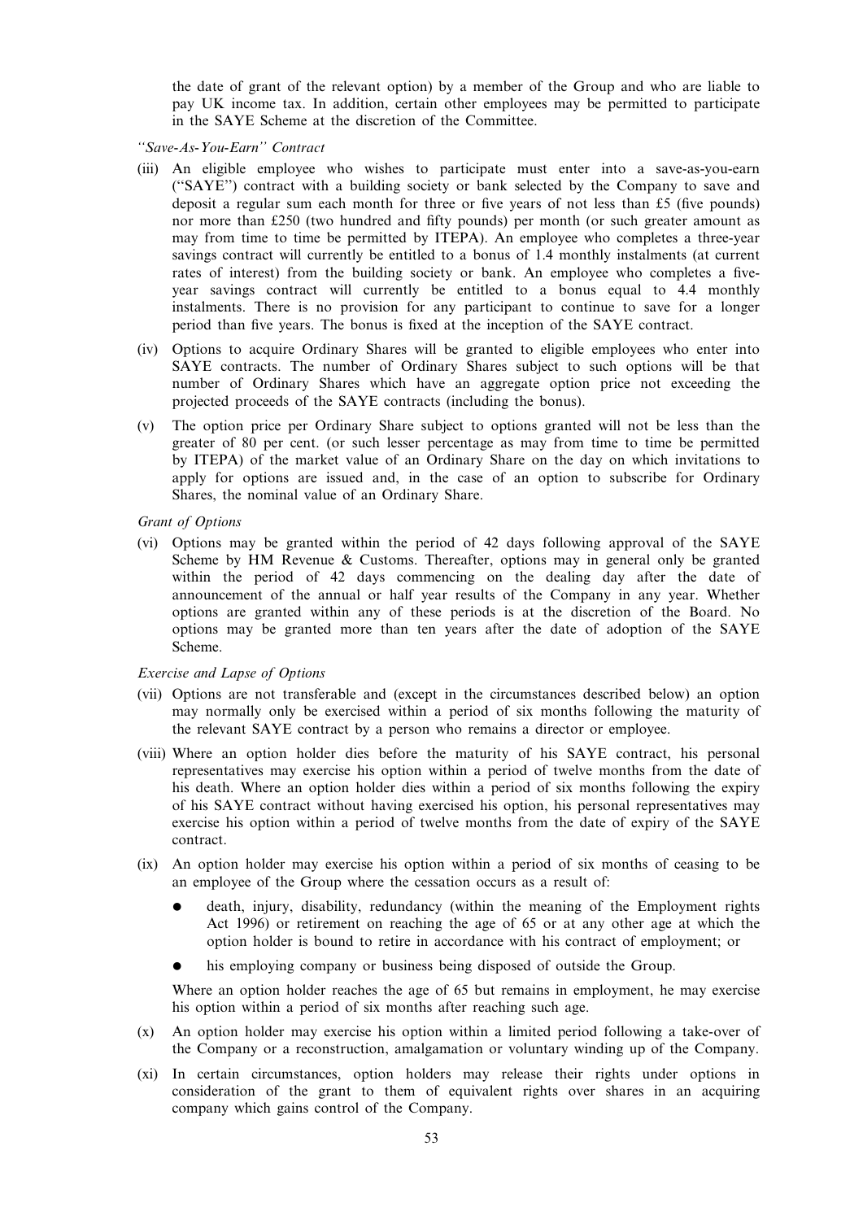the date of grant of the relevant option) by a member of the Group and who are liable to pay UK income tax. In addition, certain other employees may be permitted to participate in the SAYE Scheme at the discretion of the Committee.

- ''Save-As-You-Earn'' Contract
- (iii) An eligible employee who wishes to participate must enter into a save-as-you-earn (''SAYE'') contract with a building society or bank selected by the Company to save and deposit a regular sum each month for three or five years of not less than £5 (five pounds) nor more than £250 (two hundred and fifty pounds) per month (or such greater amount as may from time to time be permitted by ITEPA). An employee who completes a three-year savings contract will currently be entitled to a bonus of 1.4 monthly instalments (at current rates of interest) from the building society or bank. An employee who completes a fiveyear savings contract will currently be entitled to a bonus equal to 4.4 monthly instalments. There is no provision for any participant to continue to save for a longer period than five years. The bonus is fixed at the inception of the SAYE contract.
- (iv) Options to acquire Ordinary Shares will be granted to eligible employees who enter into SAYE contracts. The number of Ordinary Shares subject to such options will be that number of Ordinary Shares which have an aggregate option price not exceeding the projected proceeds of the SAYE contracts (including the bonus).
- (v) The option price per Ordinary Share subject to options granted will not be less than the greater of 80 per cent. (or such lesser percentage as may from time to time be permitted by ITEPA) of the market value of an Ordinary Share on the day on which invitations to apply for options are issued and, in the case of an option to subscribe for Ordinary Shares, the nominal value of an Ordinary Share.

#### Grant of Options

(vi) Options may be granted within the period of 42 days following approval of the SAYE Scheme by HM Revenue  $&$  Customs. Thereafter, options may in general only be granted within the period of 42 days commencing on the dealing day after the date of announcement of the annual or half year results of the Company in any year. Whether options are granted within any of these periods is at the discretion of the Board. No options may be granted more than ten years after the date of adoption of the SAYE Scheme.

#### Exercise and Lapse of Options

- (vii) Options are not transferable and (except in the circumstances described below) an option may normally only be exercised within a period of six months following the maturity of the relevant SAYE contract by a person who remains a director or employee.
- (viii) Where an option holder dies before the maturity of his SAYE contract, his personal representatives may exercise his option within a period of twelve months from the date of his death. Where an option holder dies within a period of six months following the expiry of his SAYE contract without having exercised his option, his personal representatives may exercise his option within a period of twelve months from the date of expiry of the SAYE contract.
- (ix) An option holder may exercise his option within a period of six months of ceasing to be an employee of the Group where the cessation occurs as a result of:
	- death, injury, disability, redundancy (within the meaning of the Employment rights Act 1996) or retirement on reaching the age of 65 or at any other age at which the option holder is bound to retire in accordance with his contract of employment; or
	- his employing company or business being disposed of outside the Group.

Where an option holder reaches the age of 65 but remains in employment, he may exercise his option within a period of six months after reaching such age.

- (x) An option holder may exercise his option within a limited period following a take-over of the Company or a reconstruction, amalgamation or voluntary winding up of the Company.
- (xi) In certain circumstances, option holders may release their rights under options in consideration of the grant to them of equivalent rights over shares in an acquiring company which gains control of the Company.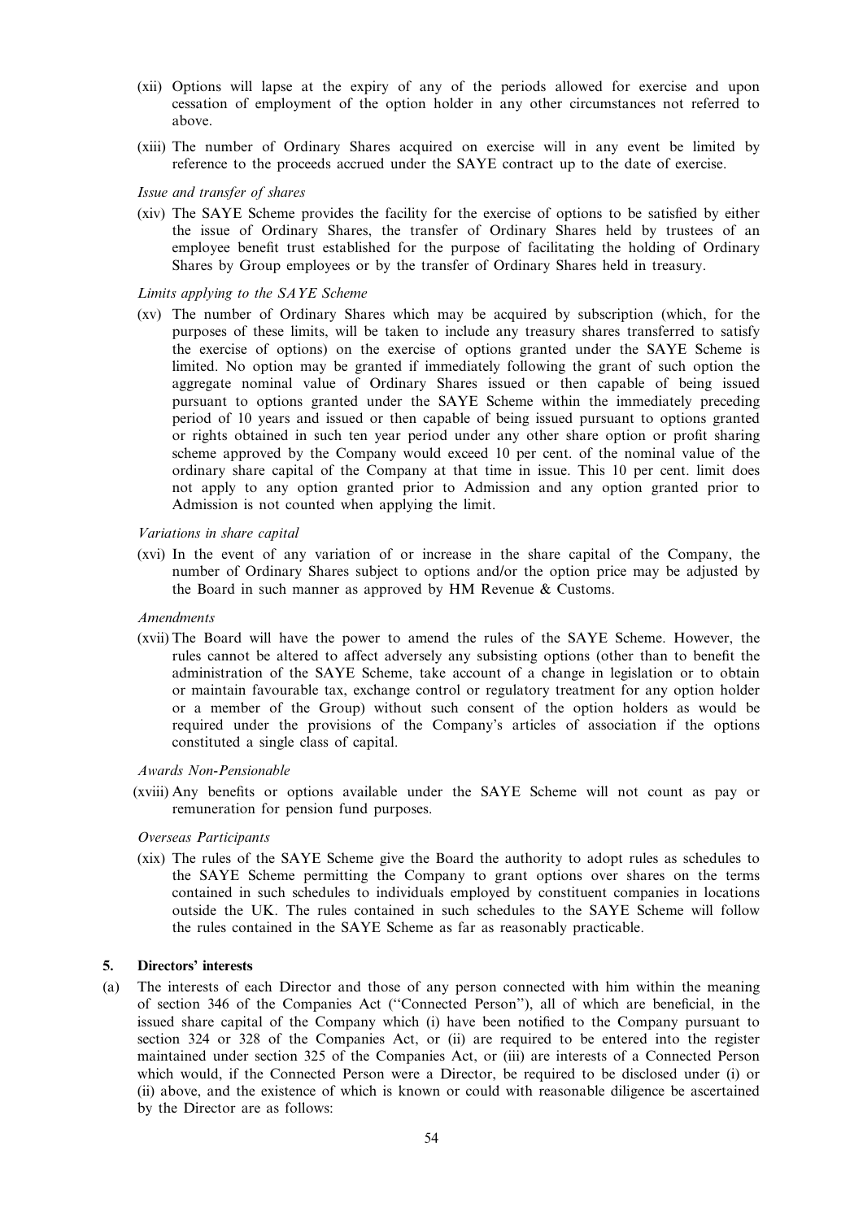- (xii) Options will lapse at the expiry of any of the periods allowed for exercise and upon cessation of employment of the option holder in any other circumstances not referred to above.
- (xiii) The number of Ordinary Shares acquired on exercise will in any event be limited by reference to the proceeds accrued under the SAYE contract up to the date of exercise.

#### Issue and transfer of shares

(xiv) The SAYE Scheme provides the facility for the exercise of options to be satisfied by either the issue of Ordinary Shares, the transfer of Ordinary Shares held by trustees of an employee benefit trust established for the purpose of facilitating the holding of Ordinary Shares by Group employees or by the transfer of Ordinary Shares held in treasury.

#### Limits applying to the SAYE Scheme

(xv) The number of Ordinary Shares which may be acquired by subscription (which, for the purposes of these limits, will be taken to include any treasury shares transferred to satisfy the exercise of options) on the exercise of options granted under the SAYE Scheme is limited. No option may be granted if immediately following the grant of such option the aggregate nominal value of Ordinary Shares issued or then capable of being issued pursuant to options granted under the SAYE Scheme within the immediately preceding period of 10 years and issued or then capable of being issued pursuant to options granted or rights obtained in such ten year period under any other share option or profit sharing scheme approved by the Company would exceed 10 per cent. of the nominal value of the ordinary share capital of the Company at that time in issue. This 10 per cent. limit does not apply to any option granted prior to Admission and any option granted prior to Admission is not counted when applying the limit.

Variations in share capital

(xvi) In the event of any variation of or increase in the share capital of the Company, the number of Ordinary Shares subject to options and/or the option price may be adjusted by the Board in such manner as approved by HM Revenue & Customs.

#### **Amendments**

(xvii) The Board will have the power to amend the rules of the SAYE Scheme. However, the rules cannot be altered to affect adversely any subsisting options (other than to benefit the administration of the SAYE Scheme, take account of a change in legislation or to obtain or maintain favourable tax, exchange control or regulatory treatment for any option holder or a member of the Group) without such consent of the option holders as would be required under the provisions of the Company's articles of association if the options constituted a single class of capital.

#### Awards Non-Pensionable

(xviii) Any benefits or options available under the SAYE Scheme will not count as pay or remuneration for pension fund purposes.

#### Overseas Participants

(xix) The rules of the SAYE Scheme give the Board the authority to adopt rules as schedules to the SAYE Scheme permitting the Company to grant options over shares on the terms contained in such schedules to individuals employed by constituent companies in locations outside the UK. The rules contained in such schedules to the SAYE Scheme will follow the rules contained in the SAYE Scheme as far as reasonably practicable.

## 5. Directors' interests

(a) The interests of each Director and those of any person connected with him within the meaning of section 346 of the Companies Act (''Connected Person''), all of which are beneficial, in the issued share capital of the Company which (i) have been notified to the Company pursuant to section 324 or 328 of the Companies Act, or (ii) are required to be entered into the register maintained under section 325 of the Companies Act, or (iii) are interests of a Connected Person which would, if the Connected Person were a Director, be required to be disclosed under (i) or (ii) above, and the existence of which is known or could with reasonable diligence be ascertained by the Director are as follows: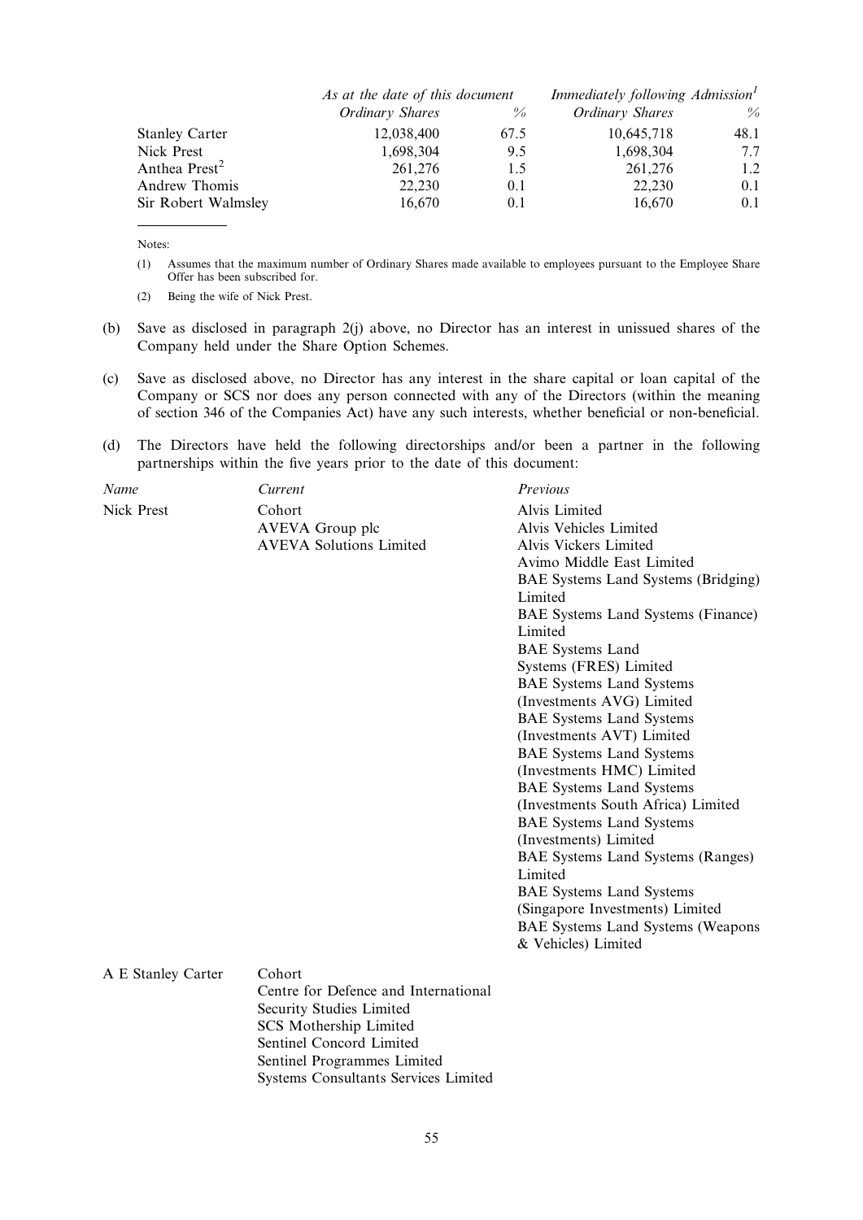|                           | As at the date of this document |      | Immediately following Admission <sup>1</sup> |               |
|---------------------------|---------------------------------|------|----------------------------------------------|---------------|
|                           | Ordinary Shares                 | $\%$ | <b>Ordinary Shares</b>                       | $\frac{0}{0}$ |
| <b>Stanley Carter</b>     | 12,038,400                      | 67.5 | 10,645,718                                   | 48.1          |
| Nick Prest                | 1,698,304                       | 9.5  | 1,698,304                                    | 7.7           |
| Anthea Prest <sup>2</sup> | 261,276                         | 1.5  | 261,276                                      | 1.2           |
| Andrew Thomis             | 22.230                          | 0.1  | 22.230                                       | 0.1           |
| Sir Robert Walmsley       | 16,670                          | 0.1  | 16,670                                       | 0.1           |

Notes:

- (1) Assumes that the maximum number of Ordinary Shares made available to employees pursuant to the Employee Share Offer has been subscribed for.
- (2) Being the wife of Nick Prest.
- (b) Save as disclosed in paragraph 2(j) above, no Director has an interest in unissued shares of the Company held under the Share Option Schemes.
- (c) Save as disclosed above, no Director has any interest in the share capital or loan capital of the Company or SCS nor does any person connected with any of the Directors (within the meaning of section 346 of the Companies Act) have any such interests, whether beneficial or non-beneficial.
- (d) The Directors have held the following directorships and/or been a partner in the following partnerships within the five years prior to the date of this document:

| Name               | Current                                                                                                                                                         | Previous                                                                                                                                                                                                                                                                                                                                                                                                                                                                                                                                                                                                                                                                                                                                                                            |
|--------------------|-----------------------------------------------------------------------------------------------------------------------------------------------------------------|-------------------------------------------------------------------------------------------------------------------------------------------------------------------------------------------------------------------------------------------------------------------------------------------------------------------------------------------------------------------------------------------------------------------------------------------------------------------------------------------------------------------------------------------------------------------------------------------------------------------------------------------------------------------------------------------------------------------------------------------------------------------------------------|
| <b>Nick Prest</b>  | Cohort<br>AVEVA Group plc<br><b>AVEVA Solutions Limited</b>                                                                                                     | Alvis Limited<br>Alvis Vehicles Limited<br>Alvis Vickers Limited<br>Avimo Middle East Limited<br>BAE Systems Land Systems (Bridging)<br>Limited<br>BAE Systems Land Systems (Finance)<br>Limited<br><b>BAE</b> Systems Land<br>Systems (FRES) Limited<br><b>BAE Systems Land Systems</b><br>(Investments AVG) Limited<br><b>BAE Systems Land Systems</b><br>(Investments AVT) Limited<br><b>BAE Systems Land Systems</b><br>(Investments HMC) Limited<br><b>BAE Systems Land Systems</b><br>(Investments South Africa) Limited<br><b>BAE Systems Land Systems</b><br>(Investments) Limited<br>BAE Systems Land Systems (Ranges)<br>Limited<br><b>BAE Systems Land Systems</b><br>(Singapore Investments) Limited<br><b>BAE Systems Land Systems (Weapons</b><br>& Vehicles) Limited |
| A E Stanley Carter | Cohort<br>Centre for Defence and International<br>Security Studies Limited<br>SCS Mothership Limited<br>Sentinel Concord Limited<br>Sentinel Programmes Limited |                                                                                                                                                                                                                                                                                                                                                                                                                                                                                                                                                                                                                                                                                                                                                                                     |

Systems Consultants Services Limited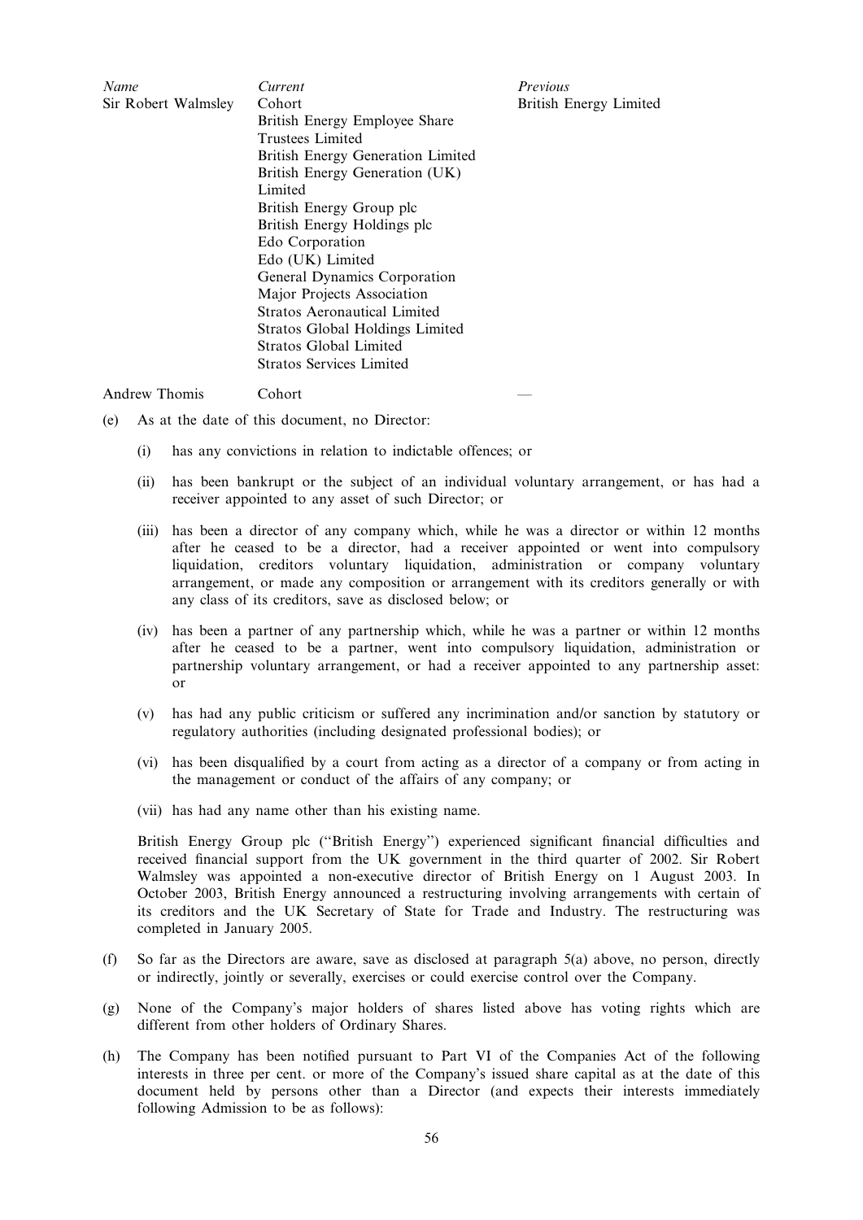| Name                | Current                             | Previous               |
|---------------------|-------------------------------------|------------------------|
| Sir Robert Walmsley | Cohort                              | British Energy Limited |
|                     | British Energy Employee Share       |                        |
|                     | <b>Trustees Limited</b>             |                        |
|                     | British Energy Generation Limited   |                        |
|                     | British Energy Generation (UK)      |                        |
|                     | Limited                             |                        |
|                     | British Energy Group plc            |                        |
|                     | British Energy Holdings plc         |                        |
|                     | Edo Corporation                     |                        |
|                     | Edo (UK) Limited                    |                        |
|                     | General Dynamics Corporation        |                        |
|                     | Major Projects Association          |                        |
|                     | <b>Stratos Aeronautical Limited</b> |                        |
|                     | Stratos Global Holdings Limited     |                        |
|                     | Stratos Global Limited              |                        |
|                     | Stratos Services Limited            |                        |
|                     |                                     |                        |

#### Andrew Thomis — Cohort

(e) As at the date of this document, no Director:

- (i) has any convictions in relation to indictable offences; or
- (ii) has been bankrupt or the subject of an individual voluntary arrangement, or has had a receiver appointed to any asset of such Director; or
- (iii) has been a director of any company which, while he was a director or within 12 months after he ceased to be a director, had a receiver appointed or went into compulsory liquidation, creditors voluntary liquidation, administration or company voluntary arrangement, or made any composition or arrangement with its creditors generally or with any class of its creditors, save as disclosed below; or
- (iv) has been a partner of any partnership which, while he was a partner or within 12 months after he ceased to be a partner, went into compulsory liquidation, administration or partnership voluntary arrangement, or had a receiver appointed to any partnership asset: or
- (v) has had any public criticism or suffered any incrimination and/or sanction by statutory or regulatory authorities (including designated professional bodies); or
- (vi) has been disqualified by a court from acting as a director of a company or from acting in the management or conduct of the affairs of any company; or
- (vii) has had any name other than his existing name.

British Energy Group plc (''British Energy'') experienced significant financial difficulties and received financial support from the UK government in the third quarter of 2002. Sir Robert Walmsley was appointed a non-executive director of British Energy on 1 August 2003. In October 2003, British Energy announced a restructuring involving arrangements with certain of its creditors and the UK Secretary of State for Trade and Industry. The restructuring was completed in January 2005.

- (f) So far as the Directors are aware, save as disclosed at paragraph 5(a) above, no person, directly or indirectly, jointly or severally, exercises or could exercise control over the Company.
- (g) None of the Company's major holders of shares listed above has voting rights which are different from other holders of Ordinary Shares.
- (h) The Company has been notified pursuant to Part VI of the Companies Act of the following interests in three per cent. or more of the Company's issued share capital as at the date of this document held by persons other than a Director (and expects their interests immediately following Admission to be as follows):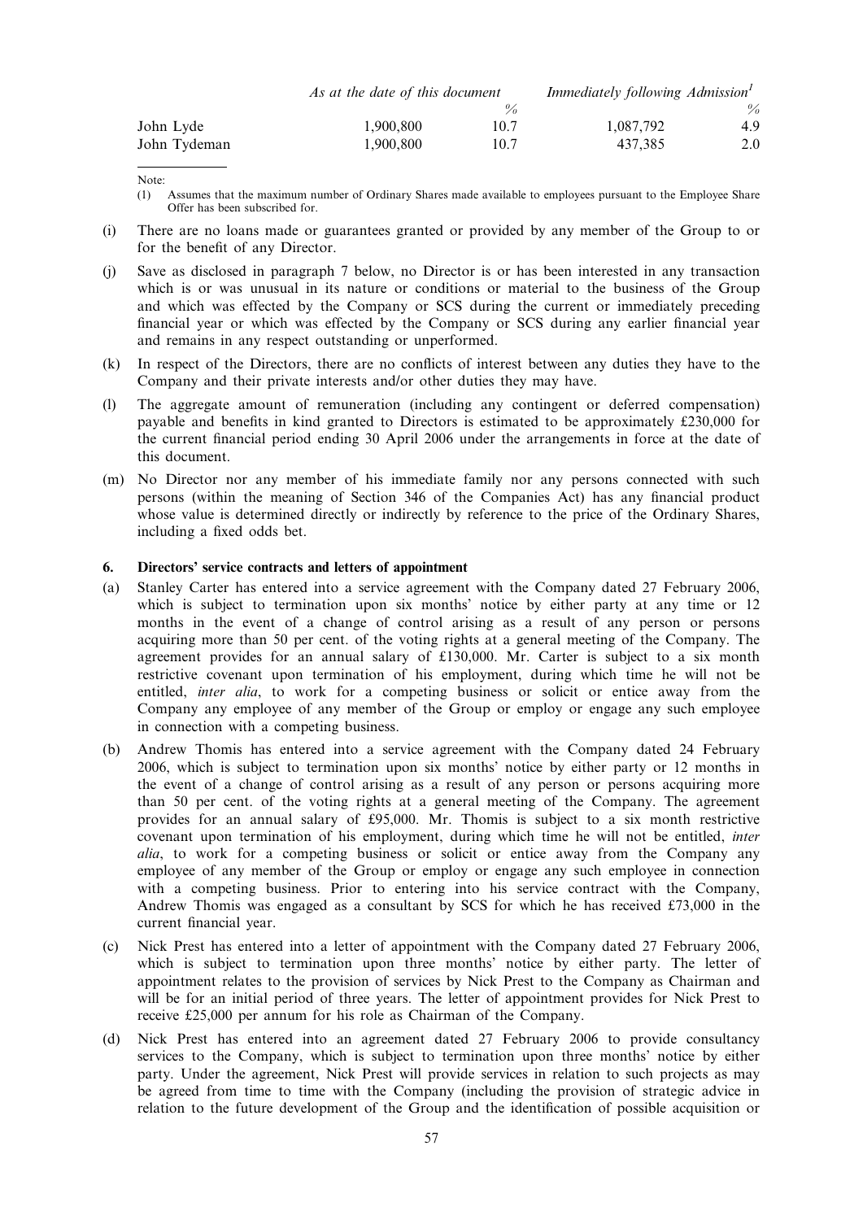|              | As at the date of this document |      | Immediately following Admission <sup>1</sup> |               |
|--------------|---------------------------------|------|----------------------------------------------|---------------|
|              |                                 |      |                                              | $\frac{0}{0}$ |
| John Lyde    | 1.900.800                       | 10.7 | 1.087.792                                    | 4.9           |
| John Tydeman | 1.900.800                       | 10.7 | 437.385                                      | 2.0           |

Note:

- (1) Assumes that the maximum number of Ordinary Shares made available to employees pursuant to the Employee Share Offer has been subscribed for.
- (i) There are no loans made or guarantees granted or provided by any member of the Group to or for the benefit of any Director.
- (j) Save as disclosed in paragraph 7 below, no Director is or has been interested in any transaction which is or was unusual in its nature or conditions or material to the business of the Group and which was effected by the Company or SCS during the current or immediately preceding financial year or which was effected by the Company or SCS during any earlier financial year and remains in any respect outstanding or unperformed.
- (k) In respect of the Directors, there are no conflicts of interest between any duties they have to the Company and their private interests and/or other duties they may have.
- (l) The aggregate amount of remuneration (including any contingent or deferred compensation) payable and benefits in kind granted to Directors is estimated to be approximately £230,000 for the current financial period ending 30 April 2006 under the arrangements in force at the date of this document.
- (m) No Director nor any member of his immediate family nor any persons connected with such persons (within the meaning of Section 346 of the Companies Act) has any financial product whose value is determined directly or indirectly by reference to the price of the Ordinary Shares, including a fixed odds bet.

#### 6. Directors' service contracts and letters of appointment

- (a) Stanley Carter has entered into a service agreement with the Company dated 27 February 2006, which is subject to termination upon six months' notice by either party at any time or 12 months in the event of a change of control arising as a result of any person or persons acquiring more than 50 per cent. of the voting rights at a general meeting of the Company. The agreement provides for an annual salary of £130,000. Mr. Carter is subject to a six month restrictive covenant upon termination of his employment, during which time he will not be entitled, inter alia, to work for a competing business or solicit or entice away from the Company any employee of any member of the Group or employ or engage any such employee in connection with a competing business.
- (b) Andrew Thomis has entered into a service agreement with the Company dated 24 February 2006, which is subject to termination upon six months' notice by either party or 12 months in the event of a change of control arising as a result of any person or persons acquiring more than 50 per cent. of the voting rights at a general meeting of the Company. The agreement provides for an annual salary of £95,000. Mr. Thomis is subject to a six month restrictive covenant upon termination of his employment, during which time he will not be entitled, *inter* alia, to work for a competing business or solicit or entice away from the Company any employee of any member of the Group or employ or engage any such employee in connection with a competing business. Prior to entering into his service contract with the Company, Andrew Thomis was engaged as a consultant by SCS for which he has received £73,000 in the current financial year.
- (c) Nick Prest has entered into a letter of appointment with the Company dated 27 February 2006, which is subject to termination upon three months' notice by either party. The letter of appointment relates to the provision of services by Nick Prest to the Company as Chairman and will be for an initial period of three years. The letter of appointment provides for Nick Prest to receive £25,000 per annum for his role as Chairman of the Company.
- (d) Nick Prest has entered into an agreement dated 27 February 2006 to provide consultancy services to the Company, which is subject to termination upon three months' notice by either party. Under the agreement, Nick Prest will provide services in relation to such projects as may be agreed from time to time with the Company (including the provision of strategic advice in relation to the future development of the Group and the identification of possible acquisition or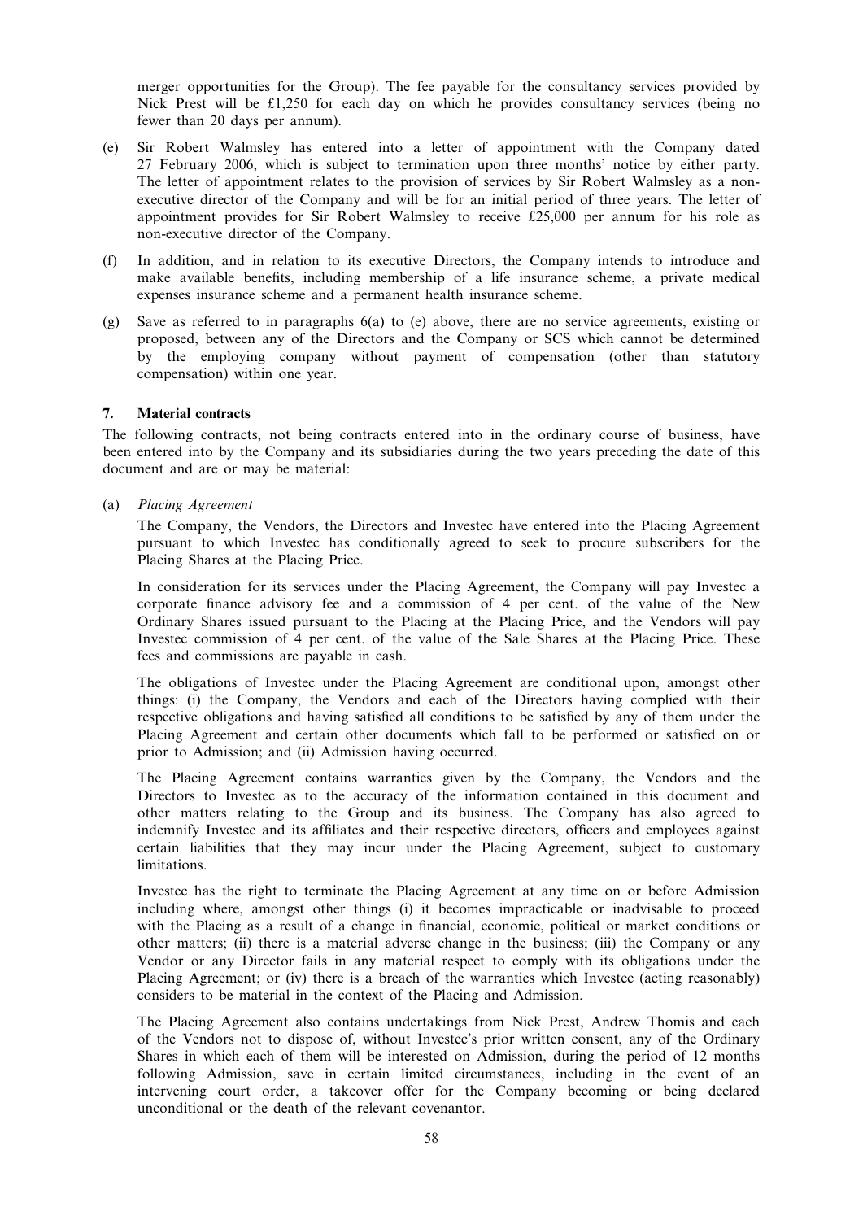merger opportunities for the Group). The fee payable for the consultancy services provided by Nick Prest will be £1,250 for each day on which he provides consultancy services (being no fewer than 20 days per annum).

- (e) Sir Robert Walmsley has entered into a letter of appointment with the Company dated 27 February 2006, which is subject to termination upon three months' notice by either party. The letter of appointment relates to the provision of services by Sir Robert Walmsley as a nonexecutive director of the Company and will be for an initial period of three years. The letter of appointment provides for Sir Robert Walmsley to receive £25,000 per annum for his role as non-executive director of the Company.
- (f) In addition, and in relation to its executive Directors, the Company intends to introduce and make available benefits, including membership of a life insurance scheme, a private medical expenses insurance scheme and a permanent health insurance scheme.
- (g) Save as referred to in paragraphs 6(a) to (e) above, there are no service agreements, existing or proposed, between any of the Directors and the Company or SCS which cannot be determined by the employing company without payment of compensation (other than statutory compensation) within one year.

#### 7. Material contracts

The following contracts, not being contracts entered into in the ordinary course of business, have been entered into by the Company and its subsidiaries during the two years preceding the date of this document and are or may be material:

(a) Placing Agreement

The Company, the Vendors, the Directors and Investec have entered into the Placing Agreement pursuant to which Investec has conditionally agreed to seek to procure subscribers for the Placing Shares at the Placing Price.

In consideration for its services under the Placing Agreement, the Company will pay Investec a corporate finance advisory fee and a commission of 4 per cent. of the value of the New Ordinary Shares issued pursuant to the Placing at the Placing Price, and the Vendors will pay Investec commission of 4 per cent. of the value of the Sale Shares at the Placing Price. These fees and commissions are payable in cash.

The obligations of Investec under the Placing Agreement are conditional upon, amongst other things: (i) the Company, the Vendors and each of the Directors having complied with their respective obligations and having satisfied all conditions to be satisfied by any of them under the Placing Agreement and certain other documents which fall to be performed or satisfied on or prior to Admission; and (ii) Admission having occurred.

The Placing Agreement contains warranties given by the Company, the Vendors and the Directors to Investec as to the accuracy of the information contained in this document and other matters relating to the Group and its business. The Company has also agreed to indemnify Investec and its affiliates and their respective directors, officers and employees against certain liabilities that they may incur under the Placing Agreement, subject to customary limitations.

Investec has the right to terminate the Placing Agreement at any time on or before Admission including where, amongst other things (i) it becomes impracticable or inadvisable to proceed with the Placing as a result of a change in financial, economic, political or market conditions or other matters; (ii) there is a material adverse change in the business; (iii) the Company or any Vendor or any Director fails in any material respect to comply with its obligations under the Placing Agreement; or (iv) there is a breach of the warranties which Investec (acting reasonably) considers to be material in the context of the Placing and Admission.

The Placing Agreement also contains undertakings from Nick Prest, Andrew Thomis and each of the Vendors not to dispose of, without Investec's prior written consent, any of the Ordinary Shares in which each of them will be interested on Admission, during the period of 12 months following Admission, save in certain limited circumstances, including in the event of an intervening court order, a takeover offer for the Company becoming or being declared unconditional or the death of the relevant covenantor.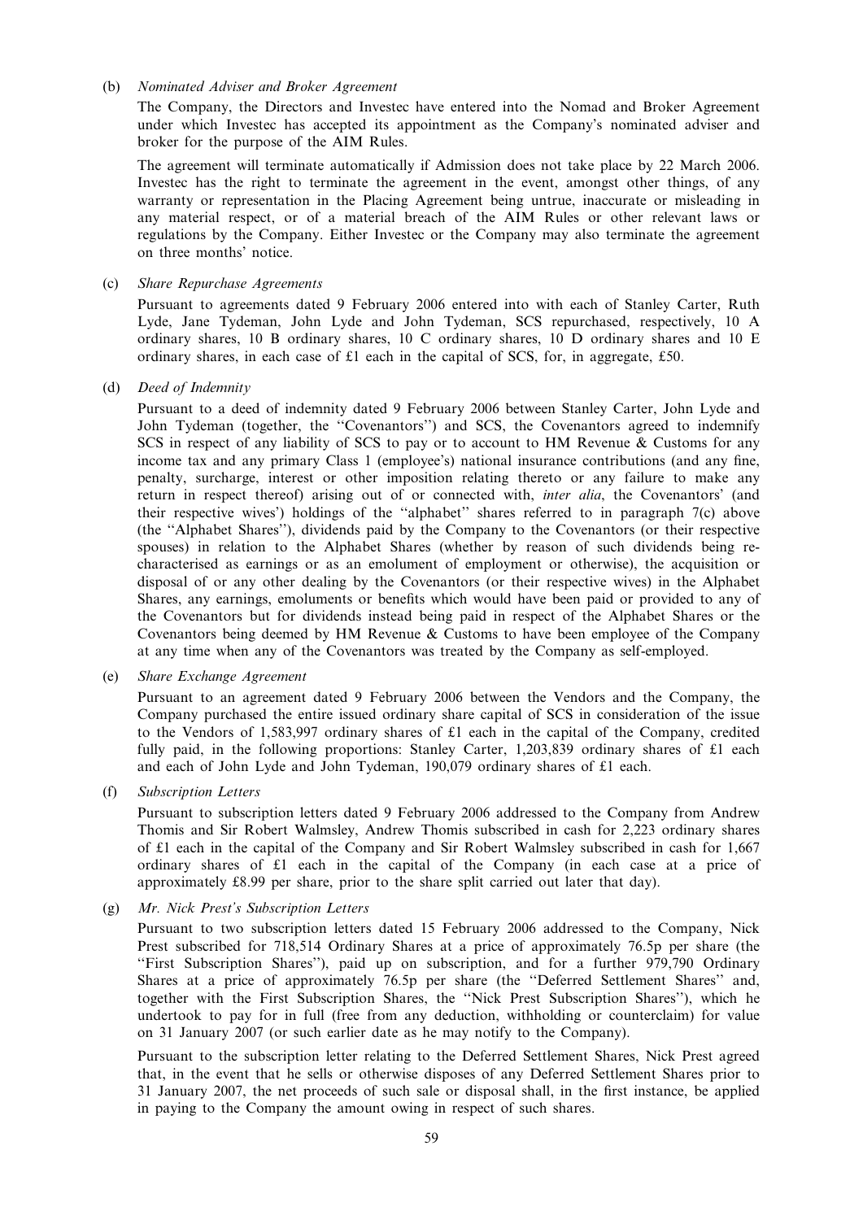#### (b) Nominated Adviser and Broker Agreement

The Company, the Directors and Investec have entered into the Nomad and Broker Agreement under which Investec has accepted its appointment as the Company's nominated adviser and broker for the purpose of the AIM Rules.

The agreement will terminate automatically if Admission does not take place by 22 March 2006. Investec has the right to terminate the agreement in the event, amongst other things, of any warranty or representation in the Placing Agreement being untrue, inaccurate or misleading in any material respect, or of a material breach of the AIM Rules or other relevant laws or regulations by the Company. Either Investec or the Company may also terminate the agreement on three months' notice.

(c) Share Repurchase Agreements

Pursuant to agreements dated 9 February 2006 entered into with each of Stanley Carter, Ruth Lyde, Jane Tydeman, John Lyde and John Tydeman, SCS repurchased, respectively, 10 A ordinary shares, 10 B ordinary shares, 10 C ordinary shares, 10 D ordinary shares and 10 E ordinary shares, in each case of £1 each in the capital of SCS, for, in aggregate, £50.

(d) Deed of Indemnity

Pursuant to a deed of indemnity dated 9 February 2006 between Stanley Carter, John Lyde and John Tydeman (together, the ''Covenantors'') and SCS, the Covenantors agreed to indemnify SCS in respect of any liability of SCS to pay or to account to HM Revenue & Customs for any income tax and any primary Class 1 (employee's) national insurance contributions (and any fine, penalty, surcharge, interest or other imposition relating thereto or any failure to make any return in respect thereof) arising out of or connected with, *inter alia*, the Covenantors' (and their respective wives') holdings of the ''alphabet'' shares referred to in paragraph 7(c) above (the ''Alphabet Shares''), dividends paid by the Company to the Covenantors (or their respective spouses) in relation to the Alphabet Shares (whether by reason of such dividends being recharacterised as earnings or as an emolument of employment or otherwise), the acquisition or disposal of or any other dealing by the Covenantors (or their respective wives) in the Alphabet Shares, any earnings, emoluments or benefits which would have been paid or provided to any of the Covenantors but for dividends instead being paid in respect of the Alphabet Shares or the Covenantors being deemed by HM Revenue & Customs to have been employee of the Company at any time when any of the Covenantors was treated by the Company as self-employed.

(e) Share Exchange Agreement

Pursuant to an agreement dated 9 February 2006 between the Vendors and the Company, the Company purchased the entire issued ordinary share capital of SCS in consideration of the issue to the Vendors of 1,583,997 ordinary shares of £1 each in the capital of the Company, credited fully paid, in the following proportions: Stanley Carter, 1,203,839 ordinary shares of £1 each and each of John Lyde and John Tydeman, 190,079 ordinary shares of £1 each.

(f) Subscription Letters

Pursuant to subscription letters dated 9 February 2006 addressed to the Company from Andrew Thomis and Sir Robert Walmsley, Andrew Thomis subscribed in cash for 2,223 ordinary shares of £1 each in the capital of the Company and Sir Robert Walmsley subscribed in cash for 1,667 ordinary shares of £1 each in the capital of the Company (in each case at a price of approximately £8.99 per share, prior to the share split carried out later that day).

(g) Mr. Nick Prest's Subscription Letters

Pursuant to two subscription letters dated 15 February 2006 addressed to the Company, Nick Prest subscribed for 718,514 Ordinary Shares at a price of approximately 76.5p per share (the ''First Subscription Shares''), paid up on subscription, and for a further 979,790 Ordinary Shares at a price of approximately 76.5p per share (the ''Deferred Settlement Shares'' and, together with the First Subscription Shares, the ''Nick Prest Subscription Shares''), which he undertook to pay for in full (free from any deduction, withholding or counterclaim) for value on 31 January 2007 (or such earlier date as he may notify to the Company).

Pursuant to the subscription letter relating to the Deferred Settlement Shares, Nick Prest agreed that, in the event that he sells or otherwise disposes of any Deferred Settlement Shares prior to 31 January 2007, the net proceeds of such sale or disposal shall, in the first instance, be applied in paying to the Company the amount owing in respect of such shares.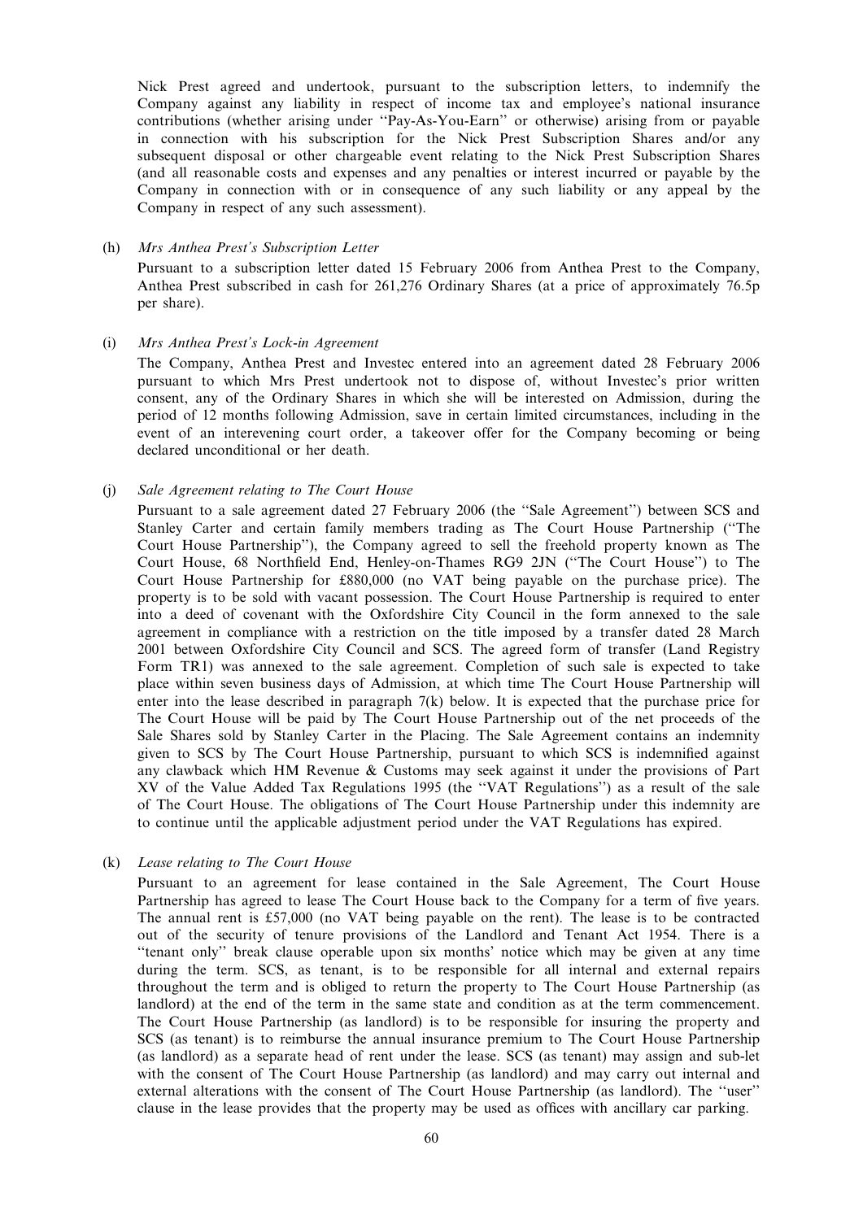Nick Prest agreed and undertook, pursuant to the subscription letters, to indemnify the Company against any liability in respect of income tax and employee's national insurance contributions (whether arising under ''Pay-As-You-Earn'' or otherwise) arising from or payable in connection with his subscription for the Nick Prest Subscription Shares and/or any subsequent disposal or other chargeable event relating to the Nick Prest Subscription Shares (and all reasonable costs and expenses and any penalties or interest incurred or payable by the Company in connection with or in consequence of any such liability or any appeal by the Company in respect of any such assessment).

#### (h) Mrs Anthea Prest's Subscription Letter

Pursuant to a subscription letter dated 15 February 2006 from Anthea Prest to the Company, Anthea Prest subscribed in cash for 261,276 Ordinary Shares (at a price of approximately 76.5p per share).

#### (i) Mrs Anthea Prest's Lock-in Agreement

The Company, Anthea Prest and Investec entered into an agreement dated 28 February 2006 pursuant to which Mrs Prest undertook not to dispose of, without Investec's prior written consent, any of the Ordinary Shares in which she will be interested on Admission, during the period of 12 months following Admission, save in certain limited circumstances, including in the event of an interevening court order, a takeover offer for the Company becoming or being declared unconditional or her death.

#### (j) Sale Agreement relating to The Court House

Pursuant to a sale agreement dated 27 February 2006 (the ''Sale Agreement'') between SCS and Stanley Carter and certain family members trading as The Court House Partnership (''The Court House Partnership''), the Company agreed to sell the freehold property known as The Court House, 68 Northfield End, Henley-on-Thames RG9 2JN (''The Court House'') to The Court House Partnership for £880,000 (no VAT being payable on the purchase price). The property is to be sold with vacant possession. The Court House Partnership is required to enter into a deed of covenant with the Oxfordshire City Council in the form annexed to the sale agreement in compliance with a restriction on the title imposed by a transfer dated 28 March 2001 between Oxfordshire City Council and SCS. The agreed form of transfer (Land Registry Form TR1) was annexed to the sale agreement. Completion of such sale is expected to take place within seven business days of Admission, at which time The Court House Partnership will enter into the lease described in paragraph 7(k) below. It is expected that the purchase price for The Court House will be paid by The Court House Partnership out of the net proceeds of the Sale Shares sold by Stanley Carter in the Placing. The Sale Agreement contains an indemnity given to SCS by The Court House Partnership, pursuant to which SCS is indemnified against any clawback which HM Revenue & Customs may seek against it under the provisions of Part XV of the Value Added Tax Regulations 1995 (the ''VAT Regulations'') as a result of the sale of The Court House. The obligations of The Court House Partnership under this indemnity are to continue until the applicable adjustment period under the VAT Regulations has expired.

#### (k) Lease relating to The Court House

Pursuant to an agreement for lease contained in the Sale Agreement, The Court House Partnership has agreed to lease The Court House back to the Company for a term of five years. The annual rent is £57,000 (no VAT being payable on the rent). The lease is to be contracted out of the security of tenure provisions of the Landlord and Tenant Act 1954. There is a ''tenant only'' break clause operable upon six months' notice which may be given at any time during the term. SCS, as tenant, is to be responsible for all internal and external repairs throughout the term and is obliged to return the property to The Court House Partnership (as landlord) at the end of the term in the same state and condition as at the term commencement. The Court House Partnership (as landlord) is to be responsible for insuring the property and SCS (as tenant) is to reimburse the annual insurance premium to The Court House Partnership (as landlord) as a separate head of rent under the lease. SCS (as tenant) may assign and sub-let with the consent of The Court House Partnership (as landlord) and may carry out internal and external alterations with the consent of The Court House Partnership (as landlord). The ''user'' clause in the lease provides that the property may be used as offices with ancillary car parking.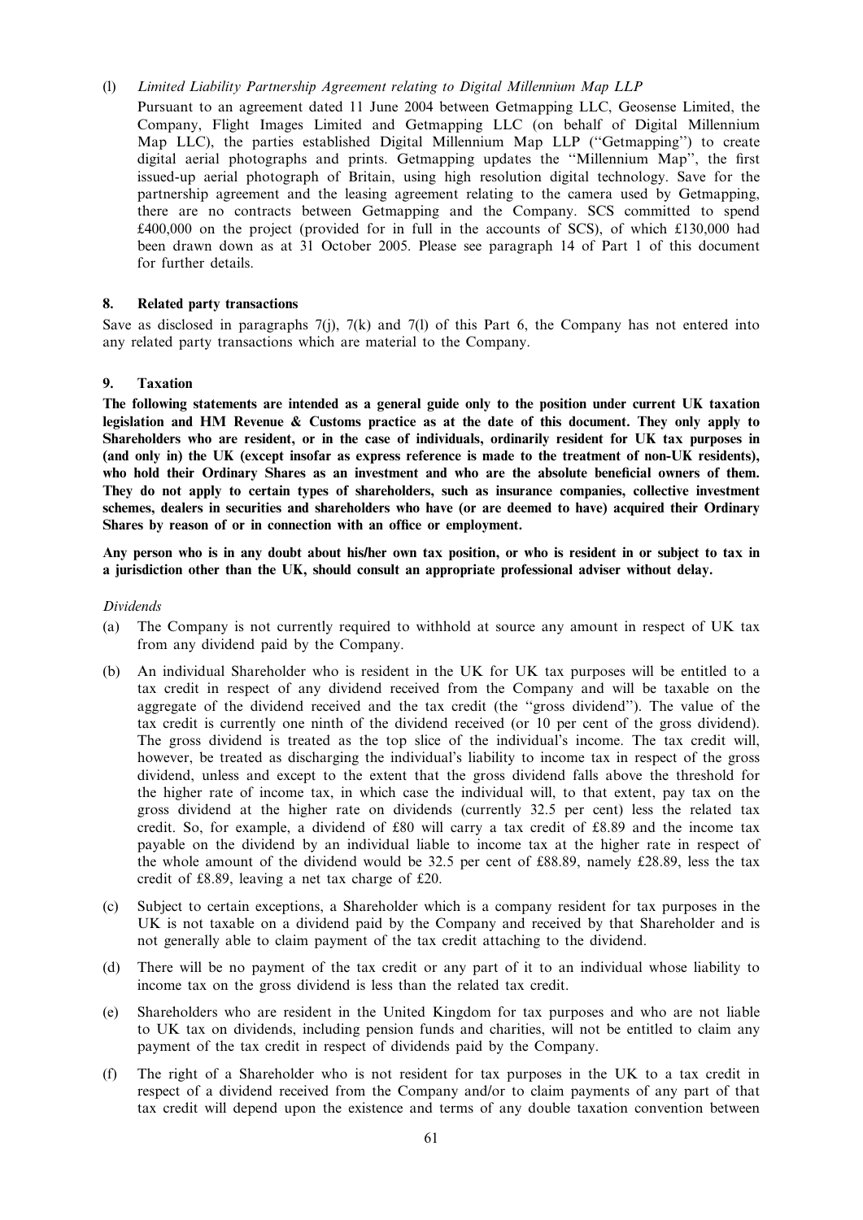## (l) Limited Liability Partnership Agreement relating to Digital Millennium Map LLP

Pursuant to an agreement dated 11 June 2004 between Getmapping LLC, Geosense Limited, the Company, Flight Images Limited and Getmapping LLC (on behalf of Digital Millennium Map LLC), the parties established Digital Millennium Map LLP (''Getmapping'') to create digital aerial photographs and prints. Getmapping updates the ''Millennium Map'', the first issued-up aerial photograph of Britain, using high resolution digital technology. Save for the partnership agreement and the leasing agreement relating to the camera used by Getmapping, there are no contracts between Getmapping and the Company. SCS committed to spend £400,000 on the project (provided for in full in the accounts of SCS), of which £130,000 had been drawn down as at 31 October 2005. Please see paragraph 14 of Part 1 of this document for further details.

#### 8. Related party transactions

Save as disclosed in paragraphs  $7(j)$ ,  $7(k)$  and  $7(l)$  of this Part 6, the Company has not entered into any related party transactions which are material to the Company.

#### 9. Taxation

The following statements are intended as a general guide only to the position under current UK taxation legislation and HM Revenue & Customs practice as at the date of this document. They only apply to Shareholders who are resident, or in the case of individuals, ordinarily resident for UK tax purposes in (and only in) the UK (except insofar as express reference is made to the treatment of non-UK residents), who hold their Ordinary Shares as an investment and who are the absolute beneficial owners of them. They do not apply to certain types of shareholders, such as insurance companies, collective investment schemes, dealers in securities and shareholders who have (or are deemed to have) acquired their Ordinary Shares by reason of or in connection with an office or employment.

Any person who is in any doubt about his/her own tax position, or who is resident in or subject to tax in a jurisdiction other than the UK, should consult an appropriate professional adviser without delay.

#### Dividends

- (a) The Company is not currently required to withhold at source any amount in respect of UK tax from any dividend paid by the Company.
- (b) An individual Shareholder who is resident in the UK for UK tax purposes will be entitled to a tax credit in respect of any dividend received from the Company and will be taxable on the aggregate of the dividend received and the tax credit (the ''gross dividend''). The value of the tax credit is currently one ninth of the dividend received (or 10 per cent of the gross dividend). The gross dividend is treated as the top slice of the individual's income. The tax credit will, however, be treated as discharging the individual's liability to income tax in respect of the gross dividend, unless and except to the extent that the gross dividend falls above the threshold for the higher rate of income tax, in which case the individual will, to that extent, pay tax on the gross dividend at the higher rate on dividends (currently 32.5 per cent) less the related tax credit. So, for example, a dividend of £80 will carry a tax credit of £8.89 and the income tax payable on the dividend by an individual liable to income tax at the higher rate in respect of the whole amount of the dividend would be 32.5 per cent of £88.89, namely £28.89, less the tax credit of £8.89, leaving a net tax charge of £20.
- (c) Subject to certain exceptions, a Shareholder which is a company resident for tax purposes in the UK is not taxable on a dividend paid by the Company and received by that Shareholder and is not generally able to claim payment of the tax credit attaching to the dividend.
- (d) There will be no payment of the tax credit or any part of it to an individual whose liability to income tax on the gross dividend is less than the related tax credit.
- (e) Shareholders who are resident in the United Kingdom for tax purposes and who are not liable to UK tax on dividends, including pension funds and charities, will not be entitled to claim any payment of the tax credit in respect of dividends paid by the Company.
- (f) The right of a Shareholder who is not resident for tax purposes in the UK to a tax credit in respect of a dividend received from the Company and/or to claim payments of any part of that tax credit will depend upon the existence and terms of any double taxation convention between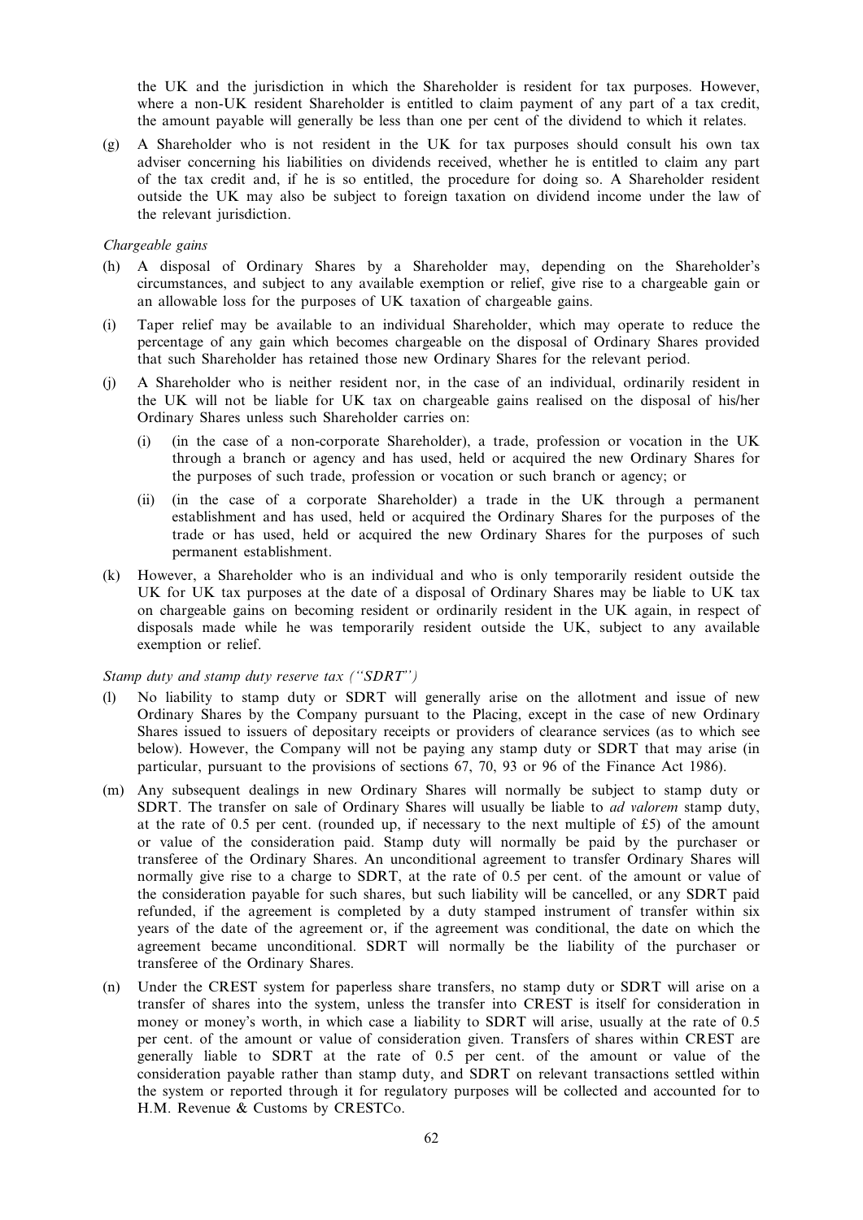the UK and the jurisdiction in which the Shareholder is resident for tax purposes. However, where a non-UK resident Shareholder is entitled to claim payment of any part of a tax credit, the amount payable will generally be less than one per cent of the dividend to which it relates.

(g) A Shareholder who is not resident in the UK for tax purposes should consult his own tax adviser concerning his liabilities on dividends received, whether he is entitled to claim any part of the tax credit and, if he is so entitled, the procedure for doing so. A Shareholder resident outside the UK may also be subject to foreign taxation on dividend income under the law of the relevant jurisdiction.

#### Chargeable gains

- (h) A disposal of Ordinary Shares by a Shareholder may, depending on the Shareholder's circumstances, and subject to any available exemption or relief, give rise to a chargeable gain or an allowable loss for the purposes of UK taxation of chargeable gains.
- (i) Taper relief may be available to an individual Shareholder, which may operate to reduce the percentage of any gain which becomes chargeable on the disposal of Ordinary Shares provided that such Shareholder has retained those new Ordinary Shares for the relevant period.
- (j) A Shareholder who is neither resident nor, in the case of an individual, ordinarily resident in the UK will not be liable for UK tax on chargeable gains realised on the disposal of his/her Ordinary Shares unless such Shareholder carries on:
	- (i) (in the case of a non-corporate Shareholder), a trade, profession or vocation in the UK through a branch or agency and has used, held or acquired the new Ordinary Shares for the purposes of such trade, profession or vocation or such branch or agency; or
	- (ii) (in the case of a corporate Shareholder) a trade in the UK through a permanent establishment and has used, held or acquired the Ordinary Shares for the purposes of the trade or has used, held or acquired the new Ordinary Shares for the purposes of such permanent establishment.
- (k) However, a Shareholder who is an individual and who is only temporarily resident outside the UK for UK tax purposes at the date of a disposal of Ordinary Shares may be liable to UK tax on chargeable gains on becoming resident or ordinarily resident in the UK again, in respect of disposals made while he was temporarily resident outside the UK, subject to any available exemption or relief.

## Stamp duty and stamp duty reserve tax ("SDRT")

- (l) No liability to stamp duty or SDRT will generally arise on the allotment and issue of new Ordinary Shares by the Company pursuant to the Placing, except in the case of new Ordinary Shares issued to issuers of depositary receipts or providers of clearance services (as to which see below). However, the Company will not be paying any stamp duty or SDRT that may arise (in particular, pursuant to the provisions of sections 67, 70, 93 or 96 of the Finance Act 1986).
- (m) Any subsequent dealings in new Ordinary Shares will normally be subject to stamp duty or SDRT. The transfer on sale of Ordinary Shares will usually be liable to *ad valorem* stamp duty, at the rate of 0.5 per cent. (rounded up, if necessary to the next multiple of  $\text{\pounds}5$ ) of the amount or value of the consideration paid. Stamp duty will normally be paid by the purchaser or transferee of the Ordinary Shares. An unconditional agreement to transfer Ordinary Shares will normally give rise to a charge to SDRT, at the rate of 0.5 per cent. of the amount or value of the consideration payable for such shares, but such liability will be cancelled, or any SDRT paid refunded, if the agreement is completed by a duty stamped instrument of transfer within six years of the date of the agreement or, if the agreement was conditional, the date on which the agreement became unconditional. SDRT will normally be the liability of the purchaser or transferee of the Ordinary Shares.
- (n) Under the CREST system for paperless share transfers, no stamp duty or SDRT will arise on a transfer of shares into the system, unless the transfer into CREST is itself for consideration in money or money's worth, in which case a liability to SDRT will arise, usually at the rate of 0.5 per cent. of the amount or value of consideration given. Transfers of shares within CREST are generally liable to SDRT at the rate of 0.5 per cent. of the amount or value of the consideration payable rather than stamp duty, and SDRT on relevant transactions settled within the system or reported through it for regulatory purposes will be collected and accounted for to H.M. Revenue & Customs by CRESTCo.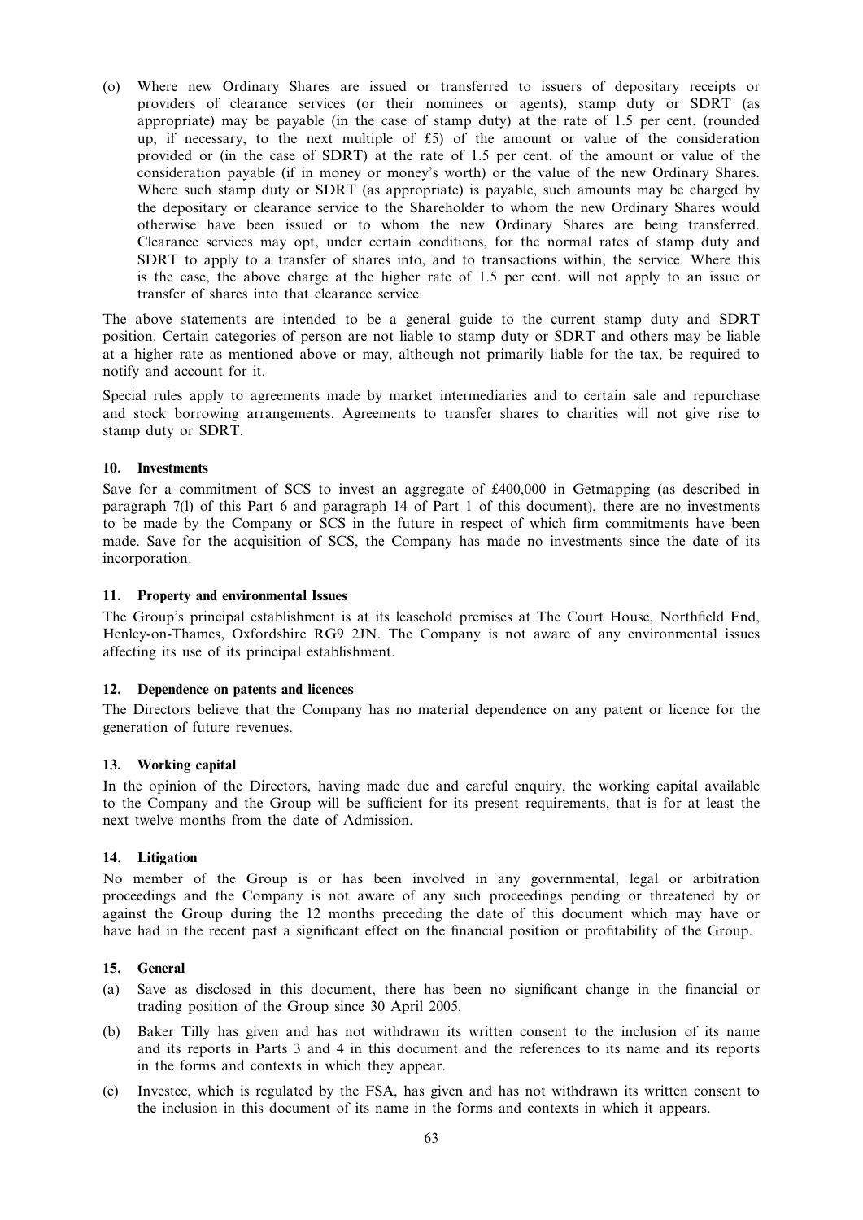(o) Where new Ordinary Shares are issued or transferred to issuers of depositary receipts or providers of clearance services (or their nominees or agents), stamp duty or SDRT (as appropriate) may be payable (in the case of stamp duty) at the rate of 1.5 per cent. (rounded up, if necessary, to the next multiple of £5) of the amount or value of the consideration provided or (in the case of SDRT) at the rate of 1.5 per cent. of the amount or value of the consideration payable (if in money or money's worth) or the value of the new Ordinary Shares. Where such stamp duty or SDRT (as appropriate) is payable, such amounts may be charged by the depositary or clearance service to the Shareholder to whom the new Ordinary Shares would otherwise have been issued or to whom the new Ordinary Shares are being transferred. Clearance services may opt, under certain conditions, for the normal rates of stamp duty and SDRT to apply to a transfer of shares into, and to transactions within, the service. Where this is the case, the above charge at the higher rate of 1.5 per cent. will not apply to an issue or transfer of shares into that clearance service.

The above statements are intended to be a general guide to the current stamp duty and SDRT position. Certain categories of person are not liable to stamp duty or SDRT and others may be liable at a higher rate as mentioned above or may, although not primarily liable for the tax, be required to notify and account for it.

Special rules apply to agreements made by market intermediaries and to certain sale and repurchase and stock borrowing arrangements. Agreements to transfer shares to charities will not give rise to stamp duty or SDRT.

## 10. Investments

Save for a commitment of SCS to invest an aggregate of £400,000 in Getmapping (as described in paragraph 7(l) of this Part 6 and paragraph 14 of Part 1 of this document), there are no investments to be made by the Company or SCS in the future in respect of which firm commitments have been made. Save for the acquisition of SCS, the Company has made no investments since the date of its incorporation.

## 11. Property and environmental Issues

The Group's principal establishment is at its leasehold premises at The Court House, Northfield End, Henley-on-Thames, Oxfordshire RG9 2JN. The Company is not aware of any environmental issues affecting its use of its principal establishment.

## 12. Dependence on patents and licences

The Directors believe that the Company has no material dependence on any patent or licence for the generation of future revenues.

## 13. Working capital

In the opinion of the Directors, having made due and careful enquiry, the working capital available to the Company and the Group will be sufficient for its present requirements, that is for at least the next twelve months from the date of Admission.

## 14. Litigation

No member of the Group is or has been involved in any governmental, legal or arbitration proceedings and the Company is not aware of any such proceedings pending or threatened by or against the Group during the 12 months preceding the date of this document which may have or have had in the recent past a significant effect on the financial position or profitability of the Group.

## 15. General

- (a) Save as disclosed in this document, there has been no significant change in the financial or trading position of the Group since 30 April 2005.
- (b) Baker Tilly has given and has not withdrawn its written consent to the inclusion of its name and its reports in Parts 3 and 4 in this document and the references to its name and its reports in the forms and contexts in which they appear.
- (c) Investec, which is regulated by the FSA, has given and has not withdrawn its written consent to the inclusion in this document of its name in the forms and contexts in which it appears.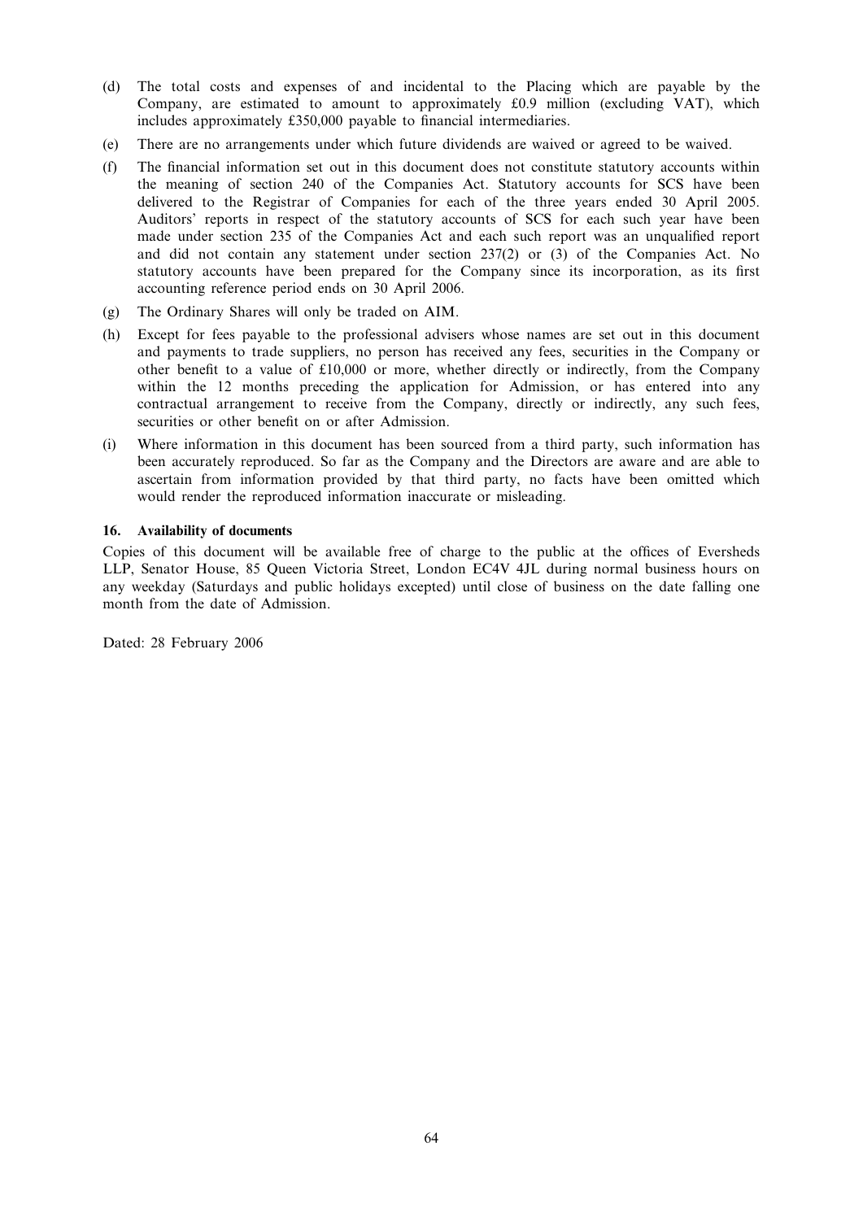- (d) The total costs and expenses of and incidental to the Placing which are payable by the Company, are estimated to amount to approximately £0.9 million (excluding VAT), which includes approximately £350,000 payable to financial intermediaries.
- (e) There are no arrangements under which future dividends are waived or agreed to be waived.
- (f) The financial information set out in this document does not constitute statutory accounts within the meaning of section 240 of the Companies Act. Statutory accounts for SCS have been delivered to the Registrar of Companies for each of the three years ended 30 April 2005. Auditors' reports in respect of the statutory accounts of SCS for each such year have been made under section 235 of the Companies Act and each such report was an unqualified report and did not contain any statement under section 237(2) or (3) of the Companies Act. No statutory accounts have been prepared for the Company since its incorporation, as its first accounting reference period ends on 30 April 2006.
- (g) The Ordinary Shares will only be traded on AIM.
- (h) Except for fees payable to the professional advisers whose names are set out in this document and payments to trade suppliers, no person has received any fees, securities in the Company or other benefit to a value of £10,000 or more, whether directly or indirectly, from the Company within the 12 months preceding the application for Admission, or has entered into any contractual arrangement to receive from the Company, directly or indirectly, any such fees, securities or other benefit on or after Admission.
- (i) Where information in this document has been sourced from a third party, such information has been accurately reproduced. So far as the Company and the Directors are aware and are able to ascertain from information provided by that third party, no facts have been omitted which would render the reproduced information inaccurate or misleading.

## 16. Availability of documents

Copies of this document will be available free of charge to the public at the offices of Eversheds LLP, Senator House, 85 Queen Victoria Street, London EC4V 4JL during normal business hours on any weekday (Saturdays and public holidays excepted) until close of business on the date falling one month from the date of Admission.

Dated: 28 February 2006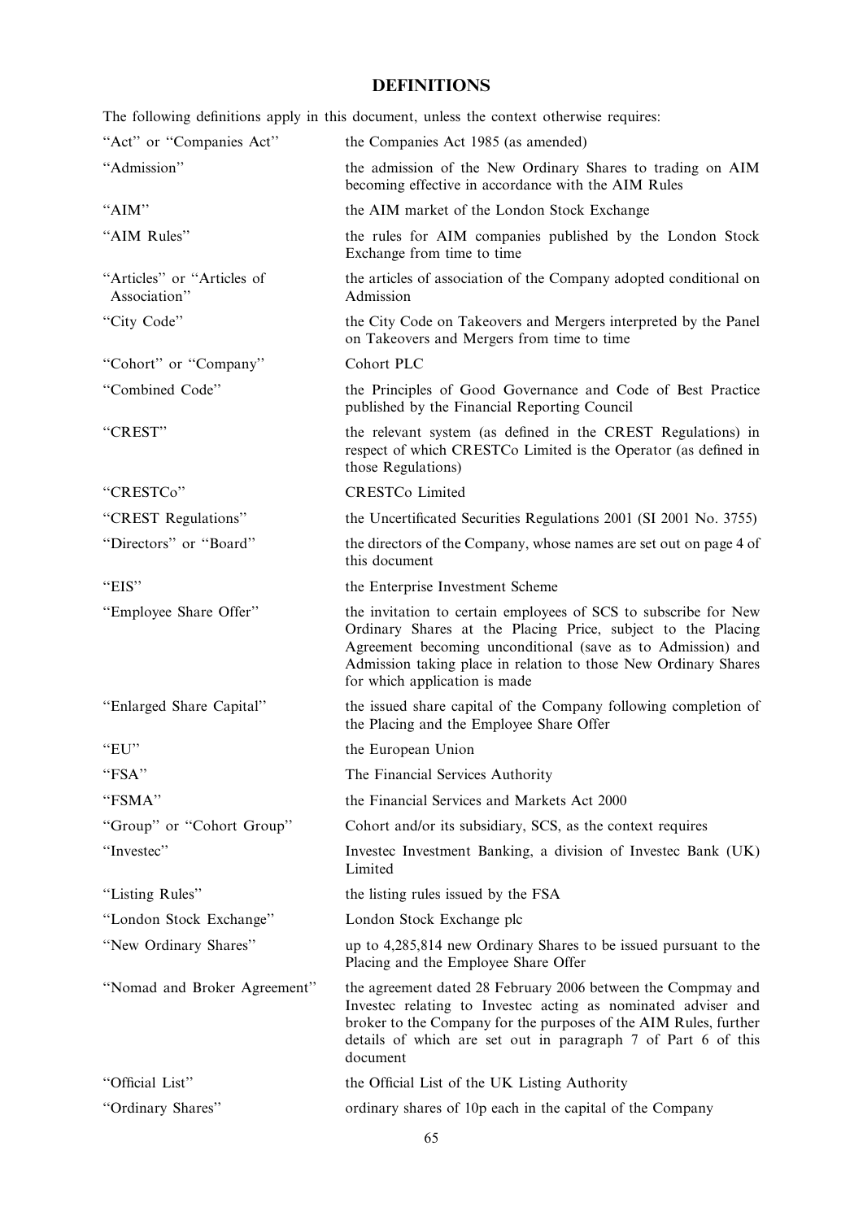# DEFINITIONS

The following definitions apply in this document, unless the context otherwise requires:

| "Act" or "Companies Act"                   | the Companies Act 1985 (as amended)                                                                                                                                                                                                                                                                |  |
|--------------------------------------------|----------------------------------------------------------------------------------------------------------------------------------------------------------------------------------------------------------------------------------------------------------------------------------------------------|--|
| "Admission"                                | the admission of the New Ordinary Shares to trading on AIM<br>becoming effective in accordance with the AIM Rules                                                                                                                                                                                  |  |
| "AIM"                                      | the AIM market of the London Stock Exchange                                                                                                                                                                                                                                                        |  |
| "AIM Rules"                                | the rules for AIM companies published by the London Stock<br>Exchange from time to time                                                                                                                                                                                                            |  |
| "Articles" or "Articles of<br>Association" | the articles of association of the Company adopted conditional on<br>Admission                                                                                                                                                                                                                     |  |
| "City Code"                                | the City Code on Takeovers and Mergers interpreted by the Panel<br>on Takeovers and Mergers from time to time                                                                                                                                                                                      |  |
| "Cohort" or "Company"                      | Cohort PLC                                                                                                                                                                                                                                                                                         |  |
| "Combined Code"                            | the Principles of Good Governance and Code of Best Practice<br>published by the Financial Reporting Council                                                                                                                                                                                        |  |
| "CREST"                                    | the relevant system (as defined in the CREST Regulations) in<br>respect of which CRESTCo Limited is the Operator (as defined in<br>those Regulations)                                                                                                                                              |  |
| "CRESTCo"                                  | <b>CRESTCo Limited</b>                                                                                                                                                                                                                                                                             |  |
| "CREST Regulations"                        | the Uncertificated Securities Regulations 2001 (SI 2001 No. 3755)                                                                                                                                                                                                                                  |  |
| "Directors" or "Board"                     | the directors of the Company, whose names are set out on page 4 of<br>this document                                                                                                                                                                                                                |  |
| "EIS"                                      | the Enterprise Investment Scheme                                                                                                                                                                                                                                                                   |  |
| "Employee Share Offer"                     | the invitation to certain employees of SCS to subscribe for New<br>Ordinary Shares at the Placing Price, subject to the Placing<br>Agreement becoming unconditional (save as to Admission) and<br>Admission taking place in relation to those New Ordinary Shares<br>for which application is made |  |
| "Enlarged Share Capital"                   | the issued share capital of the Company following completion of<br>the Placing and the Employee Share Offer                                                                                                                                                                                        |  |
| " $EU$ "                                   | the European Union                                                                                                                                                                                                                                                                                 |  |
| "FSA"                                      | The Financial Services Authority                                                                                                                                                                                                                                                                   |  |
| "FSMA"                                     | the Financial Services and Markets Act 2000                                                                                                                                                                                                                                                        |  |
| "Group" or "Cohort Group"                  | Cohort and/or its subsidiary, SCS, as the context requires                                                                                                                                                                                                                                         |  |
| "Investec"                                 | Invested Investment Banking, a division of Invested Bank (UK)<br>Limited                                                                                                                                                                                                                           |  |
| "Listing Rules"                            | the listing rules issued by the FSA                                                                                                                                                                                                                                                                |  |
| "London Stock Exchange"                    | London Stock Exchange plc                                                                                                                                                                                                                                                                          |  |
| "New Ordinary Shares"                      | up to 4,285,814 new Ordinary Shares to be issued pursuant to the<br>Placing and the Employee Share Offer                                                                                                                                                                                           |  |
| "Nomad and Broker Agreement"               | the agreement dated 28 February 2006 between the Compmay and<br>Invested relating to Invested acting as nominated adviser and<br>broker to the Company for the purposes of the AIM Rules, further<br>details of which are set out in paragraph 7 of Part 6 of this<br>document                     |  |
| "Official List"                            | the Official List of the UK Listing Authority                                                                                                                                                                                                                                                      |  |
| "Ordinary Shares"                          | ordinary shares of 10p each in the capital of the Company                                                                                                                                                                                                                                          |  |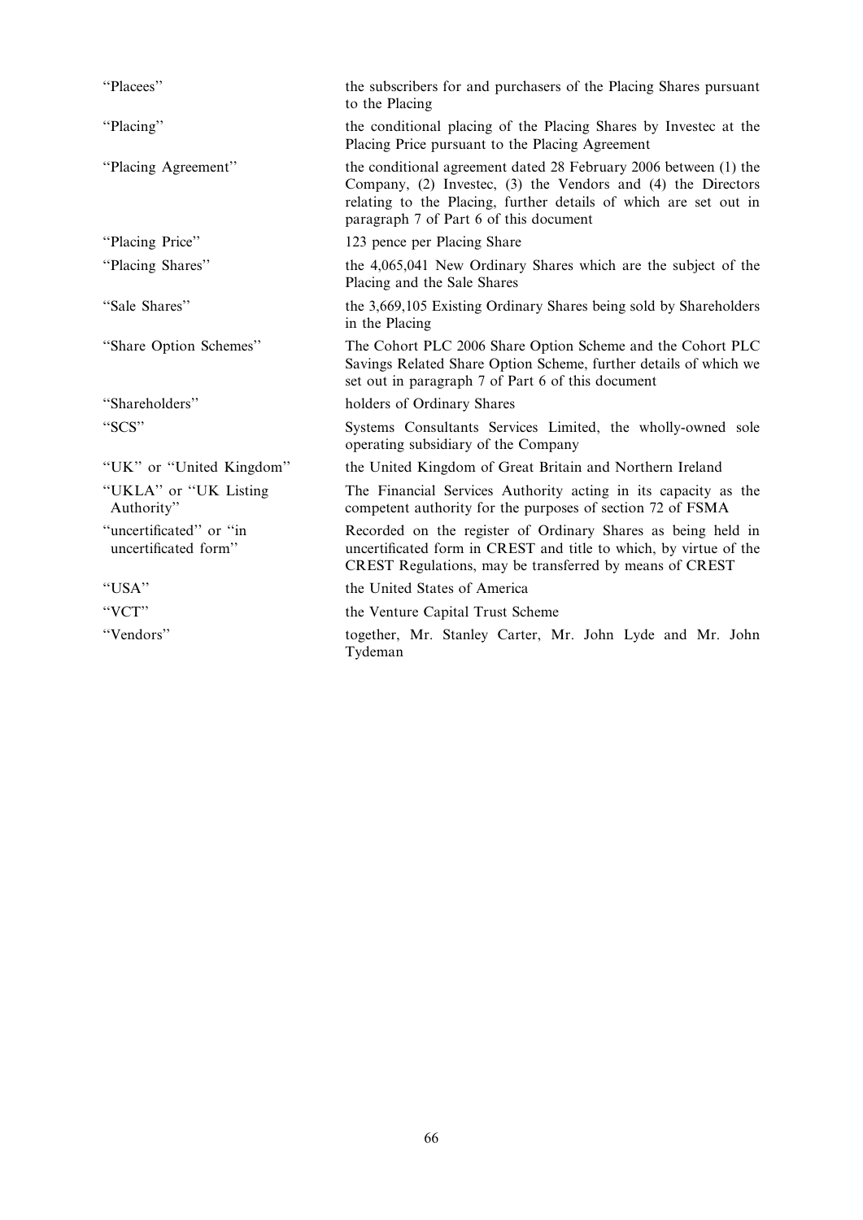| "Placees"                                       | the subscribers for and purchasers of the Placing Shares pursuant<br>to the Placing                                                                                                                                                            |
|-------------------------------------------------|------------------------------------------------------------------------------------------------------------------------------------------------------------------------------------------------------------------------------------------------|
| "Placing"                                       | the conditional placing of the Placing Shares by Invested at the<br>Placing Price pursuant to the Placing Agreement                                                                                                                            |
| "Placing Agreement"                             | the conditional agreement dated 28 February 2006 between (1) the<br>Company, (2) Invested, (3) the Vendors and (4) the Directors<br>relating to the Placing, further details of which are set out in<br>paragraph 7 of Part 6 of this document |
| "Placing Price"                                 | 123 pence per Placing Share                                                                                                                                                                                                                    |
| "Placing Shares"                                | the 4,065,041 New Ordinary Shares which are the subject of the<br>Placing and the Sale Shares                                                                                                                                                  |
| "Sale Shares"                                   | the 3,669,105 Existing Ordinary Shares being sold by Shareholders<br>in the Placing                                                                                                                                                            |
| "Share Option Schemes"                          | The Cohort PLC 2006 Share Option Scheme and the Cohort PLC<br>Savings Related Share Option Scheme, further details of which we<br>set out in paragraph 7 of Part 6 of this document                                                            |
| "Shareholders"                                  | holders of Ordinary Shares                                                                                                                                                                                                                     |
| "SCS"                                           | Systems Consultants Services Limited, the wholly-owned sole<br>operating subsidiary of the Company                                                                                                                                             |
| "UK" or "United Kingdom"                        | the United Kingdom of Great Britain and Northern Ireland                                                                                                                                                                                       |
| "UKLA" or "UK Listing<br>Authority"             | The Financial Services Authority acting in its capacity as the<br>competent authority for the purposes of section 72 of FSMA                                                                                                                   |
| "uncertificated" or "in<br>uncertificated form" | Recorded on the register of Ordinary Shares as being held in<br>uncertificated form in CREST and title to which, by virtue of the<br>CREST Regulations, may be transferred by means of CREST                                                   |
| "USA"                                           | the United States of America                                                                                                                                                                                                                   |
| "VCT"                                           | the Venture Capital Trust Scheme                                                                                                                                                                                                               |
| "Vendors"                                       | together, Mr. Stanley Carter, Mr. John Lyde and Mr. John<br>Tydeman                                                                                                                                                                            |